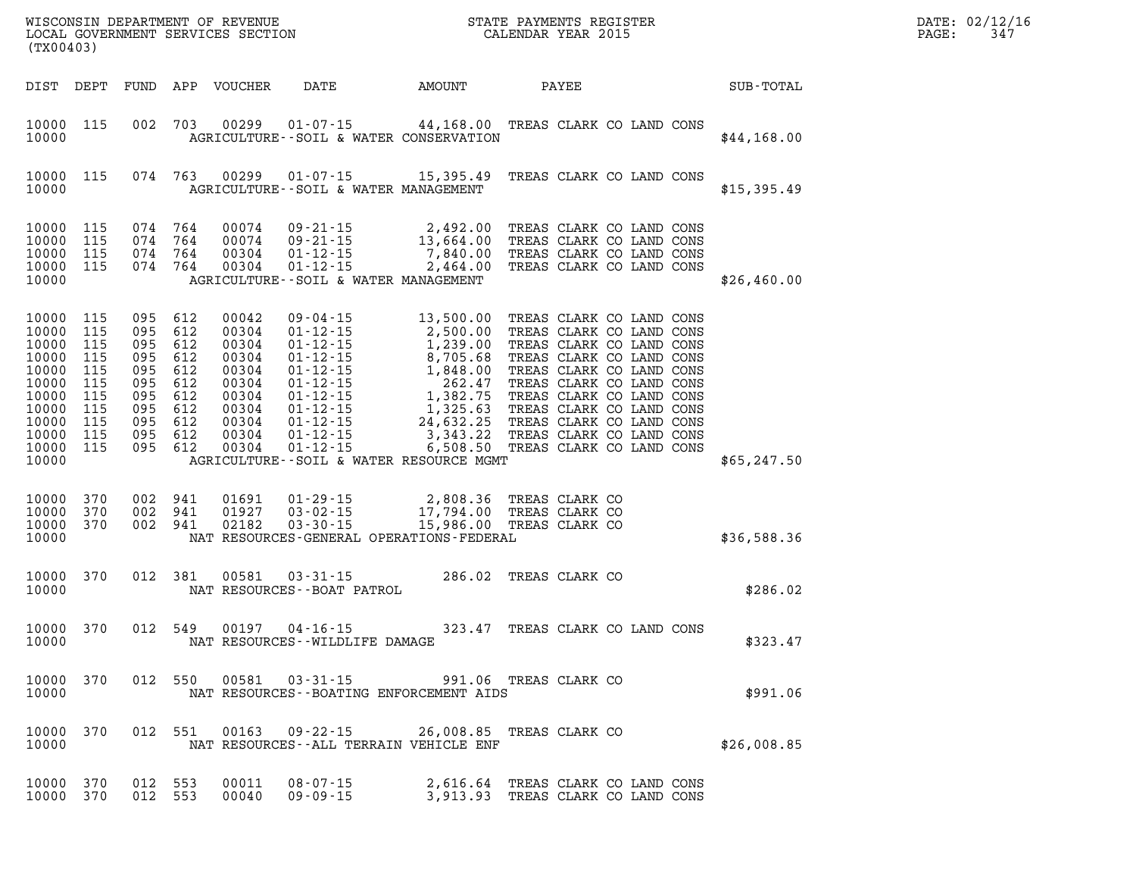| $\mathtt{DATE}$ : | 02/12/16 |
|-------------------|----------|
| PAGE:             | 347      |

| (TX00403)                                                                                                |                                                                           |                                                             |                                                                                   | LOCAL GOVERNMENT SERVICES SECTION                                                               |                                                                                                                                                                                                           |                                                                                                                                                | CALENDAR YEAR 2015 |                |                                                                                                                                                                                                                                                                                                                  |              | PAGE: | 347 |
|----------------------------------------------------------------------------------------------------------|---------------------------------------------------------------------------|-------------------------------------------------------------|-----------------------------------------------------------------------------------|-------------------------------------------------------------------------------------------------|-----------------------------------------------------------------------------------------------------------------------------------------------------------------------------------------------------------|------------------------------------------------------------------------------------------------------------------------------------------------|--------------------|----------------|------------------------------------------------------------------------------------------------------------------------------------------------------------------------------------------------------------------------------------------------------------------------------------------------------------------|--------------|-------|-----|
| DIST DEPT                                                                                                |                                                                           | FUND                                                        | APP                                                                               | VOUCHER                                                                                         | <b>DATE</b>                                                                                                                                                                                               | AMOUNT                                                                                                                                         | PAYEE              |                |                                                                                                                                                                                                                                                                                                                  | SUB-TOTAL    |       |     |
| 10000<br>10000                                                                                           | 115                                                                       | 002                                                         | 703                                                                               | 00299                                                                                           | $01 - 07 - 15$<br>AGRICULTURE--SOIL & WATER CONSERVATION                                                                                                                                                  | 44,168.00 TREAS CLARK CO LAND CONS                                                                                                             |                    |                |                                                                                                                                                                                                                                                                                                                  | \$44,168.00  |       |     |
| 10000<br>10000                                                                                           | 115                                                                       |                                                             | 074 763                                                                           | 00299                                                                                           | $01 - 07 - 15$ 15,395.49<br>AGRICULTURE--SOIL & WATER MANAGEMENT                                                                                                                                          |                                                                                                                                                |                    |                | TREAS CLARK CO LAND CONS                                                                                                                                                                                                                                                                                         | \$15,395.49  |       |     |
| 10000<br>10000<br>10000<br>10000<br>10000                                                                | 115<br>115<br>115<br>115                                                  | 074<br>074                                                  | 074 764<br>764<br>764<br>074 764                                                  | 00074<br>00074<br>00304<br>00304                                                                | $09 - 21 - 15$<br>$09 - 21 - 15$<br>$01 - 12 - 15$<br>$01 - 12 - 15$<br>AGRICULTURE--SOIL & WATER MANAGEMENT                                                                                              | 2,492.00<br>13,664.00<br>7,840.00<br>2,464.00                                                                                                  |                    |                | TREAS CLARK CO LAND CONS<br>TREAS CLARK CO LAND CONS<br>TREAS CLARK CO LAND CONS<br>TREAS CLARK CO LAND CONS                                                                                                                                                                                                     | \$26,460.00  |       |     |
| 10000<br>10000<br>10000<br>10000<br>10000<br>10000<br>10000<br>10000<br>10000<br>10000<br>10000<br>10000 | 115<br>115<br>115<br>115<br>115<br>115<br>115<br>115<br>115<br>115<br>115 | 095<br>095<br>095<br>095<br>095<br>095<br>095<br>095<br>095 | 612<br>612<br>612<br>612<br>612<br>612<br>612<br>612<br>095 612<br>612<br>095 612 | 00042<br>00304<br>00304<br>00304<br>00304<br>00304<br>00304<br>00304<br>00304<br>00304<br>00304 | $09 - 04 - 15$<br>$01 - 12 - 15$<br>$01 - 12 - 15$<br>01-12-15<br>01-12-15<br>01-12-15<br>01-12-15<br>01-12-15<br>01-12-15<br>$01 - 12 - 15$<br>$01 - 12 - 15$<br>AGRICULTURE--SOIL & WATER RESOURCE MGMT | 13,500.00<br>2,500.00<br>1,239.00<br>8,705.68<br>1,848.00<br>262.47<br>1,382.75<br>1,325.63<br>24,632.25<br>$3,343.22$<br>6,508.50<br>6,508.50 |                    |                | TREAS CLARK CO LAND CONS<br>TREAS CLARK CO LAND CONS<br>TREAS CLARK CO LAND CONS<br>TREAS CLARK CO LAND CONS<br>TREAS CLARK CO LAND CONS<br>TREAS CLARK CO LAND CONS<br>TREAS CLARK CO LAND CONS<br>TREAS CLARK CO LAND CONS<br>TREAS CLARK CO LAND CONS<br>TREAS CLARK CO LAND CONS<br>TREAS CLARK CO LAND CONS | \$65, 247.50 |       |     |
| 10000<br>10000<br>10000<br>10000                                                                         | 370<br>370<br>370                                                         |                                                             | 002 941<br>002 941<br>002 941                                                     | 01691<br>01927<br>02182                                                                         | $01 - 29 - 15$<br>$03 - 02 - 15$<br>$03 - 30 - 15$<br>NAT RESOURCES-GENERAL OPERATIONS-FEDERAL                                                                                                            | 2,808.36<br>17,794.00<br>15,986.00 TREAS CLARK CO                                                                                              | TREAS CLARK CO     | TREAS CLARK CO |                                                                                                                                                                                                                                                                                                                  | \$36,588.36  |       |     |
| 10000<br>10000                                                                                           | 370                                                                       | 012                                                         | 381                                                                               | 00581                                                                                           | $03 - 31 - 15$<br>NAT RESOURCES - - BOAT PATROL                                                                                                                                                           | 286.02 TREAS CLARK CO                                                                                                                          |                    |                |                                                                                                                                                                                                                                                                                                                  | \$286.02     |       |     |
| 10000<br>10000                                                                                           | 370                                                                       | 012                                                         | 549                                                                               | 00197                                                                                           | $04 - 16 - 15$<br>NAT RESOURCES - - WILDLIFE DAMAGE                                                                                                                                                       | 323.47                                                                                                                                         |                    |                | TREAS CLARK CO LAND CONS                                                                                                                                                                                                                                                                                         | \$323.47     |       |     |
| 10000 370<br>10000                                                                                       |                                                                           |                                                             |                                                                                   | 012 550 00581                                                                                   | $03 - 31 - 15$<br>NAT RESOURCES - - BOATING ENFORCEMENT AIDS                                                                                                                                              | 991.06 TREAS CLARK CO                                                                                                                          |                    |                |                                                                                                                                                                                                                                                                                                                  | \$991.06     |       |     |
| 10000<br>10000                                                                                           | 370                                                                       | 012                                                         | 551                                                                               | 00163                                                                                           | 09-22-15 26,008.85 TREAS CLARK CO<br>NAT RESOURCES -- ALL TERRAIN VEHICLE ENF                                                                                                                             |                                                                                                                                                |                    |                |                                                                                                                                                                                                                                                                                                                  | \$26,008.85  |       |     |
| 10000<br>10000                                                                                           | 370<br>370                                                                |                                                             | 012 553<br>012 553                                                                | 00011<br>00040                                                                                  | $08 - 07 - 15$<br>$09 - 09 - 15$                                                                                                                                                                          | 2,616.64<br>3,913.93 TREAS CLARK CO LAND CONS                                                                                                  |                    |                | TREAS CLARK CO LAND CONS                                                                                                                                                                                                                                                                                         |              |       |     |

WISCONSIN DEPARTMENT OF REVENUE **STATE PAYMENTS REGISTER**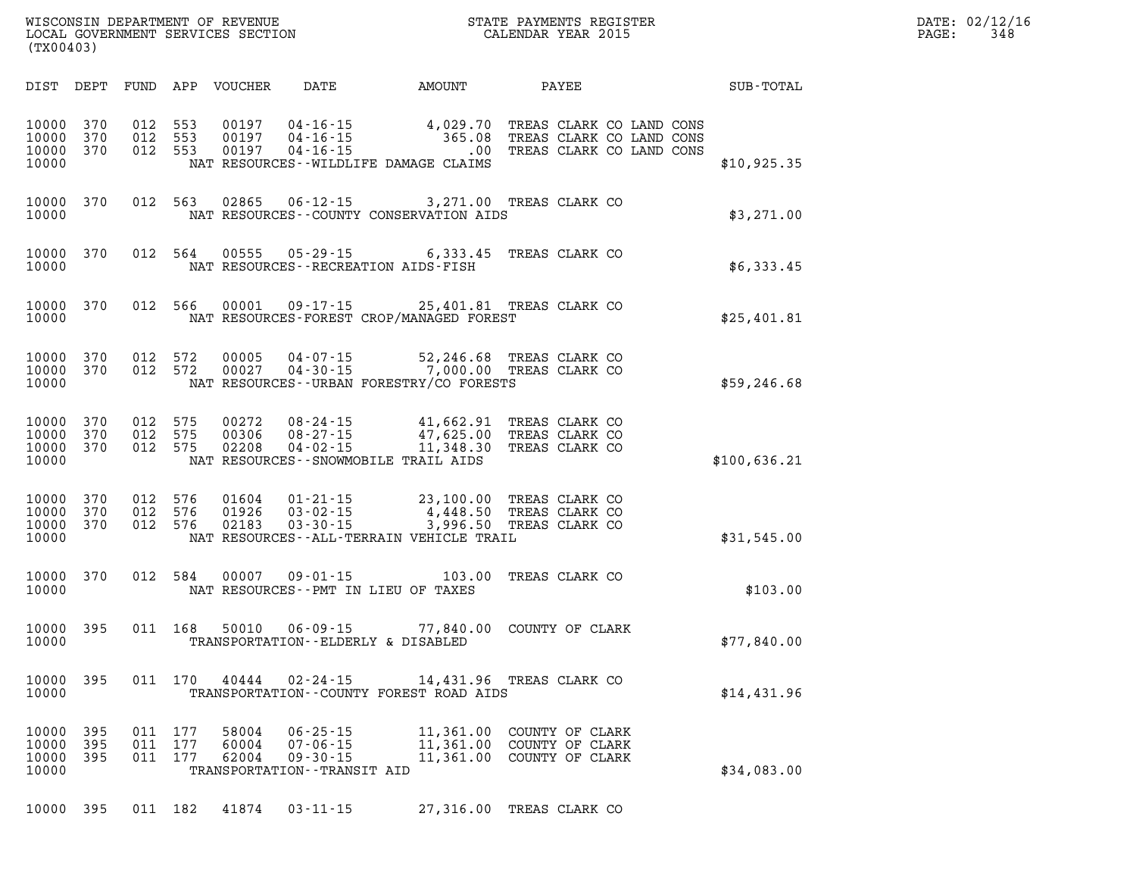| DATE: | 02/12/16 |
|-------|----------|
| PAGE: | 348      |

| (TX00403)                                    |                   |                               |                    | LOCAL GOVERNMENT SERVICES SECTION |                                                                                      | CALENDAR YEAR 2015                                                                                                                                                      |                                                       |              | PAGE: | 348 |
|----------------------------------------------|-------------------|-------------------------------|--------------------|-----------------------------------|--------------------------------------------------------------------------------------|-------------------------------------------------------------------------------------------------------------------------------------------------------------------------|-------------------------------------------------------|--------------|-------|-----|
|                                              |                   |                               |                    |                                   |                                                                                      |                                                                                                                                                                         |                                                       |              |       |     |
| 10000 370<br>10000 370<br>10000 370<br>10000 |                   | 012 553                       | 012 553<br>012 553 | 00197<br>00197<br>00197           |                                                                                      | 04-16-15 4,029.70 TREAS CLARK CO LAND CONS<br>04-16-15 365.08 TREAS CLARK CO LAND CONS<br>04-16-15 00 TREAS CLARK CO LAND CONS<br>NAT RESOURCES--WILDLIFE DAMAGE CLAIMS |                                                       | \$10,925.35  |       |     |
| 10000 370<br>10000                           |                   |                               |                    |                                   |                                                                                      | 012 563 02865 06-12-15 3,271.00 TREAS CLARK CO<br>NAT RESOURCES--COUNTY CONSERVATION AIDS                                                                               |                                                       | \$3,271.00   |       |     |
| 10000 370<br>10000                           |                   |                               |                    |                                   |                                                                                      | 012 564 00555 05-29-15 6,333.45 TREAS CLARK CO<br>NAT RESOURCES -- RECREATION AIDS-FISH                                                                                 |                                                       | \$6,333.45   |       |     |
| 10000                                        |                   |                               |                    |                                   |                                                                                      | 10000 370 012 566 00001 09-17-15 25,401.81 TREAS CLARK CO<br>NAT RESOURCES-FOREST CROP/MANAGED FOREST                                                                   |                                                       | \$25,401.81  |       |     |
| 10000 370<br>10000 370<br>10000              |                   | 012 572                       | 012 572            |                                   |                                                                                      | 00005  04-07-15  52,246.68  TREAS CLARK CO<br>00027  04-30-15  7,000.00  TREAS CLARK CO<br>NAT RESOURCES - URBAN FORESTRY/CO FORESTS                                    |                                                       | \$59,246.68  |       |     |
| 10000 370<br>10000 370<br>10000 370<br>10000 |                   | 012 575<br>012 575<br>012 575 |                    | 00272<br>00306<br>02208           |                                                                                      | 08-24-15   41,662.91 TREAS CLARK CO<br>08-27-15   47,625.00 TREAS CLARK CO<br>04-02-15   11,348.30 TREAS CLARK CO<br>NAT RESOURCES--SNOWMOBILE TRAIL AIDS               |                                                       | \$100,636.21 |       |     |
| 10000 370<br>10000 370<br>10000 370<br>10000 |                   | 012 576                       | 012 576<br>012 576 | 01604<br>01926<br>02183           |                                                                                      | 01-21-15  23,100.00 TREAS CLARK CO<br>03-02-15  4,448.50 TREAS CLARK CO<br>03-30-15  3,996.50 TREAS CLARK CO<br>NAT RESOURCES--ALL-TERRAIN VEHICLE TRAIL                |                                                       | \$31,545.00  |       |     |
| 10000 370<br>10000                           |                   |                               | 012 584            | 00007                             |                                                                                      | 09-01-15 103.00 TREAS CLARK CO<br>NAT RESOURCES--PMT IN LIEU OF TAXES                                                                                                   |                                                       | \$103.00     |       |     |
| 10000 395<br>10000                           |                   |                               |                    |                                   |                                                                                      | 011 168 50010 06-09-15 77,840.00 COUNTY OF CLARK<br>TRANSPORTATION--ELDERLY & DISABLED                                                                                  |                                                       | \$77,840.00  |       |     |
| 10000<br>10000                               | 395               |                               | 011 170            | 40444                             | $02 - 24 - 15$                                                                       | 14,431.96<br>TRANSPORTATION--COUNTY FOREST ROAD AIDS                                                                                                                    | TREAS CLARK CO                                        | \$14,431.96  |       |     |
| 10000<br>10000<br>10000<br>10000             | 395<br>395<br>395 | 011 177<br>011<br>011         | 177<br>177         | 58004<br>60004<br>62004           | $06 - 25 - 15$<br>$07 - 06 - 15$<br>$09 - 30 - 15$<br>TRANSPORTATION - - TRANSIT AID | 11,361.00<br>11,361.00<br>11,361.00                                                                                                                                     | COUNTY OF CLARK<br>COUNTY OF CLARK<br>COUNTY OF CLARK | \$34,083.00  |       |     |
|                                              |                   |                               |                    |                                   |                                                                                      |                                                                                                                                                                         |                                                       |              |       |     |

WISCONSIN DEPARTMENT OF REVENUE **STATE PAYMENTS REGISTER** 

**10000 395 011 182 41874 03-11-15 27,316.00 TREAS CLARK CO**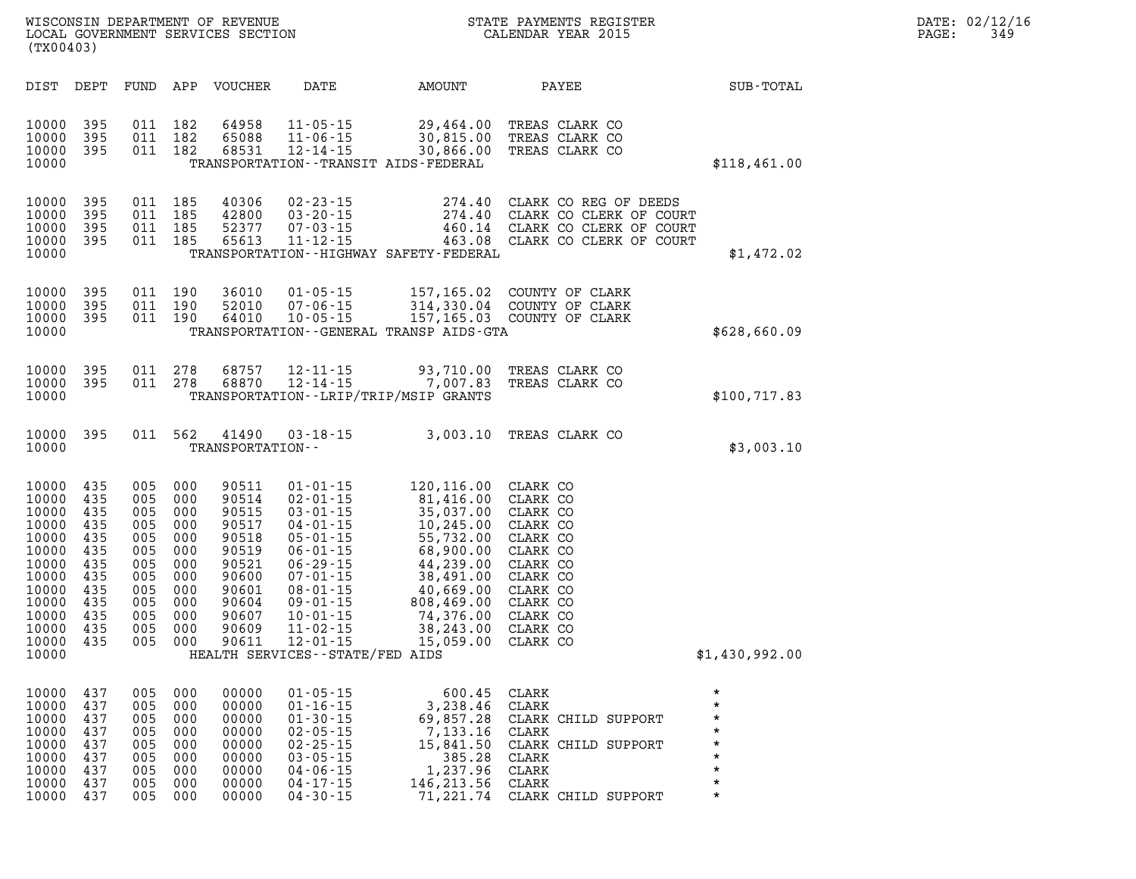| PAGE: | DATE: 02/12/16<br>349 |
|-------|-----------------------|
|       |                       |

| WISCONSIN DEPARTMENT OF REVENUE<br>LOCAL GOVERNMENT SERVICES SECTION<br>(TX00403) |                                                                                                                            |                                                                                         |                                                                                         |                                                                                         |                                                                                                                   |                                                                                                                                                                                                                                                                           | STATE PAYMENTS REGISTER<br>CALENDAR YEAR 2015                                                                                                                           |                                                                                                                                                          |                                                                          |  |
|-----------------------------------------------------------------------------------|----------------------------------------------------------------------------------------------------------------------------|-----------------------------------------------------------------------------------------|-----------------------------------------------------------------------------------------|-----------------------------------------------------------------------------------------|-------------------------------------------------------------------------------------------------------------------|---------------------------------------------------------------------------------------------------------------------------------------------------------------------------------------------------------------------------------------------------------------------------|-------------------------------------------------------------------------------------------------------------------------------------------------------------------------|----------------------------------------------------------------------------------------------------------------------------------------------------------|--------------------------------------------------------------------------|--|
|                                                                                   | DIST                                                                                                                       | DEPT                                                                                    | FUND                                                                                    | APP                                                                                     | <b>VOUCHER</b>                                                                                                    | DATE                                                                                                                                                                                                                                                                      | AMOUNT                                                                                                                                                                  | PAYEE                                                                                                                                                    | SUB-TOTAL                                                                |  |
|                                                                                   | 10000<br>10000<br>10000<br>10000                                                                                           | 395<br>395<br>395                                                                       | 011<br>011<br>011                                                                       | 182<br>182<br>182                                                                       | 64958<br>65088<br>68531                                                                                           | $11 - 05 - 15$<br>$11 - 06 - 15$<br>$12 - 14 - 15$                                                                                                                                                                                                                        | 29,464.00<br>30,815.00<br>30,866.00<br>TRANSPORTATION - - TRANSIT AIDS - FEDERAL                                                                                        | TREAS CLARK CO<br>TREAS CLARK CO<br>TREAS CLARK CO                                                                                                       | \$118,461.00                                                             |  |
|                                                                                   | 10000<br>10000<br>10000<br>10000<br>10000                                                                                  | 395<br>395<br>395<br>395                                                                | 011<br>011<br>011<br>011                                                                | 185<br>185<br>185<br>185                                                                | 40306<br>42800<br>52377<br>65613                                                                                  | $02 - 23 - 15$<br>$03 - 20 - 15$<br>$07 - 03 - 15$<br>$11 - 12 - 15$                                                                                                                                                                                                      | 274.40<br>274.40<br>460.14<br>TRANSPORTATION - - HIGHWAY SAFETY - FEDERAL                                                                                               | CLARK CO REG OF DEEDS<br>CLARK CO CLERK OF COURT<br>CLARK CO CLERK OF COURT<br>463.08 CLARK CO CLERK OF COURT                                            | \$1,472.02                                                               |  |
|                                                                                   | 10000<br>10000<br>10000<br>10000                                                                                           | 395<br>395<br>395                                                                       | 011<br>011<br>011                                                                       | 190<br>190<br>190                                                                       | 36010<br>52010<br>64010                                                                                           | $01 - 05 - 15$<br>$07 - 06 - 15$<br>$10 - 05 - 15$                                                                                                                                                                                                                        | 157,165.02<br>314,330.04<br>TRANSPORTATION--GENERAL TRANSP AIDS-GTA                                                                                                     | COUNTY OF CLARK<br>COUNTY OF CLARK<br>157,165.03 COUNTY OF CLARK                                                                                         | \$628,660.09                                                             |  |
|                                                                                   | 10000<br>10000<br>10000                                                                                                    | 395<br>395                                                                              | 011<br>011                                                                              | 278<br>278                                                                              | 68757<br>68870                                                                                                    | $12 - 11 - 15$<br>$12 - 14 - 15$                                                                                                                                                                                                                                          | 93,710.00<br>7,007.83<br>TRANSPORTATION - - LRIP/TRIP/MSIP GRANTS                                                                                                       | TREAS CLARK CO<br>TREAS CLARK CO                                                                                                                         | \$100, 717.83                                                            |  |
|                                                                                   | 10000<br>10000                                                                                                             | 395                                                                                     | 011                                                                                     | 562                                                                                     | 41490<br>TRANSPORTATION--                                                                                         | $03 - 18 - 15$                                                                                                                                                                                                                                                            | 3,003.10                                                                                                                                                                | TREAS CLARK CO                                                                                                                                           | \$3,003.10                                                               |  |
|                                                                                   | 10000<br>10000<br>10000<br>10000<br>10000<br>10000<br>10000<br>10000<br>10000<br>10000<br>10000<br>10000<br>10000<br>10000 | 435<br>435<br>435<br>435<br>435<br>435<br>435<br>435<br>435<br>435<br>435<br>435<br>435 | 005<br>005<br>005<br>005<br>005<br>005<br>005<br>005<br>005<br>005<br>005<br>005<br>005 | 000<br>000<br>000<br>000<br>000<br>000<br>000<br>000<br>000<br>000<br>000<br>000<br>000 | 90511<br>90514<br>90515<br>90517<br>90518<br>90519<br>90521<br>90600<br>90601<br>90604<br>90607<br>90609<br>90611 | $01 - 01 - 15$<br>$02 - 01 - 15$<br>$03 - 01 - 15$<br>$04 - 01 - 15$<br>$05 - 01 - 15$<br>$06 - 01 - 15$<br>$06 - 29 - 15$<br>$07 - 01 - 15$<br>$08 - 01 - 15$<br>$09 - 01 - 15$<br>$10 - 01 - 15$<br>$11 - 02 - 15$<br>$12 - 01 - 15$<br>HEALTH SERVICES--STATE/FED AIDS | 120,116.00<br>81,416.00<br>35,037.00<br>10,245.00<br>55,732.00<br>68,900.00<br>44,239.00<br>38,491.00<br>40,669.00<br>808,469.00<br>74,376.00<br>38,243.00<br>15,059.00 | CLARK CO<br>CLARK CO<br>CLARK CO<br>CLARK CO<br>CLARK CO<br>CLARK CO<br>CLARK CO<br>CLARK CO<br>CLARK CO<br>CLARK CO<br>CLARK CO<br>CLARK CO<br>CLARK CO | \$1,430,992.00                                                           |  |
|                                                                                   | 10000<br>10000<br>10000<br>10000<br>10000<br>10000<br>10000<br>10000                                                       | 437<br>437<br>437<br>437<br>437<br>437<br>437<br>437                                    | 005<br>005<br>005<br>005<br>005<br>005<br>005<br>005                                    | 000<br>000<br>000<br>000<br>000<br>000<br>000<br>000                                    | 00000<br>00000<br>00000<br>00000<br>00000<br>00000<br>00000<br>00000                                              | $01 - 05 - 15$<br>$01 - 16 - 15$<br>$01 - 30 - 15$<br>$02 - 05 - 15$<br>$02 - 25 - 15$<br>$03 - 05 - 15$<br>$04 - 06 - 15$<br>$04 - 17 - 15$                                                                                                                              | 600.45<br>3,238.46<br>69,857.28<br>7,133.16<br>15,841.50<br>385.28<br>1,237.96<br>146, 213.56                                                                           | CLARK<br>CLARK<br>CLARK CHILD SUPPORT<br>CLARK<br>CLARK CHILD SUPPORT<br>CLARK<br>${\tt CLARK}$<br>CLARK                                                 | $\star$<br>$\star$<br>*<br>$\star$<br>*<br>$\star$<br>$\star$<br>$\star$ |  |

**10000 437 005 000 00000 04-30-15 71,221.74 CLARK CHILD SUPPORT \***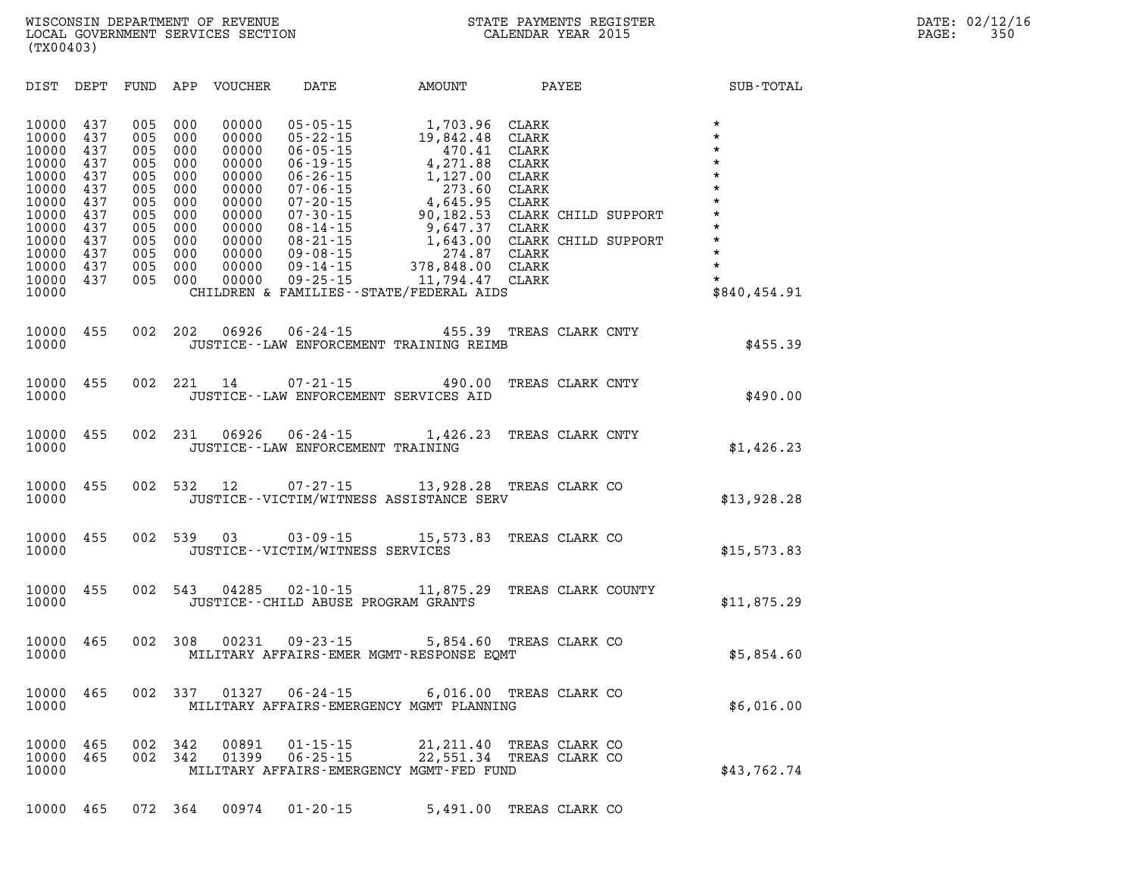| DIST<br>DEPT                                                                                                                                                                                                          | FUND<br>APP                                                                                                                                                                        | DATE<br>VOUCHER                                                                                                                                                                                                                                                                                                                                             | AMOUNT                                                                                                                                                                                                | PAYEE                                                                                                                                                                            | SUB-TOTAL                                                                                                                                                   |
|-----------------------------------------------------------------------------------------------------------------------------------------------------------------------------------------------------------------------|------------------------------------------------------------------------------------------------------------------------------------------------------------------------------------|-------------------------------------------------------------------------------------------------------------------------------------------------------------------------------------------------------------------------------------------------------------------------------------------------------------------------------------------------------------|-------------------------------------------------------------------------------------------------------------------------------------------------------------------------------------------------------|----------------------------------------------------------------------------------------------------------------------------------------------------------------------------------|-------------------------------------------------------------------------------------------------------------------------------------------------------------|
| 10000<br>437<br>10000<br>437<br>10000<br>437<br>10000<br>437<br>10000<br>437<br>10000<br>437<br>10000<br>437<br>10000<br>437<br>10000<br>437<br>10000<br>437<br>10000<br>437<br>10000<br>437<br>10000<br>437<br>10000 | 005<br>000<br>005<br>000<br>005<br>000<br>005<br>000<br>005<br>000<br>005<br>000<br>005<br>000<br>005<br>000<br>005<br>000<br>005<br>000<br>005<br>000<br>005<br>000<br>005<br>000 | 00000<br>$05 - 05 - 15$<br>00000<br>$05 - 22 - 15$<br>00000<br>$06 - 05 - 15$<br>$06 - 19 - 15$<br>00000<br>00000<br>$06 - 26 - 15$<br>$07 - 06 - 15$<br>00000<br>$07 - 20 - 15$<br>00000<br>00000<br>$07 - 30 - 15$<br>$08 - 14 - 15$<br>00000<br>$08 - 21 - 15$<br>00000<br>00000<br>$09 - 08 - 15$<br>$09 - 14 - 15$<br>00000<br>$09 - 25 - 15$<br>00000 | 1,703.96<br>19,842.48<br>470.41<br>4,271.88<br>1,127.00<br>273.60<br>4,645.95<br>90,182.53<br>9,647.37<br>1,643.00<br>274.87<br>378,848.00<br>11,794.47<br>CHILDREN & FAMILIES - - STATE/FEDERAL AIDS | CLARK<br>CLARK<br>CLARK<br><b>CLARK</b><br><b>CLARK</b><br><b>CLARK</b><br><b>CLARK</b><br>CLARK CHILD SUPPORT<br>CLARK<br>CLARK CHILD SUPPORT<br><b>CLARK</b><br>CLARK<br>CLARK | $\star$<br>$\star$<br>$\star$<br>$\star$<br>$\star$<br>$\star$<br>$\star$<br>$\star$<br>$\star$<br>$\star$<br>$\star$<br>$\star$<br>$\star$<br>\$840,454.91 |
| 10000<br>455<br>10000                                                                                                                                                                                                 | 002<br>202                                                                                                                                                                         | 06926                                                                                                                                                                                                                                                                                                                                                       | $06 - 24 - 15$<br>455.39<br>JUSTICE -- LAW ENFORCEMENT TRAINING REIMB                                                                                                                                 | TREAS CLARK CNTY                                                                                                                                                                 | \$455.39                                                                                                                                                    |
| 455<br>10000<br>10000                                                                                                                                                                                                 | 002<br>221                                                                                                                                                                         | 14<br>$07 - 21 - 15$                                                                                                                                                                                                                                                                                                                                        | 490.00<br>JUSTICE -- LAW ENFORCEMENT SERVICES AID                                                                                                                                                     | TREAS CLARK CNTY                                                                                                                                                                 | \$490.00                                                                                                                                                    |
| 455<br>10000<br>10000                                                                                                                                                                                                 | 002<br>231                                                                                                                                                                         | 06926<br>$06 - 24 - 15$                                                                                                                                                                                                                                                                                                                                     | 1,426.23<br>JUSTICE - - LAW ENFORCEMENT TRAINING                                                                                                                                                      | TREAS CLARK CNTY                                                                                                                                                                 | \$1,426.23                                                                                                                                                  |
| 10000<br>455<br>10000                                                                                                                                                                                                 | 002<br>532                                                                                                                                                                         | 12<br>07-27-15                                                                                                                                                                                                                                                                                                                                              | JUSTICE -- VICTIM/WITNESS ASSISTANCE SERV                                                                                                                                                             | 13,928.28 TREAS CLARK CO                                                                                                                                                         | \$13,928.28                                                                                                                                                 |
| 10000<br>455<br>10000                                                                                                                                                                                                 | 002<br>539                                                                                                                                                                         | 03<br>JUSTICE - - VICTIM/WITNESS SERVICES                                                                                                                                                                                                                                                                                                                   | $03 - 09 - 15$                                                                                                                                                                                        | 15,573.83 TREAS CLARK CO                                                                                                                                                         | \$15, 573.83                                                                                                                                                |
| 455<br>10000<br>10000                                                                                                                                                                                                 | 002<br>543                                                                                                                                                                         | 04285                                                                                                                                                                                                                                                                                                                                                       | $02 - 10 - 15$<br>11,875.29<br>JUSTICE--CHILD ABUSE PROGRAM GRANTS                                                                                                                                    | TREAS CLARK COUNTY                                                                                                                                                               | \$11,875.29                                                                                                                                                 |
| 10000<br>465<br>10000                                                                                                                                                                                                 | 002<br>308                                                                                                                                                                         | 00231<br>$09 - 23 - 15$                                                                                                                                                                                                                                                                                                                                     | MILITARY AFFAIRS-EMER MGMT-RESPONSE EOMT                                                                                                                                                              | 5,854.60 TREAS CLARK CO                                                                                                                                                          | \$5,854.60                                                                                                                                                  |
| 10000<br>465<br>10000                                                                                                                                                                                                 | 002<br>337                                                                                                                                                                         | 01327                                                                                                                                                                                                                                                                                                                                                       | $06 - 24 - 15$<br>MILITARY AFFAIRS-EMERGENCY MGMT PLANNING                                                                                                                                            | 6,016.00 TREAS CLARK CO                                                                                                                                                          | \$6,016.00                                                                                                                                                  |
| 10000<br>465<br>10000<br>465<br>10000                                                                                                                                                                                 | 002<br>342<br>002<br>342                                                                                                                                                           | 00891<br>$01 - 15 - 15$<br>$06 - 25 - 15$<br>01399                                                                                                                                                                                                                                                                                                          | 21, 211.40<br>22,551.34<br>MILITARY AFFAIRS-EMERGENCY MGMT-FED FUND                                                                                                                                   | TREAS CLARK CO<br>TREAS CLARK CO                                                                                                                                                 | \$43,762.74                                                                                                                                                 |

**10000 465 072 364 00974 01-20-15 5,491.00 TREAS CLARK CO**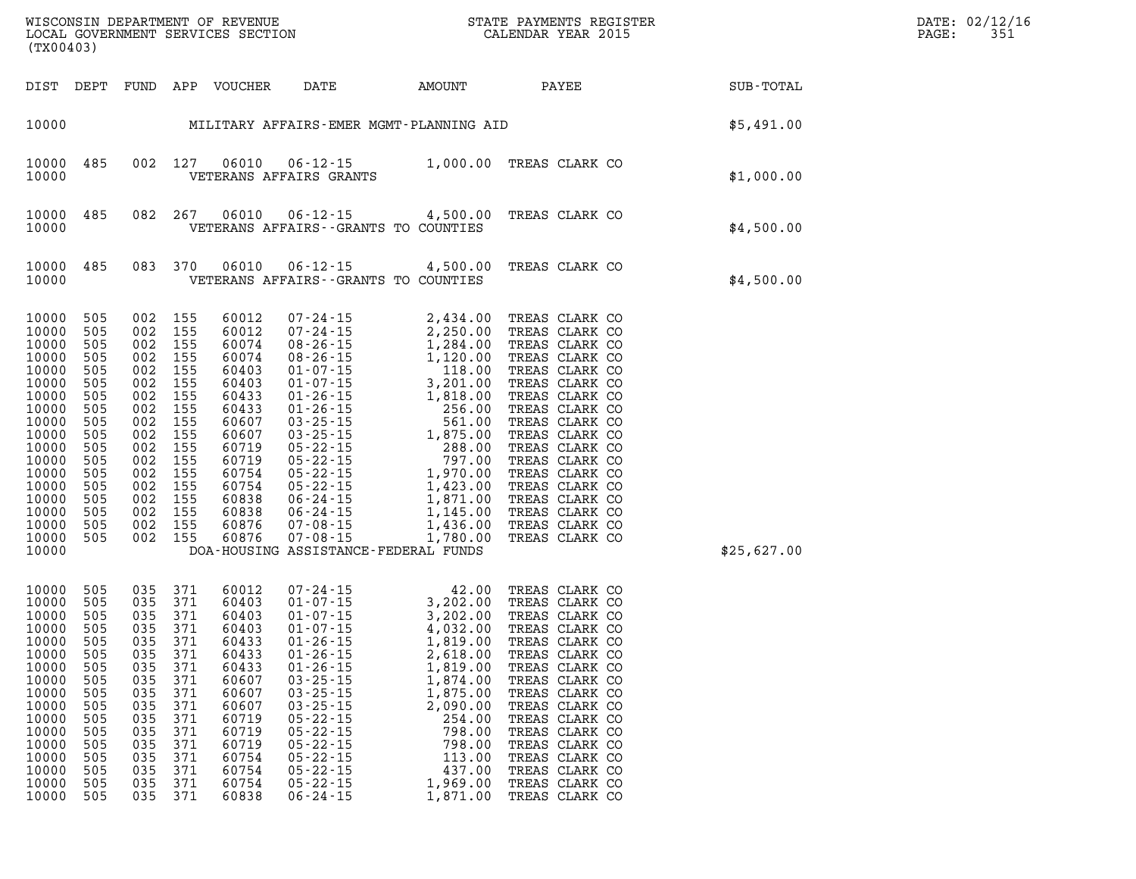|                                                                                                                                                                         | WISCONSIN DEPARTMENT OF REVENUE<br>LOCAL GOVERNMENT SERVICES SECTION CALENDAR YEAR 2015<br>(TX00403)                       |                                                                           |                                                                                                                                                                                                    |                                                                                                                                                                |                                                                                                                                                                                                                      | STATE PAYMENTS REGISTER                                                                                                                                                                                                                                                                                                                                 |                                                                                                                                                                                                                                                                                                                                  |  |             | DATE: 02/12/16<br>PAGE: | 351 |
|-------------------------------------------------------------------------------------------------------------------------------------------------------------------------|----------------------------------------------------------------------------------------------------------------------------|---------------------------------------------------------------------------|----------------------------------------------------------------------------------------------------------------------------------------------------------------------------------------------------|----------------------------------------------------------------------------------------------------------------------------------------------------------------|----------------------------------------------------------------------------------------------------------------------------------------------------------------------------------------------------------------------|---------------------------------------------------------------------------------------------------------------------------------------------------------------------------------------------------------------------------------------------------------------------------------------------------------------------------------------------------------|----------------------------------------------------------------------------------------------------------------------------------------------------------------------------------------------------------------------------------------------------------------------------------------------------------------------------------|--|-------------|-------------------------|-----|
|                                                                                                                                                                         | DIST DEPT                                                                                                                  |                                                                           |                                                                                                                                                                                                    | FUND APP VOUCHER                                                                                                                                               |                                                                                                                                                                                                                      |                                                                                                                                                                                                                                                                                                                                                         | DATE AMOUNT PAYEE                                                                                                                                                                                                                                                                                                                |  | SUB-TOTAL   |                         |     |
|                                                                                                                                                                         |                                                                                                                            |                                                                           |                                                                                                                                                                                                    |                                                                                                                                                                |                                                                                                                                                                                                                      |                                                                                                                                                                                                                                                                                                                                                         | 10000 MILITARY AFFAIRS-EMER MGMT-PLANNING AID                                                                                                                                                                                                                                                                                    |  | \$5,491.00  |                         |     |
| 10000<br>10000                                                                                                                                                          | 485                                                                                                                        |                                                                           | 002 127                                                                                                                                                                                            | 06010                                                                                                                                                          | VETERANS AFFAIRS GRANTS                                                                                                                                                                                              |                                                                                                                                                                                                                                                                                                                                                         | 06-12-15 1,000.00 TREAS CLARK CO                                                                                                                                                                                                                                                                                                 |  | \$1,000.00  |                         |     |
| 10000<br>10000                                                                                                                                                          | 485                                                                                                                        |                                                                           | 082 267                                                                                                                                                                                            | 06010                                                                                                                                                          | VETERANS AFFAIRS -- GRANTS TO COUNTIES                                                                                                                                                                               |                                                                                                                                                                                                                                                                                                                                                         | 06-12-15 4,500.00 TREAS CLARK CO                                                                                                                                                                                                                                                                                                 |  | \$4,500.00  |                         |     |
| 10000<br>10000                                                                                                                                                          | 485                                                                                                                        |                                                                           | 083 370                                                                                                                                                                                            | 06010                                                                                                                                                          | VETERANS AFFAIRS -- GRANTS TO COUNTIES                                                                                                                                                                               |                                                                                                                                                                                                                                                                                                                                                         | 06-12-15 4,500.00 TREAS CLARK CO                                                                                                                                                                                                                                                                                                 |  | \$4,500.00  |                         |     |
| 10000<br>10000<br>10000<br>10000<br>10000<br>10000<br>10000<br>10000<br>10000<br>10000<br>10000<br>10000<br>10000<br>10000<br>10000<br>10000<br>10000<br>10000<br>10000 | 505<br>505<br>505<br>505<br>505<br>505<br>505<br>505<br>505<br>505<br>505<br>505<br>505<br>505<br>505<br>505<br>505<br>505 |                                                                           | 002 155<br>002 155<br>002 155<br>002 155<br>002 155<br>002 155<br>002 155<br>002 155<br>002 155<br>002 155<br>002 155<br>002 155<br>002 155<br>002 155<br>002 155<br>002 155<br>002 155<br>002 155 | 60012<br>60012<br>60074<br>60074<br>60403<br>60403<br>60433<br>60433<br>60607<br>60607<br>60719<br>60719<br>60754<br>60754<br>60838<br>60838<br>60876<br>60876 | DOA-HOUSING ASSISTANCE-FEDERAL FUNDS                                                                                                                                                                                 | $\begin{array}{cccc} 07\text{-}24\text{-}15 & 2,434\text{-}00 \\ 07\text{-}24\text{-}15 & 2,250\text{-}00 \\ 08\text{-}26\text{-}15 & 1,284\text{-}00 \\ 08\text{-}26\text{-}15 & 1,120\text{-}00 \\ 01\text{-}07\text{-}15 & 3,201\text{-}00 \\ 01\text{-}26\text{-}15 & 1,818\text{-}00 \\ 01\text{-}26\text{-}15 & 1,818\text{-}00 \\ 03\text{-}25\$ | TREAS CLARK CO<br>TREAS CLARK CO<br>TREAS CLARK CO<br>TREAS CLARK CO<br>TREAS CLARK CO<br>TREAS CLARK CO<br>TREAS CLARK CO<br>TREAS CLARK CO<br>TREAS CLARK CO<br>TREAS CLARK CO<br>TREAS CLARK CO<br>TREAS CLARK CO<br>TREAS CLARK CO<br>TREAS CLARK CO<br>TREAS CLARK CO<br>TREAS CLARK CO<br>TREAS CLARK CO<br>TREAS CLARK CO |  | \$25,627.00 |                         |     |
| 10000<br>10000<br>10000<br>10000<br>10000<br>10000 505<br>10000<br>10000<br>10000<br>10000<br>10000<br>10000<br>10000<br>10000<br>10000<br>10000<br>10000               | 505<br>505<br>505<br>505<br>505<br>505<br>505<br>505<br>505<br>505<br>505<br>505<br>505<br>505<br>505<br>505               | 035<br>035<br>035<br>035<br>035<br>035<br>035<br>035<br>035<br>035<br>035 | 035 371<br>035 371<br>035 371<br>035 371<br>035 371<br>371<br>371<br>371<br>371<br>371<br>371<br>371<br>371<br>371<br>371<br>371                                                                   | 60012<br>60403<br>60403<br>60403<br>60433<br>035 371 60433<br>60433<br>60607<br>60607<br>60607<br>60719<br>60719<br>60719<br>60754<br>60754<br>60754<br>60838  | $01 - 26 - 15$<br>$01 - 26 - 15$<br>$03 - 25 - 15$<br>$03 - 25 - 15$<br>$03 - 25 - 15$<br>$05 - 22 - 15$<br>$05 - 22 - 15$<br>$05 - 22 - 15$<br>$05 - 22 - 15$<br>$05 - 22 - 15$<br>$05 - 22 - 15$<br>$06 - 24 - 15$ | 07-24-15<br>01-07-15<br>01-07-15<br>01-07-15<br>01-26-15<br>01-26-15<br>01-26-15<br>01-26-15<br>01-26-15<br>01-26-15<br>01-26-15<br>02.618.00<br>$2$ ,618.00<br>1,819.00<br>1,874.00<br>1,875.00<br>2,090.00<br>254.00<br>798.00<br>798.00<br>113.00<br>437.00<br>1,969.00<br>1,871.00                                                                  | TREAS CLARK CO<br>TREAS CLARK CO<br>TREAS CLARK CO<br>TREAS CLARK CO<br>TREAS CLARK CO<br>TREAS CLARK CO<br>TREAS CLARK CO<br>TREAS CLARK CO<br>TREAS CLARK CO<br>TREAS CLARK CO<br>TREAS CLARK CO<br>TREAS CLARK CO<br>TREAS CLARK CO<br>TREAS CLARK CO<br>TREAS CLARK CO<br>TREAS CLARK CO<br>TREAS CLARK CO                   |  |             |                         |     |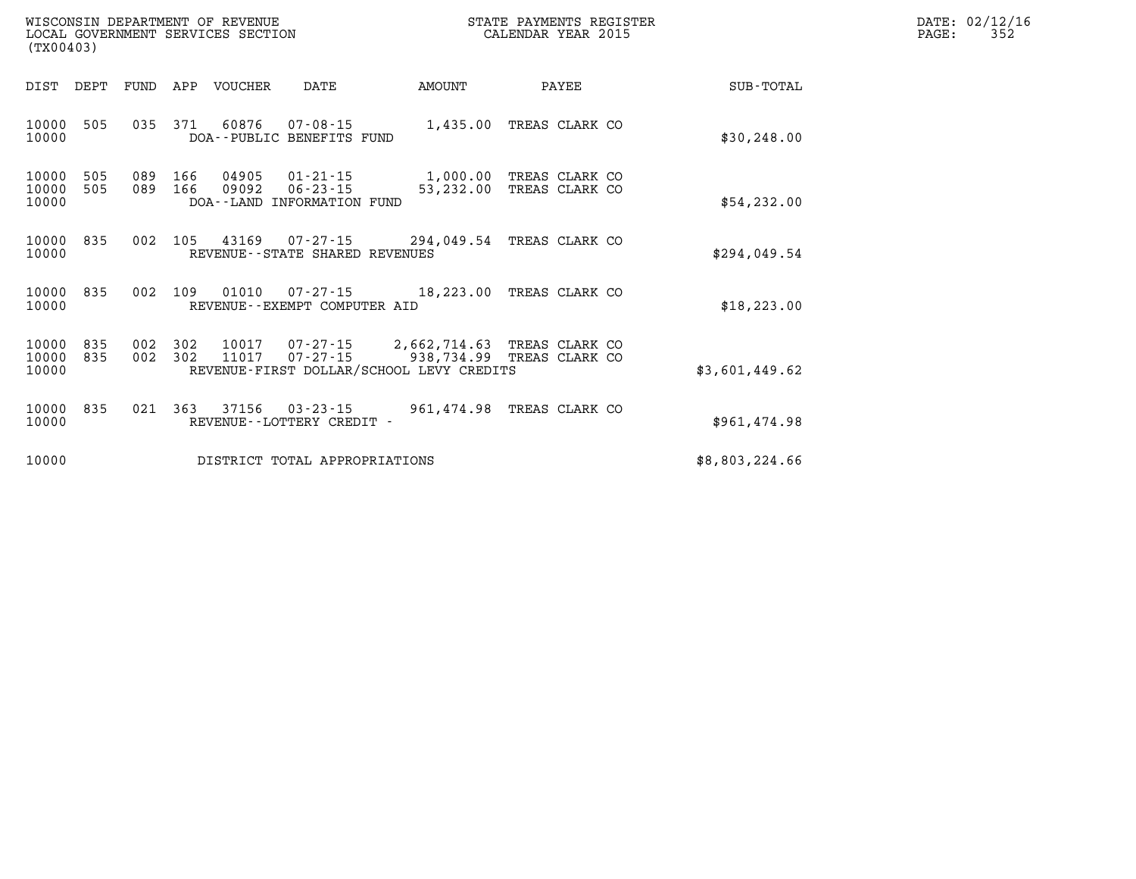| WISCONSIN DEPARTMENT OF REVENUE   | STATE PAYMENTS REGISTER | DATE: | : 02/12/16     |
|-----------------------------------|-------------------------|-------|----------------|
| LOCAL GOVERNMENT SERVICES SECTION | CALENDAR YEAR 2015      | PAGE: | $\sim$ $ \sim$ |

| LOCAL GOVERNMENT SERVICES SECTION<br>(TX00403)                                                                                                  | CALENDAR YEAR 2015                                                   |                | 352<br>PAGE: |
|-------------------------------------------------------------------------------------------------------------------------------------------------|----------------------------------------------------------------------|----------------|--------------|
| DIST DEPT<br>FUND<br>APP VOUCHER<br>DATE                                                                                                        | AMOUNT<br>PAYEE                                                      | SUB-TOTAL      |              |
| 10000<br>505<br>035<br>371<br>60876<br>07-08-15<br>10000<br>DOA--PUBLIC BENEFITS FUND                                                           | 1,435.00<br>TREAS CLARK CO                                           | \$30, 248.00   |              |
| 505<br>089<br>166<br>10000<br>04905<br>01-21-15<br>10000<br>505<br>089<br>166<br>09092<br>$06 - 23 - 15$<br>10000<br>DOA--LAND INFORMATION FUND | 1,000.00 TREAS CLARK CO<br>53, 232.00 TREAS CLARK CO                 | \$54,232.00    |              |
| 10000 835<br>002<br>105<br>43169<br>10000<br>REVENUE - - STATE SHARED REVENUES                                                                  | 07-27-15 294,049.54 TREAS CLARK CO                                   | \$294,049.54   |              |
| 835<br>10000<br>002<br>109<br>01010<br>10000<br>REVENUE--EXEMPT COMPUTER AID                                                                    | 07-27-15 18,223.00 TREAS CLARK CO                                    | \$18, 223.00   |              |
| 10000<br>835<br>002<br>302<br>10017<br>302<br>10000<br>835<br>002<br>11017<br>07-27-15<br>10000<br>REVENUE-FIRST DOLLAR/SCHOOL LEVY CREDITS     | 07-27-15 2,662,714.63 TREAS CLARK CO<br>TREAS CLARK CO<br>938,734.99 | \$3,601,449.62 |              |
| 835<br>021<br>363<br>37156<br>10000<br>03-23-15<br>10000<br>REVENUE - - LOTTERY CREDIT -                                                        | 961,474.98 TREAS CLARK CO                                            | \$961,474.98   |              |
| 10000<br>DISTRICT TOTAL APPROPRIATIONS                                                                                                          |                                                                      | \$8,803,224.66 |              |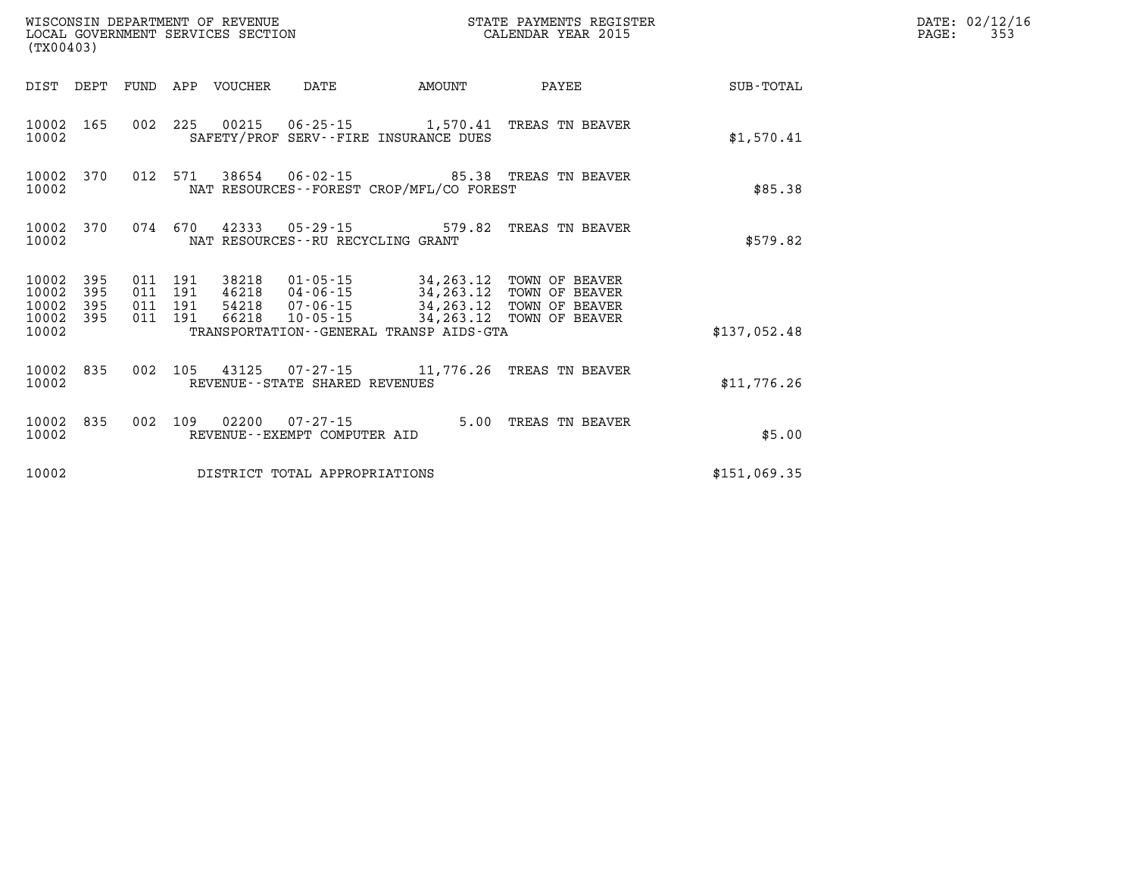|                                      | WISCONSIN DEPARTMENT OF REVENUE<br>LOCAL GOVERNMENT SERVICES SECTION<br>(TX00403) |                               |         | STATE PAYMENTS REGISTER<br>CALENDAR YEAR 2015 | DATE: 02/12/16<br>PAGE:                                |                                                                                                                                 |                                                 |              |  |
|--------------------------------------|-----------------------------------------------------------------------------------|-------------------------------|---------|-----------------------------------------------|--------------------------------------------------------|---------------------------------------------------------------------------------------------------------------------------------|-------------------------------------------------|--------------|--|
|                                      |                                                                                   |                               |         | DIST DEPT FUND APP VOUCHER                    | DATE                                                   | AMOUNT                                                                                                                          | PAYEE                                           | SUB-TOTAL    |  |
| 10002                                | 10002 165                                                                         |                               |         |                                               |                                                        | SAFETY/PROF SERV--FIRE INSURANCE DUES                                                                                           | 002 225 00215 06-25-15 1,570.41 TREAS TN BEAVER | \$1,570.41   |  |
| 10002 370<br>10002                   |                                                                                   |                               | 012 571 |                                               |                                                        | NAT RESOURCES - - FOREST CROP/MFL/CO FOREST                                                                                     | 38654 06-02-15 85.38 TREAS TN BEAVER            | \$85.38      |  |
| 10002                                | 10002 370                                                                         | 074 670                       |         |                                               | NAT RESOURCES--RU RECYCLING GRANT                      |                                                                                                                                 | 42333  05-29-15  579.82  TREAS TN BEAVER        | \$579.82     |  |
| 10002 395<br>10002<br>10002<br>10002 | 395<br>395<br>395                                                                 | 011 191<br>011 191<br>011 191 | 011 191 | 66218                                         |                                                        | 38218  01-05-15  34,263.12  TOWN OF BEAVER<br>46218  04-06-15  34, 263. 12  TOWN OF BEAVER<br>10-05-15 34,263.12 TOWN OF BEAVER | 54218  07-06-15  34,263.12  TOWN OF BEAVER      |              |  |
| 10002                                |                                                                                   |                               |         |                                               |                                                        | TRANSPORTATION--GENERAL TRANSP AIDS-GTA                                                                                         |                                                 | \$137,052.48 |  |
| 10002                                | 10002 835                                                                         |                               | 002 105 |                                               | REVENUE--STATE SHARED REVENUES                         |                                                                                                                                 |                                                 | \$11,776.26  |  |
| 10002                                | 10002 835                                                                         |                               |         |                                               | 002 109 02200 07-27-15<br>REVENUE--EXEMPT COMPUTER AID |                                                                                                                                 | 5.00 TREAS TN BEAVER                            | \$5.00       |  |
| 10002                                |                                                                                   |                               |         |                                               | DISTRICT TOTAL APPROPRIATIONS                          |                                                                                                                                 |                                                 | \$151,069.35 |  |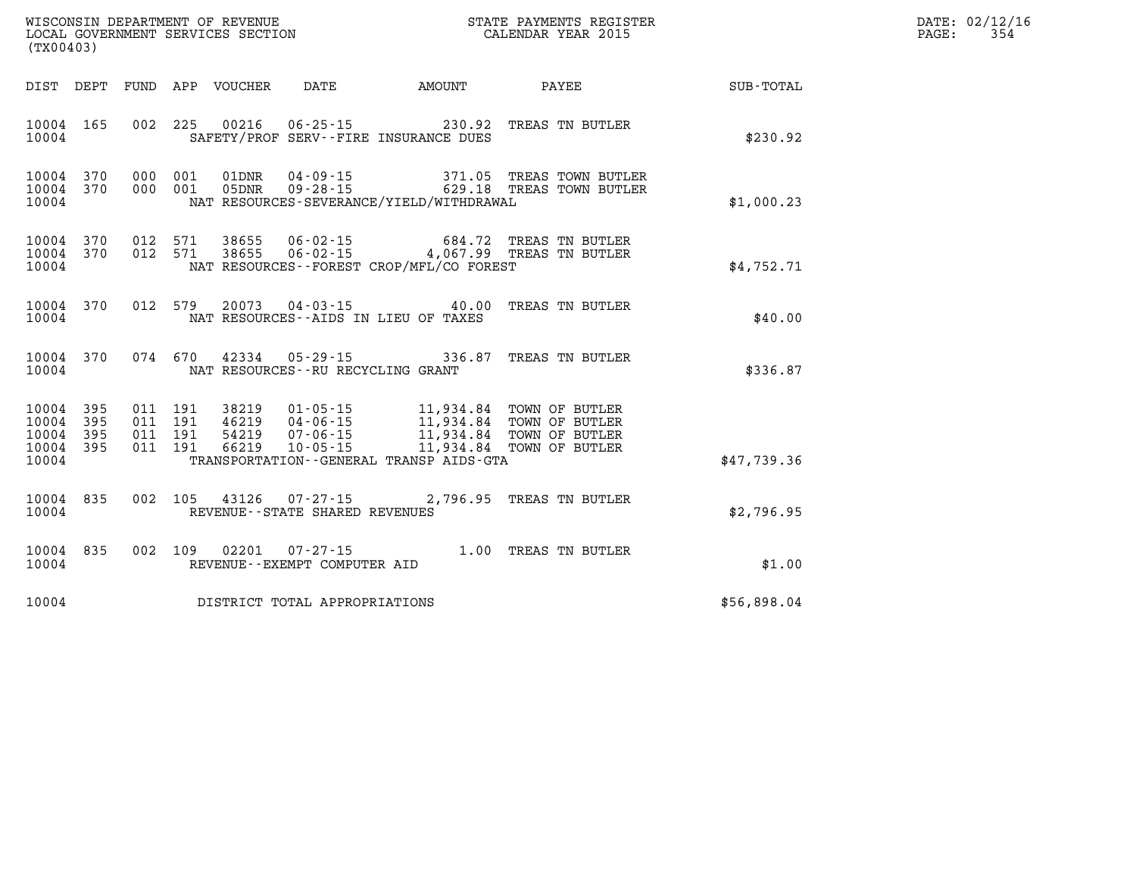| WISCONSIN DEPARTMENT OF REVENUE   | STATE PAYMENTS REGISTER | DATE: 02/12/16 |
|-----------------------------------|-------------------------|----------------|
| LOCAL GOVERNMENT SERVICES SECTION | CALENDAR YEAR 2015      | PAGE:          |
| (TX00403)                         |                         |                |

| (TX00403)                                                             |                          |                                                                                                                                      |                                                                                |                                                                                |                  |
|-----------------------------------------------------------------------|--------------------------|--------------------------------------------------------------------------------------------------------------------------------------|--------------------------------------------------------------------------------|--------------------------------------------------------------------------------|------------------|
| DEPT<br>DIST                                                          | FUND                     | APP<br>VOUCHER<br>DATE                                                                                                               | AMOUNT                                                                         | PAYEE                                                                          | <b>SUB-TOTAL</b> |
| 165<br>10004<br>10004                                                 | 002                      | 225<br>00216                                                                                                                         | $06 - 25 - 15$<br>230.92<br>SAFETY/PROF SERV--FIRE INSURANCE DUES              | TREAS TN BUTLER                                                                | \$230.92         |
| 370<br>10004<br>10004<br>370<br>10004                                 | 000<br>000               | $04 - 09 - 15$<br>001<br>01DNR<br>001<br>05DNR<br>$09 - 28 - 15$                                                                     | 371.05<br>629.18<br>NAT RESOURCES-SEVERANCE/YIELD/WITHDRAWAL                   | TREAS TOWN BUTLER<br>TREAS TOWN BUTLER                                         | \$1,000.23       |
| 10004<br>370<br>10004<br>370<br>10004                                 | 012<br>012               | 571<br>38655<br>$06 - 02 - 15$<br>571<br>38655<br>$06 - 02 - 15$                                                                     | 684.72<br>NAT RESOURCES--FOREST CROP/MFL/CO FOREST                             | TREAS TN BUTLER<br>4,067.99 TREAS TN BUTLER                                    | \$4,752.71       |
| 370<br>10004<br>10004                                                 | 012                      | 579<br>20073<br>$04 - 03 - 15$                                                                                                       | 40.00<br>NAT RESOURCES -- AIDS IN LIEU OF TAXES                                | TREAS TN BUTLER                                                                | \$40.00          |
| 10004<br>370<br>10004                                                 | 074                      | 670<br>42334<br>NAT RESOURCES - - RU RECYCLING GRANT                                                                                 | 336.87<br>$05 - 29 - 15$                                                       | TREAS TN BUTLER                                                                | \$336.87         |
| 10004<br>395<br>10004<br>395<br>10004<br>395<br>395<br>10004<br>10004 | 011<br>011<br>011<br>011 | 191<br>38219<br>$01 - 05 - 15$<br>191<br>46219<br>$04 - 06 - 15$<br>191<br>54219<br>$07 - 06 - 15$<br>191<br>$10 - 05 - 15$<br>66219 | 11,934.84<br>11,934.84<br>11,934.84<br>TRANSPORTATION--GENERAL TRANSP AIDS-GTA | 11,934.84 TOWN OF BUTLER<br>TOWN OF BUTLER<br>TOWN OF BUTLER<br>TOWN OF BUTLER | \$47,739.36      |
| 10004<br>835<br>10004                                                 | 002                      | 105<br>43126<br>$07 - 27 - 15$<br>REVENUE - - STATE SHARED REVENUES                                                                  | 2,796.95                                                                       | TREAS TN BUTLER                                                                | \$2,796.95       |
| 835<br>10004<br>10004                                                 | 002                      | 109<br>02201<br>$07 - 27 - 15$<br>REVENUE--EXEMPT COMPUTER AID                                                                       | 1.00                                                                           | TREAS TN BUTLER                                                                | \$1.00           |
| 10004                                                                 |                          | DISTRICT TOTAL APPROPRIATIONS                                                                                                        |                                                                                |                                                                                | \$56,898.04      |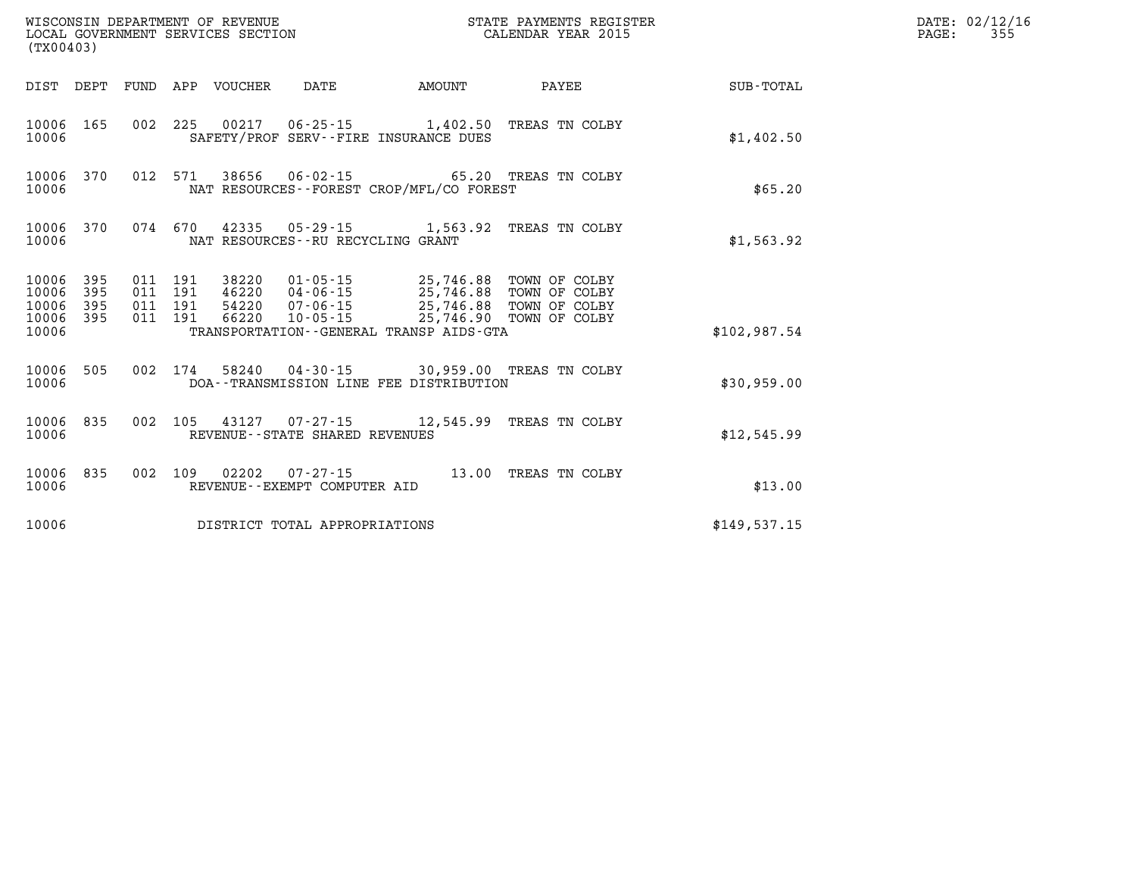| (TX00403)                                         |            |                    |                    |                            | WISCONSIN DEPARTMENT OF REVENUE<br>LOCAL GOVERNMENT SERVICES SECTION |               | STATE PAYMENTS REGISTER<br>CALENDAR YEAR 2015                                                                                                                              |              | DATE: 02/12/16<br>PAGE:<br>355 |
|---------------------------------------------------|------------|--------------------|--------------------|----------------------------|----------------------------------------------------------------------|---------------|----------------------------------------------------------------------------------------------------------------------------------------------------------------------------|--------------|--------------------------------|
|                                                   |            |                    |                    | DIST DEPT FUND APP VOUCHER | DATE                                                                 | <b>AMOUNT</b> | PAYEE                                                                                                                                                                      | SUB-TOTAL    |                                |
| 10006 165<br>10006                                |            |                    |                    |                            | SAFETY/PROF SERV--FIRE INSURANCE DUES                                |               | 002 225 00217 06-25-15 1,402.50 TREAS TN COLBY                                                                                                                             | \$1,402.50   |                                |
| 10006                                             | 10006 370  |                    |                    |                            | NAT RESOURCES - - FOREST CROP/MFL/CO FOREST                          |               | 012 571 38656 06-02-15 65.20 TREAS TN COLBY                                                                                                                                | \$65.20      |                                |
| 10006                                             | 10006 370  |                    |                    |                            | NAT RESOURCES - - RU RECYCLING GRANT                                 |               | 074 670 42335 05-29-15 1,563.92 TREAS TN COLBY                                                                                                                             | \$1,563.92   |                                |
| 10006 395<br>10006<br>10006<br>10006 395<br>10006 | 395<br>395 | 011 191<br>011 191 | 011 191<br>011 191 |                            | TRANSPORTATION--GENERAL TRANSP AIDS-GTA                              |               | 38220  01-05-15  25,746.88  TOWN OF COLBY<br>46220 04-06-15 25,746.88 TOWN OF COLBY<br>54220  07-06-15  25,746.88  TOWN OF COLBY<br>66220 10-05-15 25,746.90 TOWN OF COLBY | \$102,987.54 |                                |
| 10006 505<br>10006                                |            |                    |                    |                            | DOA--TRANSMISSION LINE FEE DISTRIBUTION                              |               | 002 174 58240 04-30-15 30,959.00 TREAS TN COLBY                                                                                                                            | \$30,959.00  |                                |
| 10006                                             | 10006 835  |                    |                    |                            | REVENUE--STATE SHARED REVENUES                                       |               | 002 105 43127 07-27-15 12,545.99 TREAS TN COLBY                                                                                                                            | \$12,545.99  |                                |
| 10006 835<br>10006                                |            |                    |                    |                            | REVENUE--EXEMPT COMPUTER AID                                         |               | 002 109 02202 07-27-15 13.00 TREAS TN COLBY                                                                                                                                | \$13.00      |                                |
| 10006                                             |            |                    |                    |                            | DISTRICT TOTAL APPROPRIATIONS                                        |               |                                                                                                                                                                            | \$149.537.15 |                                |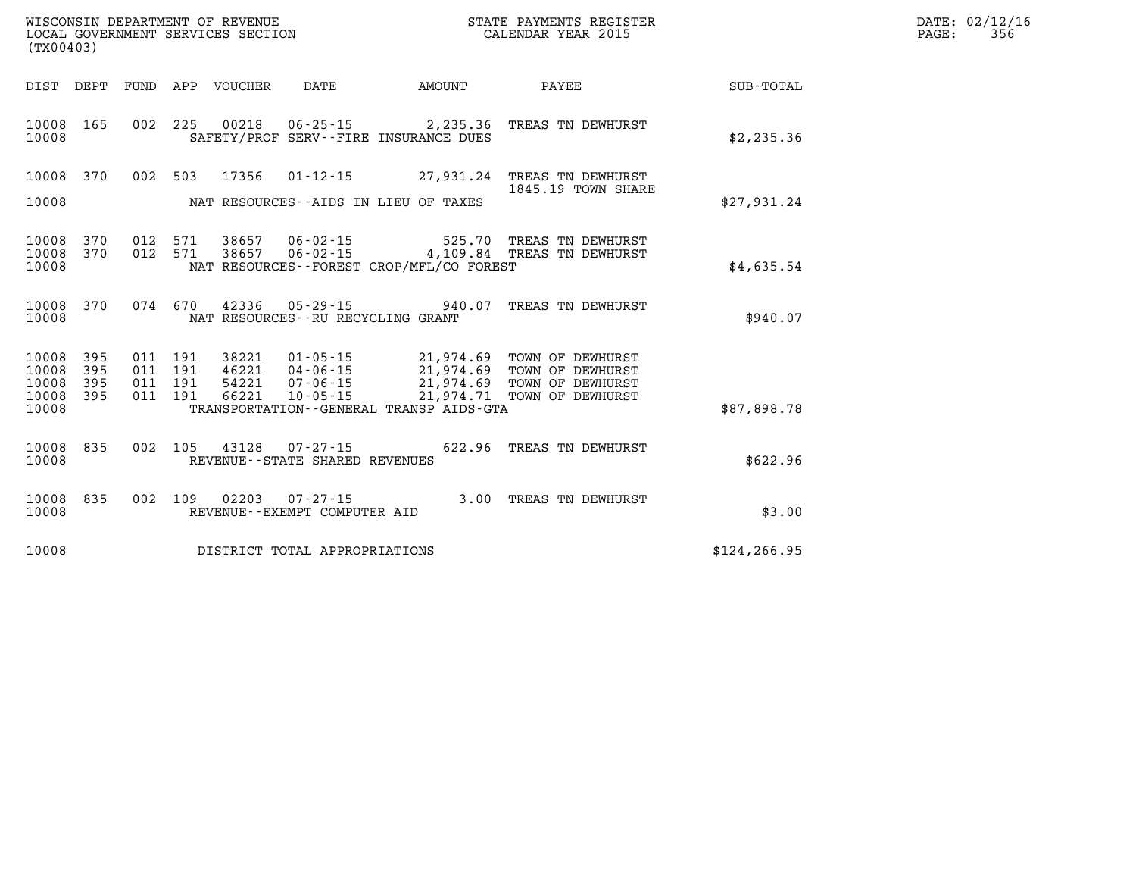| (TX00403)                                 |                          |                          |                          | WISCONSIN DEPARTMENT OF REVENUE<br>LOCAL GOVERNMENT SERVICES SECTION |                                                                      |                                                                                             | STATE PAYMENTS REGISTER<br>CALENDAR YEAR 2015                                |                  |
|-------------------------------------------|--------------------------|--------------------------|--------------------------|----------------------------------------------------------------------|----------------------------------------------------------------------|---------------------------------------------------------------------------------------------|------------------------------------------------------------------------------|------------------|
| DIST                                      | DEPT                     | FUND                     | APP                      | VOUCHER                                                              | DATE                                                                 | AMOUNT                                                                                      | PAYEE                                                                        | <b>SUB-TOTAL</b> |
| 10008<br>10008                            | 165                      | 002                      | 225                      | 00218                                                                | $06 - 25 - 15$                                                       | 2,235.36<br>SAFETY/PROF SERV--FIRE INSURANCE DUES                                           | TREAS TN DEWHURST                                                            | \$2,235.36       |
| 10008<br>10008                            | 370                      | 002                      | 503                      | 17356                                                                | $01 - 12 - 15$<br>NAT RESOURCES -- AIDS IN LIEU OF TAXES             | 27,931.24                                                                                   | TREAS TN DEWHURST<br>1845.19 TOWN SHARE                                      | \$27,931.24      |
| 10008<br>10008<br>10008                   | 370<br>370               | 012<br>012               | 571<br>571               | 38657<br>38657                                                       | 06-02-15                                                             | 525.70<br>$06 - 02 - 15$ 4, 109.84<br>NAT RESOURCES - - FOREST CROP/MFL/CO FOREST           | TREAS TN DEWHURST<br>TREAS TN DEWHURST                                       | \$4,635.54       |
| 10008<br>10008                            | 370                      | 074                      | 670                      | 42336                                                                | $05 - 29 - 15$<br>NAT RESOURCES - - RU RECYCLING GRANT               | 940.07                                                                                      | TREAS TN DEWHURST                                                            | \$940.07         |
| 10008<br>10008<br>10008<br>10008<br>10008 | 395<br>395<br>395<br>395 | 011<br>011<br>011<br>011 | 191<br>191<br>191<br>191 | 38221<br>46221<br>54221<br>66221                                     | $01 - 05 - 15$<br>$04 - 06 - 15$<br>$07 - 06 - 15$<br>$10 - 05 - 15$ | 21,974.69<br>21,974.69<br>21,974.69<br>21,974.71<br>TRANSPORTATION--GENERAL TRANSP AIDS-GTA | TOWN OF DEWHURST<br>TOWN OF DEWHURST<br>TOWN OF DEWHURST<br>TOWN OF DEWHURST | \$87,898.78      |
| 10008<br>10008                            | 835                      | 002                      | 105                      | 43128                                                                | $07 - 27 - 15$<br>REVENUE - - STATE SHARED REVENUES                  | 622.96                                                                                      | TREAS TN DEWHURST                                                            | \$622.96         |
| 10008<br>10008                            | 835                      | 002                      | 109                      | 02203                                                                | $07 - 27 - 15$<br>REVENUE--EXEMPT COMPUTER AID                       | 3.00                                                                                        | TREAS TN DEWHURST                                                            | \$3.00           |
| 10008                                     |                          |                          |                          |                                                                      | DISTRICT TOTAL APPROPRIATIONS                                        |                                                                                             |                                                                              | \$124, 266.95    |

**LOCAL GOVER SERVICE:** 02/12/16<br>PAGE: 356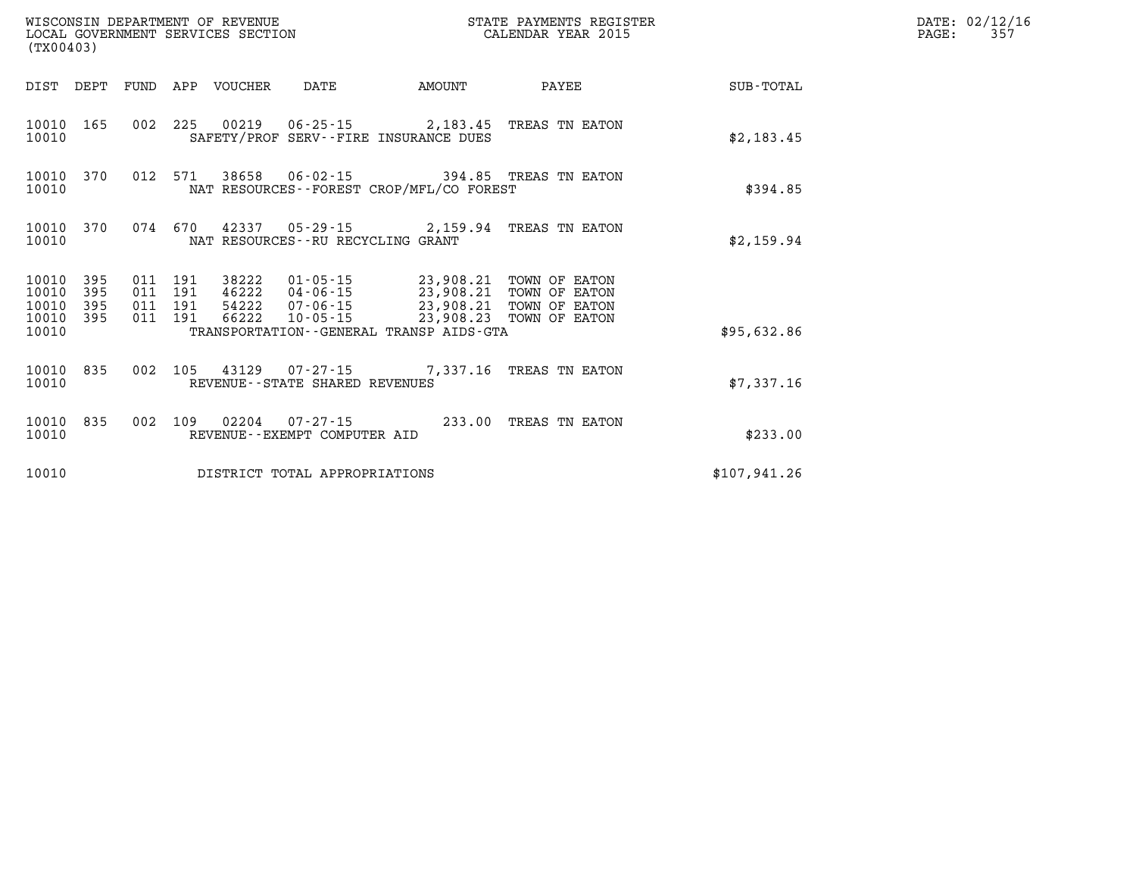| WISCONSIN DEPARTMENT OF REVENUE<br>LOCAL GOVERNMENT SERVICES SECTION<br>(TX00403) |            |                                          |         |                            |                                   |                                              | STATE PAYMENTS REGISTER<br>CALENDAR YEAR 2015                                                                                      |              | DATE: 02/12/16<br>PAGE:<br>357 |
|-----------------------------------------------------------------------------------|------------|------------------------------------------|---------|----------------------------|-----------------------------------|----------------------------------------------|------------------------------------------------------------------------------------------------------------------------------------|--------------|--------------------------------|
|                                                                                   |            |                                          |         | DIST DEPT FUND APP VOUCHER | DATE                              | <b>AMOUNT</b>                                | PAYEE                                                                                                                              | SUB-TOTAL    |                                |
| 10010                                                                             | 10010 165  |                                          |         |                            |                                   | SAFETY/PROF SERV--FIRE INSURANCE DUES        | 002 225 00219 06-25-15 2,183.45 TREAS TN EATON                                                                                     | \$2,183.45   |                                |
| 10010                                                                             | 10010 370  |                                          |         |                            |                                   | NAT RESOURCES - - FOREST CROP/MFL/CO FOREST  | 012 571 38658 06-02-15 394.85 TREAS TN EATON                                                                                       | \$394.85     |                                |
| 10010                                                                             | 10010 370  |                                          | 074 670 |                            | NAT RESOURCES--RU RECYCLING GRANT |                                              | 42337 05-29-15 2,159.94 TREAS TN EATON                                                                                             | \$2,159.94   |                                |
| 10010 395<br>10010<br>10010<br>10010 395                                          | 395<br>395 | 011 191<br>011 191<br>011 191<br>011 191 |         | 38222<br>66222             |                                   | 46222  04-06-15  23,908.21                   | 01-05-15 23,908.21 TOWN OF EATON<br>TOWN OF EATON<br>54222  07-06-15  23,908.21  TOWN OF EATON<br>10-05-15 23,908.23 TOWN OF EATON |              |                                |
| 10010                                                                             |            |                                          |         |                            |                                   | TRANSPORTATION - - GENERAL TRANSP AIDS - GTA |                                                                                                                                    | \$95,632.86  |                                |
| 10010 835<br>10010                                                                |            |                                          |         |                            | REVENUE--STATE SHARED REVENUES    |                                              | 002 105 43129 07-27-15 7,337.16 TREAS TN EATON                                                                                     | \$7,337.16   |                                |
| 10010                                                                             | 10010 835  | 002 109                                  |         |                            | REVENUE--EXEMPT COMPUTER AID      |                                              | 02204  07-27-15  233.00 TREAS TN EATON                                                                                             | \$233.00     |                                |
| 10010                                                                             |            |                                          |         |                            | DISTRICT TOTAL APPROPRIATIONS     |                                              |                                                                                                                                    | \$107,941.26 |                                |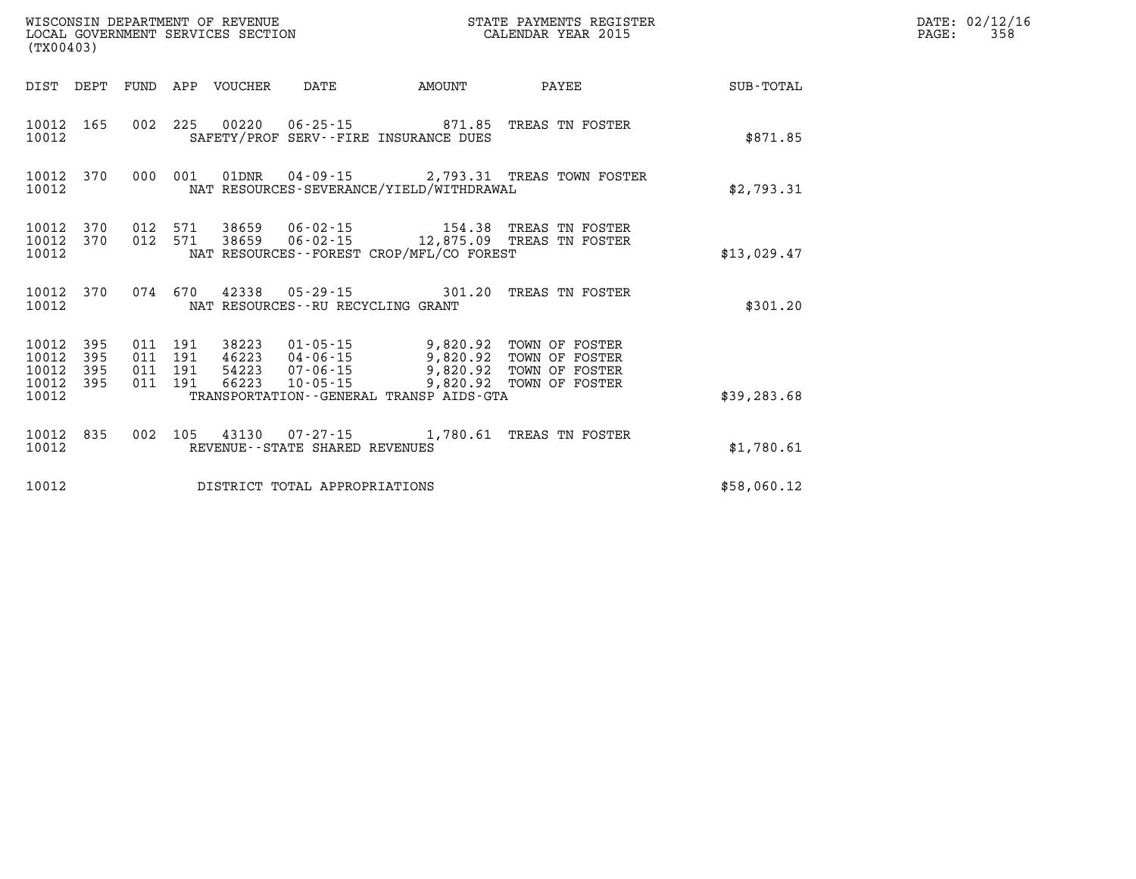| WISCONSIN DEPARTMENT OF REVENUE<br>LOCAL GOVERNMENT SERVICES SECTION<br>(TX00403)                                                          |                                                                                                                                                                                                                                  | STATE PAYMENTS REGISTER<br>CALENDAR YEAR 2015 |              | DATE: 02/12/16<br>358<br>$\mathtt{PAGE}$ : |
|--------------------------------------------------------------------------------------------------------------------------------------------|----------------------------------------------------------------------------------------------------------------------------------------------------------------------------------------------------------------------------------|-----------------------------------------------|--------------|--------------------------------------------|
| FUND APP VOUCHER<br>DIST DEPT                                                                                                              | DATE AMOUNT                                                                                                                                                                                                                      | PAYEE                                         | SUB-TOTAL    |                                            |
| 002 225 00220 06-25-15 871.85 TREAS TN FOSTER<br>10012 165<br>10012                                                                        | SAFETY/PROF SERV--FIRE INSURANCE DUES                                                                                                                                                                                            |                                               | \$871.85     |                                            |
| 000 001 01DNR 04-09-15 2,793.31 TREAS TOWN FOSTER<br>10012 370<br>10012                                                                    | NAT RESOURCES-SEVERANCE/YIELD/WITHDRAWAL                                                                                                                                                                                         |                                               | \$2,793.31   |                                            |
| 012 571 38659 06-02-15 154.38 TREAS TN FOSTER<br>012 571 38659 06-02-15 12,875.09 TREAS TN FOSTER<br>10012<br>370<br>10012<br>370<br>10012 | NAT RESOURCES - - FOREST CROP/MFL/CO FOREST                                                                                                                                                                                      |                                               | \$13,029.47  |                                            |
| 074 670 42338 05-29-15 301.20 TREAS TN FOSTER<br>10012 370<br>10012<br>NAT RESOURCES -- RU RECYCLING GRANT                                 |                                                                                                                                                                                                                                  |                                               | \$301.20     |                                            |
| 011 191 38223<br>10012<br>- 395<br>10012<br>395<br>011 191<br>10012<br>395<br>011 191<br>011 191<br>66223<br>10012<br>395<br>10012         | 38223  01-05-15  9,820.92  TOWN OF FOSTER<br>46223  04-06-15  9,820.92  TOWN OF FOSTER<br>54223  07-06-15  9,820.92  TOWN OF FOSTER<br>$10 - 05 - 15$<br>9,820.92 TOWN OF FOSTER<br>TRANSPORTATION - - GENERAL TRANSP AIDS - GTA |                                               | \$39, 283.68 |                                            |
| 002 105 43130 07-27-15 1,780.61 TREAS TN FOSTER<br>10012 835<br>10012<br>REVENUE--STATE SHARED REVENUES                                    |                                                                                                                                                                                                                                  |                                               | \$1,780.61   |                                            |
| 10012<br>DISTRICT TOTAL APPROPRIATIONS                                                                                                     |                                                                                                                                                                                                                                  |                                               | \$58,060.12  |                                            |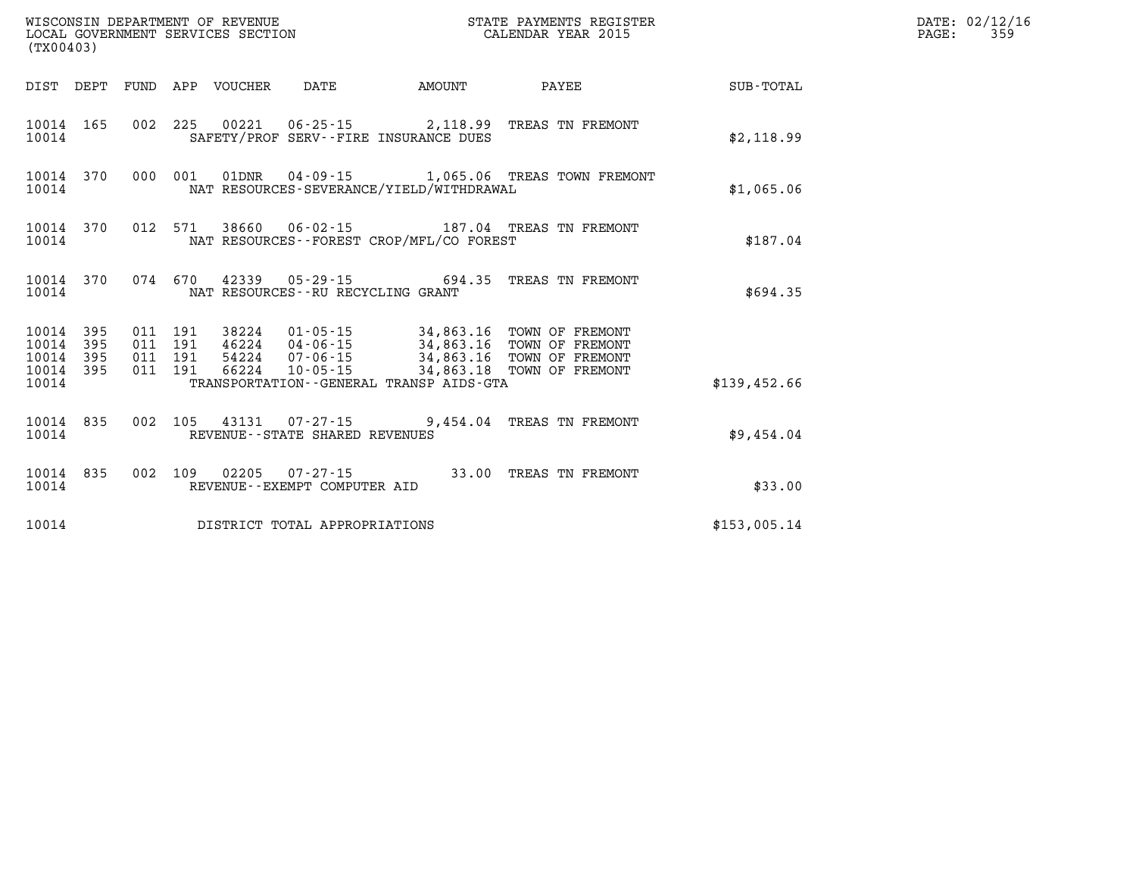|                                           | WISCONSIN DEPARTMENT OF REVENUE<br>STATE PAYMENTS REGISTER<br>LOCAL GOVERNMENT SERVICES SECTION<br>CALENDAR YEAR 2015<br>(TX00403) |                          |                          |                         |                                                                      |                                                      |                                                                                                        |                  |  |
|-------------------------------------------|------------------------------------------------------------------------------------------------------------------------------------|--------------------------|--------------------------|-------------------------|----------------------------------------------------------------------|------------------------------------------------------|--------------------------------------------------------------------------------------------------------|------------------|--|
| DIST                                      | DEPT                                                                                                                               | FUND                     | APP                      | VOUCHER                 | DATE                                                                 | AMOUNT                                               | PAYEE                                                                                                  | <b>SUB-TOTAL</b> |  |
| 10014<br>10014                            | 165                                                                                                                                | 002                      | 225                      | 00221                   |                                                                      | SAFETY/PROF SERV--FIRE INSURANCE DUES                | 06-25-15 2,118.99 TREAS TN FREMONT                                                                     | \$2,118.99       |  |
| 10014<br>10014                            | 370                                                                                                                                | 000                      | 001                      | 01DNR                   | $04 - 09 - 15$                                                       | NAT RESOURCES-SEVERANCE/YIELD/WITHDRAWAL             | 1,065.06 TREAS TOWN FREMONT                                                                            | \$1,065.06       |  |
| 10014<br>10014                            | 370                                                                                                                                | 012                      | 571                      |                         |                                                                      | NAT RESOURCES - - FOREST CROP/MFL/CO FOREST          | 38660  06-02-15  187.04  TREAS TN FREMONT                                                              | \$187.04         |  |
| 10014<br>10014                            | 370                                                                                                                                | 074                      | 670                      | 42339                   | NAT RESOURCES - - RU RECYCLING GRANT                                 | $05 - 29 - 15$ 694.35                                | TREAS TN FREMONT                                                                                       | \$694.35         |  |
| 10014<br>10014<br>10014<br>10014<br>10014 | 395<br>395<br>395<br>395                                                                                                           | 011<br>011<br>011<br>011 | 191<br>191<br>191<br>191 | 46224<br>54224<br>66224 | 38224 01-05-15<br>$04 - 06 - 15$<br>$07 - 06 - 15$<br>$10 - 05 - 15$ | 34,863.18<br>TRANSPORTATION--GENERAL TRANSP AIDS-GTA | 34,863.16 TOWN OF FREMONT<br>34,863.16 TOWN OF FREMONT<br>34,863.16 TOWN OF FREMONT<br>TOWN OF FREMONT | \$139,452.66     |  |
| 10014<br>10014                            | 835                                                                                                                                | 002                      | 105                      | 43131                   | REVENUE - - STATE SHARED REVENUES                                    |                                                      | 07-27-15 9,454.04 TREAS TN FREMONT                                                                     | \$9,454.04       |  |
| 10014<br>10014                            | 835                                                                                                                                | 002                      | 109                      | 02205                   | $07 - 27 - 15$<br>REVENUE - - EXEMPT COMPUTER AID                    | 33.00                                                | TREAS TN FREMONT                                                                                       | \$33.00          |  |
| 10014                                     |                                                                                                                                    |                          |                          |                         | DISTRICT TOTAL APPROPRIATIONS                                        |                                                      |                                                                                                        | \$153,005.14     |  |

**LOCAL GOVER SERVICE: 02/12/16<br>PAGE: 359**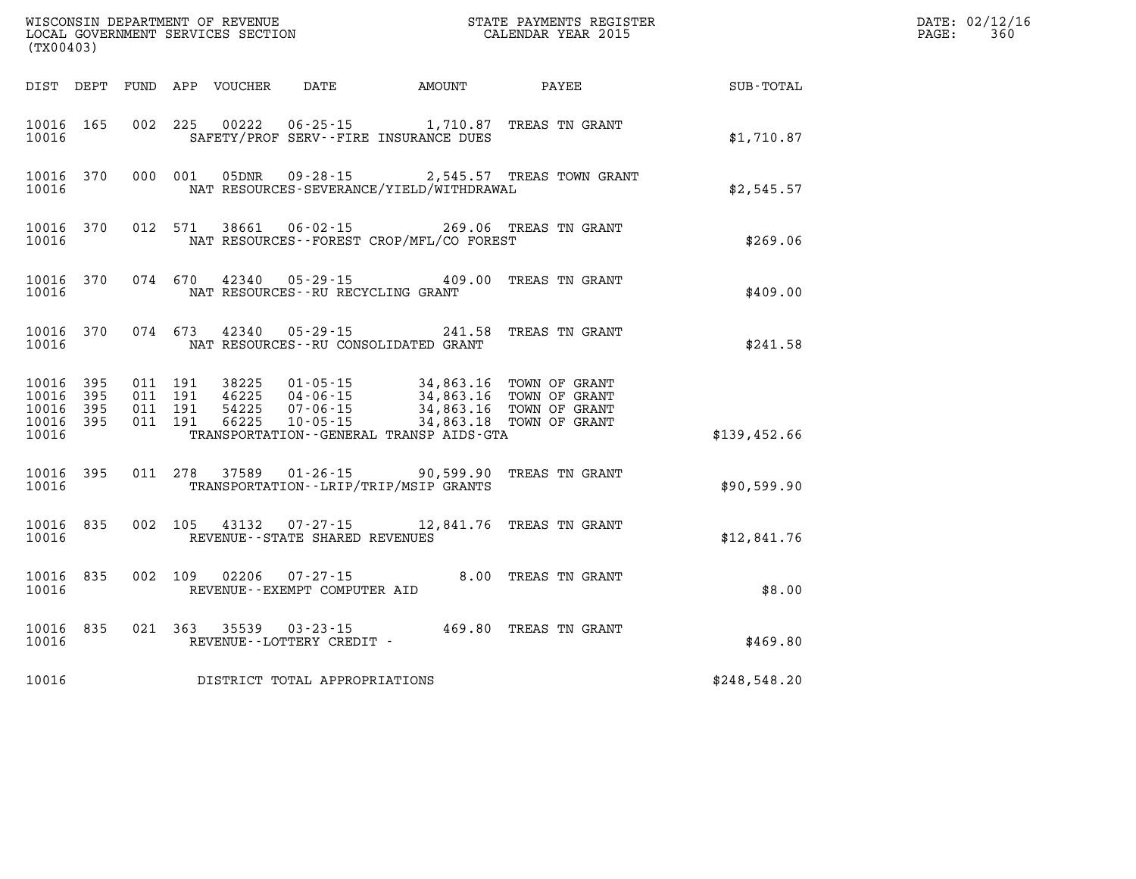| (TX00403)                            |                   |                                          |         | WISCONSIN DEPARTMENT OF REVENUE<br>LOCAL GOVERNMENT SERVICES SECTION |                                                        |                                                                                                                                | STATE PAYMENTS REGISTER<br>CALENDAR YEAR 2015 |              | DATE: 02/12/16<br>360<br>$\mathtt{PAGE}$ : |
|--------------------------------------|-------------------|------------------------------------------|---------|----------------------------------------------------------------------|--------------------------------------------------------|--------------------------------------------------------------------------------------------------------------------------------|-----------------------------------------------|--------------|--------------------------------------------|
|                                      |                   |                                          |         | DIST DEPT FUND APP VOUCHER                                           | DATE                                                   | AMOUNT                                                                                                                         | PAYEE                                         | SUB-TOTAL    |                                            |
| 10016 165<br>10016                   |                   |                                          |         | 002 225 00222                                                        |                                                        | 06-25-15 1,710.87 TREAS TN GRANT<br>SAFETY/PROF SERV--FIRE INSURANCE DUES                                                      |                                               | \$1,710.87   |                                            |
| 10016                                | 10016 370         |                                          |         | 000 001 05DNR                                                        | 09 - 28 - 15                                           | NAT RESOURCES-SEVERANCE/YIELD/WITHDRAWAL                                                                                       | 2,545.57 TREAS TOWN GRANT                     | \$2,545.57   |                                            |
| 10016                                | 10016 370         | 012 571                                  |         | 38661                                                                |                                                        | 06-02-15 269.06 TREAS TN GRANT<br>NAT RESOURCES--FOREST CROP/MFL/CO FOREST                                                     |                                               | \$269.06     |                                            |
| 10016                                | 10016 370         | 074 670                                  |         | 42340                                                                | NAT RESOURCES--RU RECYCLING GRANT                      | 05-29-15 409.00 TREAS TN GRANT                                                                                                 |                                               | \$409.00     |                                            |
| 10016                                | 10016 370         |                                          | 074 673 |                                                                      |                                                        | 42340  05-29-15  241.58  TREAS TN GRANT<br>NAT RESOURCES - - RU CONSOLIDATED GRANT                                             |                                               | \$241.58     |                                            |
| 10016 395<br>10016<br>10016<br>10016 | 395<br>395<br>395 | 011 191<br>011 191<br>011 191<br>011 191 |         | 38225<br>46225<br>54225<br>66225                                     | $04 - 06 - 15$                                         | $01 - 05 - 15$ 34,863.16<br>04-06-15<br>07-06-15<br>07-06-15<br>34,863.16 TOWN OF GRANT<br>10-05-15<br>34,863.18 TOWN OF GRANT | TOWN OF GRANT                                 |              |                                            |
| 10016                                |                   |                                          |         |                                                                      |                                                        | TRANSPORTATION - - GENERAL TRANSP AIDS - GTA                                                                                   |                                               | \$139,452.66 |                                            |
| 10016                                | 10016 395         |                                          |         |                                                                      |                                                        | 011 278 37589 01-26-15 90,599.90 TREAS TN GRANT<br>TRANSPORTATION - - LRIP/TRIP/MSIP GRANTS                                    |                                               | \$90,599.90  |                                            |
| 10016 835<br>10016                   |                   |                                          |         |                                                                      | REVENUE - - STATE SHARED REVENUES                      | 002 105 43132 07-27-15 12,841.76 TREAS TN GRANT                                                                                |                                               | \$12,841.76  |                                            |
| 10016                                | 10016 835         |                                          |         |                                                                      | 002 109 02206 07-27-15<br>REVENUE--EXEMPT COMPUTER AID |                                                                                                                                | 8.00 TREAS TN GRANT                           | \$8.00       |                                            |
| 10016                                | 10016 835         |                                          |         |                                                                      | 021 363 35539 03-23-15<br>REVENUE--LOTTERY CREDIT -    | 469.80 TREAS TN GRANT                                                                                                          |                                               | \$469.80     |                                            |
| 10016                                |                   |                                          |         |                                                                      | DISTRICT TOTAL APPROPRIATIONS                          |                                                                                                                                |                                               | \$248,548.20 |                                            |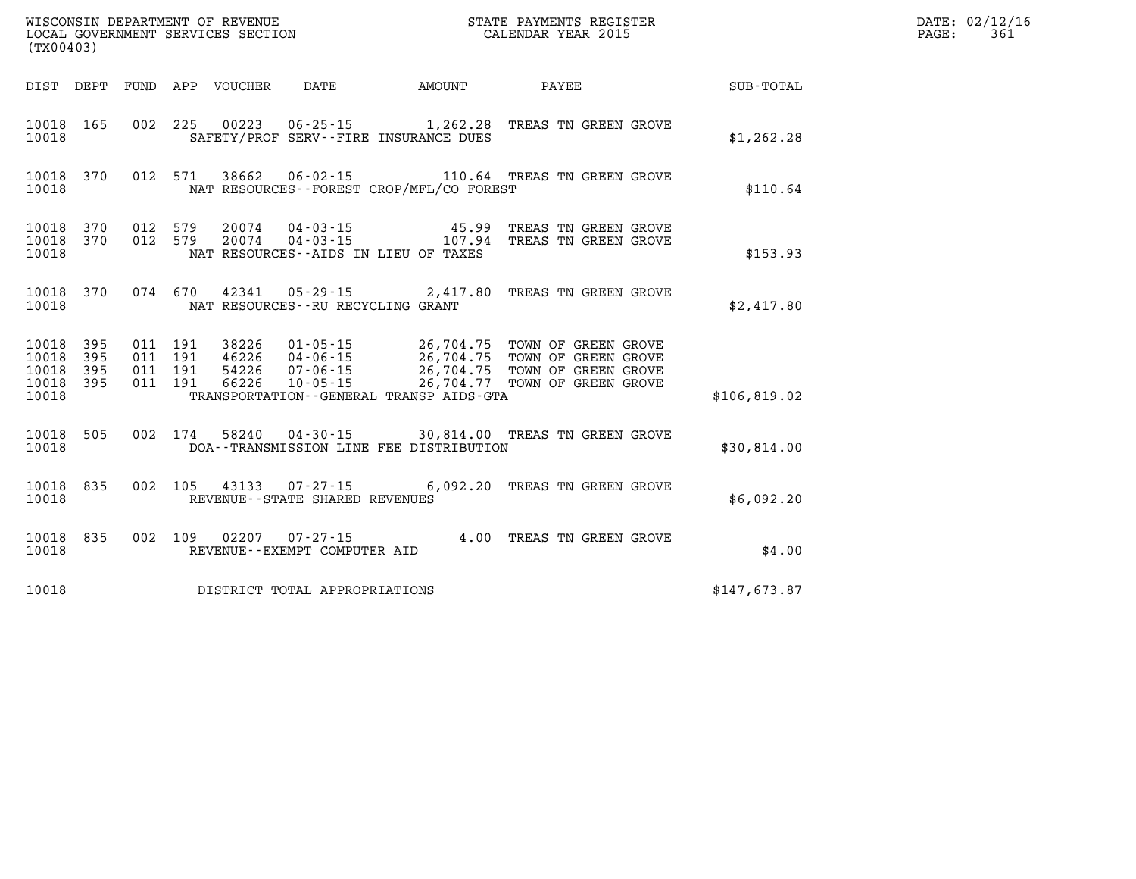| (TX00403)                            |                   |                                          |                                |                                             | WISCONSIN DEPARTMENT OF REVENUE<br>LOCAL GOVERNMENT SERVICES SECTION CALENDAR YEAR 2015<br>STATE PAYMENTS REGISTER                                                                                       |              | DATE: 02/12/16<br>$\mathtt{PAGE}$ :<br>361 |
|--------------------------------------|-------------------|------------------------------------------|--------------------------------|---------------------------------------------|----------------------------------------------------------------------------------------------------------------------------------------------------------------------------------------------------------|--------------|--------------------------------------------|
|                                      |                   | DIST DEPT FUND APP VOUCHER DATE AMOUNT   |                                |                                             | <b>PAYEE</b>                                                                                                                                                                                             | SUB-TOTAL    |                                            |
| 10018 165<br>10018                   |                   |                                          |                                | SAFETY/PROF SERV--FIRE INSURANCE DUES       | 002 225 00223 06-25-15 1,262.28 TREAS TN GREEN GROVE                                                                                                                                                     | \$1,262.28   |                                            |
| 10018 370<br>10018                   |                   | 012 571                                  |                                | NAT RESOURCES - - FOREST CROP/MFL/CO FOREST | 38662  06-02-15   110.64   TREAS TN GREEN GROVE                                                                                                                                                          | \$110.64     |                                            |
| 10018 370<br>10018 370<br>10018      |                   | 012 579 20074<br>012 579 20074           |                                | NAT RESOURCES -- AIDS IN LIEU OF TAXES      | TREAS TN GREEN GROVE<br>TREAS TN GREEN GROVE                                                                                                                                                             | \$153.93     |                                            |
| 10018 370<br>10018                   |                   | NAT RESOURCES--RU RECYCLING GRANT        |                                |                                             | 074 670 42341 05-29-15 2,417.80 TREAS TN GREEN GROVE                                                                                                                                                     | \$2,417.80   |                                            |
| 10018<br>10018<br>10018<br>10018 395 | 395<br>395<br>395 | 011 191<br>011 191<br>011 191<br>011 191 |                                |                                             | 38226  01-05-15  26,704.75  TOWN OF GREEN GROVE<br>46226  04-06-15  26,704.75  TOWN OF GREEN GROVE<br>54226  07-06-15  26,704.75  TOWN OF GREEN GROVE<br>66226  10-05-15  26,704.77  TOWN OF GREEN GROVE |              |                                            |
| 10018                                |                   |                                          |                                | TRANSPORTATION--GENERAL TRANSP AIDS-GTA     |                                                                                                                                                                                                          | \$106,819.02 |                                            |
| 10018 505<br>10018                   |                   |                                          |                                | DOA--TRANSMISSION LINE FEE DISTRIBUTION     | 002 174 58240 04-30-15 30,814.00 TREAS TN GREEN GROVE                                                                                                                                                    | \$30,814.00  |                                            |
| 10018<br>10018                       | 835               | 002 105 43133 07-27-15                   | REVENUE--STATE SHARED REVENUES |                                             | 6,092.20 TREAS TN GREEN GROVE                                                                                                                                                                            | \$6,092.20   |                                            |
| 10018<br>10018                       | 835               |                                          | REVENUE--EXEMPT COMPUTER AID   |                                             | 002 109 02207 07-27-15 4.00 TREAS TN GREEN GROVE                                                                                                                                                         | \$4.00       |                                            |
| 10018                                |                   | DISTRICT TOTAL APPROPRIATIONS            |                                |                                             |                                                                                                                                                                                                          | \$147,673.87 |                                            |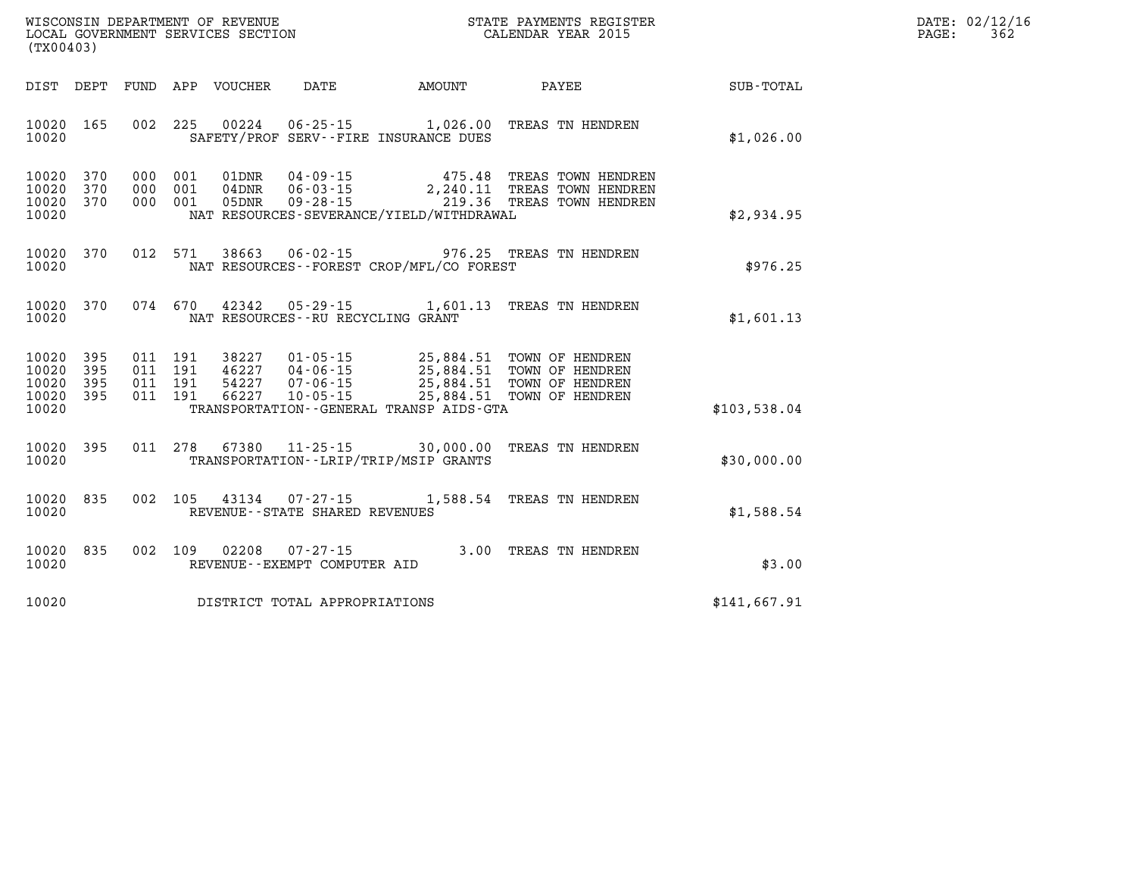| DATE: | 02/12/16 |
|-------|----------|
| PAGE: | 362      |

| (TX00403)                                                             |                                                                                          |                                                                      |                                                                          |                                                                                              |                  |
|-----------------------------------------------------------------------|------------------------------------------------------------------------------------------|----------------------------------------------------------------------|--------------------------------------------------------------------------|----------------------------------------------------------------------------------------------|------------------|
| DIST<br>DEPT<br>FUND                                                  | APP<br>VOUCHER                                                                           | DATE                                                                 | AMOUNT                                                                   | PAYEE                                                                                        | <b>SUB-TOTAL</b> |
| 10020<br>165<br>10020                                                 | 002<br>225<br>00224                                                                      | $06 - 25 - 15$ 1,026.00<br>SAFETY/PROF SERV--FIRE INSURANCE DUES     |                                                                          | TREAS TN HENDREN                                                                             | \$1,026.00       |
| 370<br>10020<br>10020<br>370<br>10020<br>370<br>10020                 | 000<br>001<br>01DNR<br>000<br>001<br>$04$ DNR<br>000<br>001<br>05DNR                     | $04 - 09 - 15$<br>$06 - 03 - 15$<br>$09 - 28 - 15$                   | 475.48<br>2,240.11<br>219.36<br>NAT RESOURCES-SEVERANCE/YIELD/WITHDRAWAL | TREAS TOWN HENDREN<br>TREAS TOWN HENDREN<br>TREAS TOWN HENDREN                               | \$2,934.95       |
| 10020<br>370<br>10020                                                 | 012<br>571<br>38663                                                                      | $06 - 02 - 15$                                                       | 976.25<br>NAT RESOURCES - - FOREST CROP/MFL/CO FOREST                    | TREAS TN HENDREN                                                                             | \$976.25         |
| 10020<br>370<br>10020                                                 | 074 670<br>42342                                                                         | $05 - 29 - 15$<br>NAT RESOURCES -- RU RECYCLING GRANT                | 1,601.13                                                                 | TREAS TN HENDREN                                                                             | \$1,601.13       |
| 10020<br>395<br>10020<br>395<br>10020<br>395<br>10020<br>395<br>10020 | 011<br>191<br>38227<br>191<br>011<br>46227<br>191<br>54227<br>011<br>191<br>66227<br>011 | $01 - 05 - 15$<br>$04 - 06 - 15$<br>$07 - 06 - 15$<br>$10 - 05 - 15$ | 25,884.51<br>25,884.51<br>TRANSPORTATION--GENERAL TRANSP AIDS-GTA        | TOWN OF HENDREN<br>25,884.51 TOWN OF HENDREN<br>25,884.51 TOWN OF HENDREN<br>TOWN OF HENDREN | \$103,538.04     |
| 395<br>10020<br>10020                                                 | 011<br>278<br>67380                                                                      | $11 - 25 - 15$<br>TRANSPORTATION - - LRIP/TRIP/MSIP GRANTS           | 30,000.00                                                                | TREAS TN HENDREN                                                                             | \$30,000.00      |
| 10020<br>835<br>10020                                                 | 002<br>105<br>43134                                                                      | $07 - 27 - 15$<br>REVENUE - - STATE SHARED REVENUES                  | 1,588.54                                                                 | TREAS TN HENDREN                                                                             | \$1,588.54       |
| 10020<br>835<br>10020                                                 | 002<br>109<br>02208                                                                      | $07 - 27 - 15$<br>REVENUE - - EXEMPT COMPUTER AID                    | 3.00                                                                     | TREAS TN HENDREN                                                                             | \$3.00           |
| 10020                                                                 |                                                                                          | DISTRICT TOTAL APPROPRIATIONS                                        |                                                                          |                                                                                              | \$141,667.91     |

WISCONSIN DEPARTMENT OF REVENUE **STATE PAYMENTS REGISTER**<br>LOCAL GOVERNMENT SERVICES SECTION

LOCAL GOVERNMENT SERVICES SECTION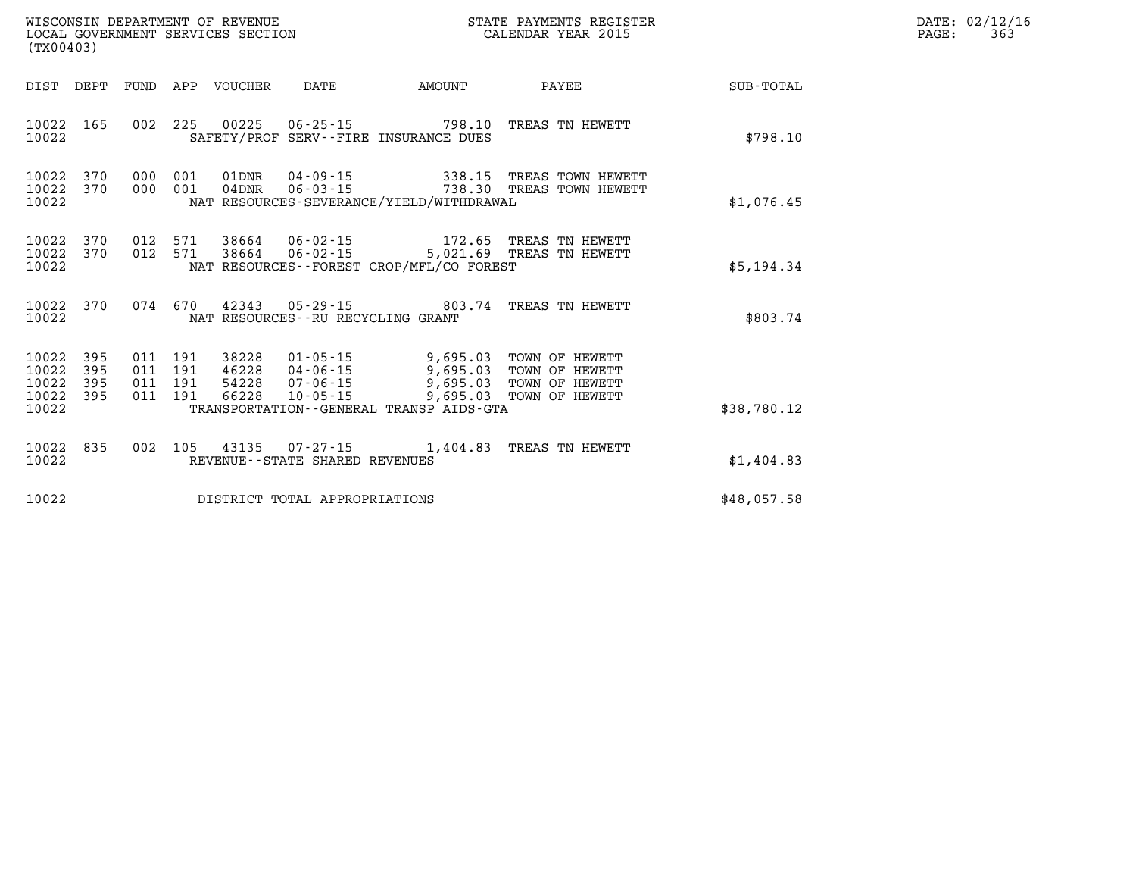| WISCONSIN DEPARTMENT OF REVENUE<br>LOCAL GOVERNMENT SERVICES SECTION<br>(TX00403) |                          |                                          |  |                                 |                                      | STATE PAYMENTS REGISTER<br>CALENDAR YEAR 2015                                                                                                                                                                               |                                                 |             | DATE: 02/12/16<br>363<br>$\mathtt{PAGE:}$ |
|-----------------------------------------------------------------------------------|--------------------------|------------------------------------------|--|---------------------------------|--------------------------------------|-----------------------------------------------------------------------------------------------------------------------------------------------------------------------------------------------------------------------------|-------------------------------------------------|-------------|-------------------------------------------|
|                                                                                   |                          |                                          |  | DIST DEPT FUND APP VOUCHER DATE |                                      | AMOUNT                                                                                                                                                                                                                      | PAYEE                                           | SUB-TOTAL   |                                           |
| 10022 165<br>10022                                                                |                          |                                          |  |                                 |                                      | SAFETY/PROF SERV--FIRE INSURANCE DUES                                                                                                                                                                                       | 002 225 00225 06-25-15 798.10 TREAS TN HEWETT   | \$798.10    |                                           |
| 10022<br>10022                                                                    | 370                      | 10022 370 000 001<br>000 001             |  | $04$ DNR                        |                                      | NAT RESOURCES-SEVERANCE/YIELD/WITHDRAWAL                                                                                                                                                                                    | 06-03-15 738.30 TREAS TOWN HEWETT               | \$1,076.45  |                                           |
| 10022<br>10022<br>10022                                                           |                          |                                          |  |                                 |                                      | NAT RESOURCES - - FOREST CROP/MFL/CO FOREST                                                                                                                                                                                 |                                                 | \$5,194.34  |                                           |
| 10022                                                                             | 10022 370                |                                          |  |                                 | NAT RESOURCES - - RU RECYCLING GRANT |                                                                                                                                                                                                                             | 074 670 42343 05-29-15 803.74 TREAS TN HEWETT   | \$803.74    |                                           |
| 10022<br>10022<br>10022<br>10022<br>10022                                         | 395<br>395<br>395<br>395 | 011 191<br>011 191<br>011 191<br>011 191 |  |                                 |                                      | 38228  01-05-15  9,695.03  TOWN OF HEWETT<br>46228  04-06-15  9,695.03  TOWN OF HEWETT<br>54228  07-06-15  9,695.03  TOWN OF HEWETT<br>66228  10-05-15  9,695.03  TOWN OF HEWETT<br>TRANSPORTATION--GENERAL TRANSP AIDS-GTA |                                                 | \$38,780.12 |                                           |
| 10022 835<br>10022                                                                |                          |                                          |  |                                 | REVENUE - - STATE SHARED REVENUES    |                                                                                                                                                                                                                             | 002 105 43135 07-27-15 1,404.83 TREAS TN HEWETT | \$1,404.83  |                                           |
| 10022                                                                             |                          |                                          |  |                                 | DISTRICT TOTAL APPROPRIATIONS        |                                                                                                                                                                                                                             |                                                 | \$48,057.58 |                                           |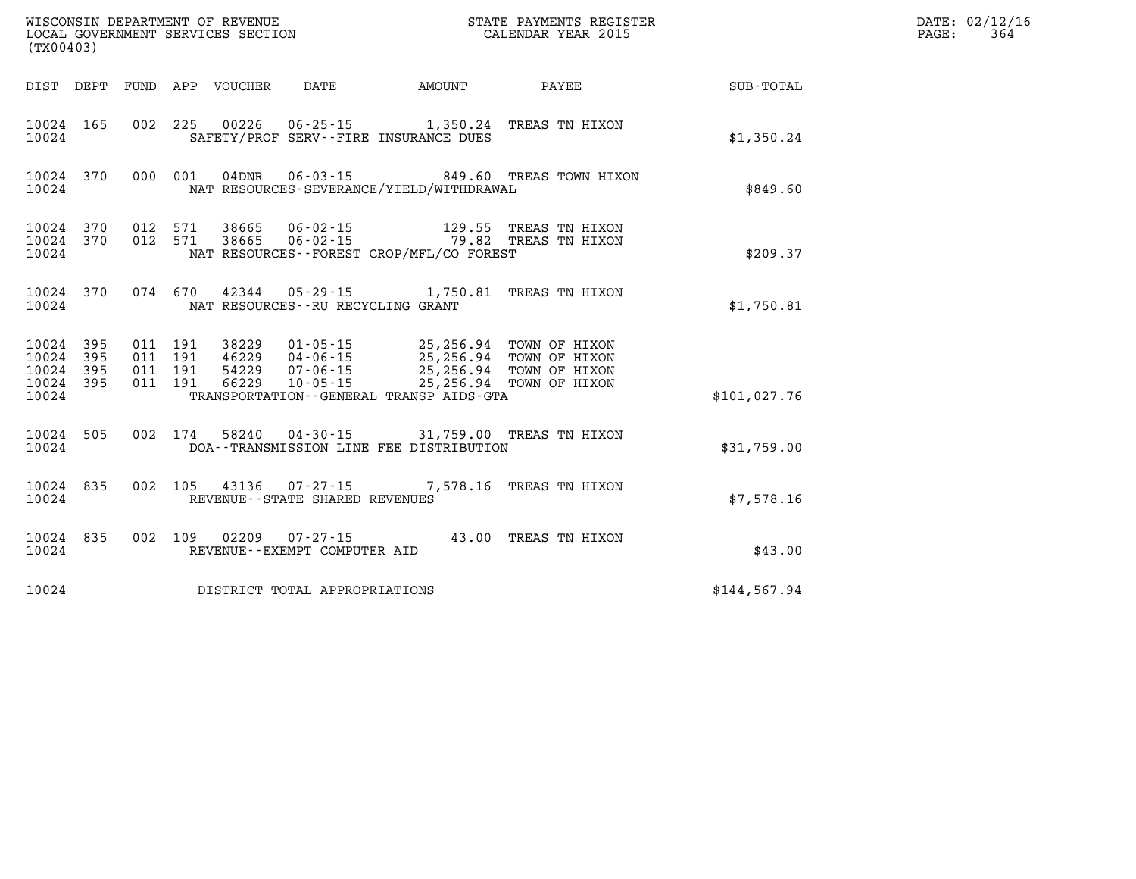| (TX00403)          |                                     |                                          |  |                                                          |                                                                                                                                                                                                                             |                                                |              | DATE: 02/12/16<br>364<br>PAGE: |
|--------------------|-------------------------------------|------------------------------------------|--|----------------------------------------------------------|-----------------------------------------------------------------------------------------------------------------------------------------------------------------------------------------------------------------------------|------------------------------------------------|--------------|--------------------------------|
|                    |                                     |                                          |  |                                                          |                                                                                                                                                                                                                             | DIST DEPT FUND APP VOUCHER DATE AMOUNT PAYEE   | SUB-TOTAL    |                                |
| 10024              | 10024 165                           |                                          |  |                                                          | 002 225 00226 06-25-15 1,350.24 TREAS TN HIXON<br>SAFETY/PROF SERV--FIRE INSURANCE DUES                                                                                                                                     |                                                | \$1,350.24   |                                |
| 10024              | 10024 370                           |                                          |  |                                                          | NAT RESOURCES-SEVERANCE/YIELD/WITHDRAWAL                                                                                                                                                                                    | 000 001 04DNR 06-03-15 849.60 TREAS TOWN HIXON | \$849.60     |                                |
| 10024              | 10024 370                           | 10024 370 012 571                        |  |                                                          | 012 571 38665 06-02-15 129.55 TREAS TN HIXON<br>012 571 38665 06-02-15 79.82 TREAS TN HIXON<br>NAT RESOURCES - - FOREST CROP/MFL/CO FOREST                                                                                  |                                                | \$209.37     |                                |
| 10024              | 10024 370                           |                                          |  | NAT RESOURCES -- RU RECYCLING GRANT                      | 074 670 42344 05-29-15 1,750.81 TREAS TN HIXON                                                                                                                                                                              |                                                | \$1,750.81   |                                |
| 10024 395<br>10024 | 10024 395<br>10024 395<br>10024 395 | 011 191<br>011 191<br>011 191<br>011 191 |  |                                                          | 38229  01-05-15  25,256.94  TOWN OF HIXON<br>46229  04-06-15  25,256.94  TOWN OF HIXON<br>54229  07-06-15  25,256.94  TOWN OF HIXON<br>66229  10-05-15  25,256.94  TOWN OF HIXON<br>TRANSPORTATION--GENERAL TRANSP AIDS-GTA |                                                | \$101,027.76 |                                |
| 10024              | 10024 505                           |                                          |  |                                                          | 002 174 58240 04-30-15 31,759.00 TREAS TN HIXON<br>DOA--TRANSMISSION LINE FEE DISTRIBUTION                                                                                                                                  |                                                | \$31,759.00  |                                |
| 10024              | 10024 835                           |                                          |  | 002 105 43136 07-27-15<br>REVENUE--STATE SHARED REVENUES |                                                                                                                                                                                                                             | 7,578.16 TREAS TN HIXON                        | \$7,578.16   |                                |
| 10024              | 10024 835                           |                                          |  | REVENUE--EXEMPT COMPUTER AID                             | 002 109 02209 07-27-15 43.00 TREAS TN HIXON                                                                                                                                                                                 |                                                | \$43.00      |                                |
| 10024              |                                     |                                          |  | DISTRICT TOTAL APPROPRIATIONS                            |                                                                                                                                                                                                                             |                                                | \$144,567.94 |                                |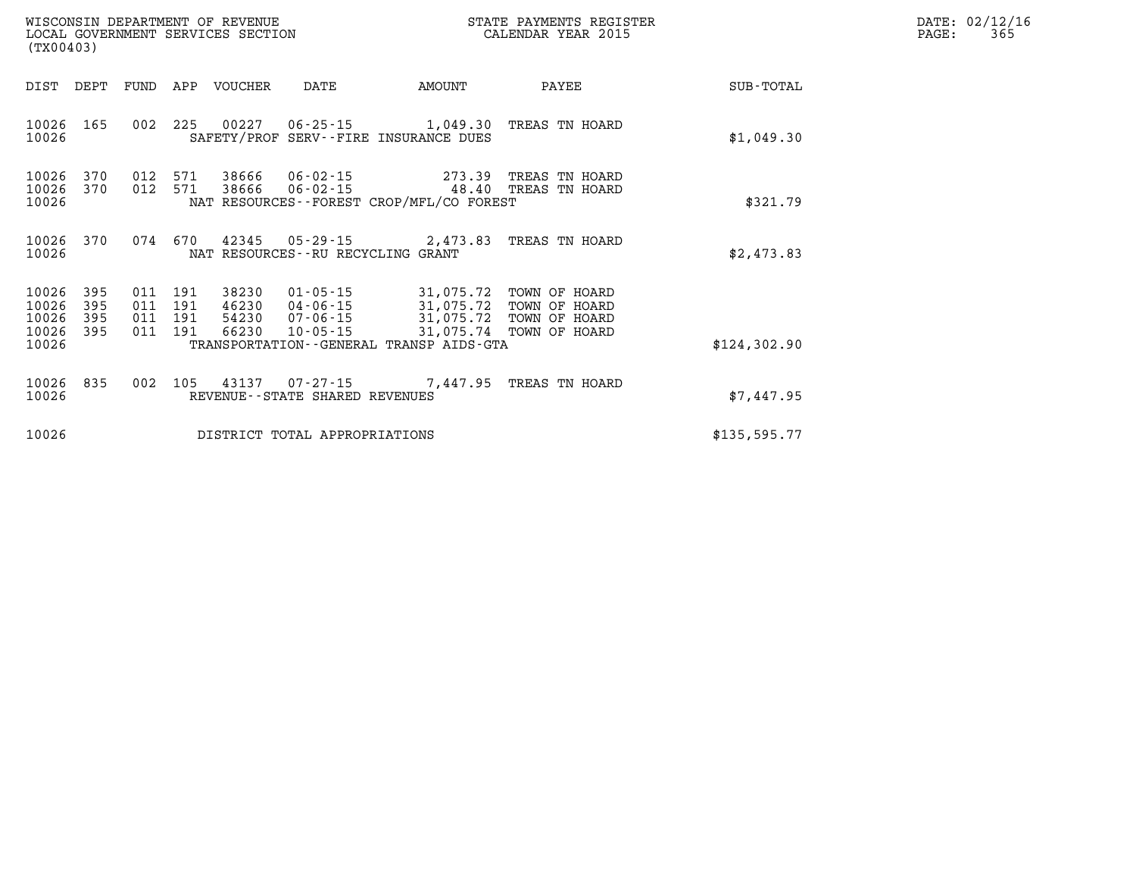| WISCONSIN DEPARTMENT OF REVENUE<br>LOCAL GOVERNMENT SERVICES SECTION<br>(TX00403) |                          |                          |                          |                                  |                                                          |                                                                                                                                       | STATE PAYMENTS REGISTER<br>CALENDAR YEAR 2015 |              | DATE: 02/12/16<br>365<br>PAGE: |
|-----------------------------------------------------------------------------------|--------------------------|--------------------------|--------------------------|----------------------------------|----------------------------------------------------------|---------------------------------------------------------------------------------------------------------------------------------------|-----------------------------------------------|--------------|--------------------------------|
| DIST                                                                              | DEPT                     | FUND                     | APP                      | VOUCHER                          | DATE                                                     | AMOUNT                                                                                                                                | PAYEE                                         | SUB-TOTAL    |                                |
| 10026 165<br>10026                                                                |                          |                          |                          | 002 225 00227                    |                                                          | 06-25-15 1,049.30 TREAS TN HOARD<br>SAFETY/PROF SERV--FIRE INSURANCE DUES                                                             |                                               | \$1,049.30   |                                |
| 10026<br>10026<br>10026                                                           | 370<br>370               | 012<br>012               | 571<br>571               | 38666<br>38666                   | $06 - 02 - 15$                                           | 273.39<br>06-02-15 48.40 TREAS TN HOARD<br>NAT RESOURCES - - FOREST CROP/MFL/CO FOREST                                                | TREAS TN HOARD                                | \$321.79     |                                |
| 10026 370<br>10026                                                                |                          | 074                      |                          |                                  | NAT RESOURCES - - RU RECYCLING GRANT                     | 670 42345 05-29-15 2,473.83 TREAS TN HOARD                                                                                            |                                               | \$2,473.83   |                                |
| 10026<br>10026<br>10026<br>10026<br>10026                                         | 395<br>395<br>395<br>395 | 011<br>011<br>011<br>011 | 191<br>191<br>191<br>191 | 38230<br>46230<br>54230<br>66230 | $01 - 05 - 15$<br>04-06-15<br>07-06-15<br>$10 - 05 - 15$ | 31,075.72<br>31,075.72 TOWN OF HOARD<br>31,075.72 TOWN OF HOARD<br>31,075.72 TOWN OF HOARD<br>TRANSPORTATION--GENERAL TRANSP AIDS-GTA | TOWN OF HOARD                                 | \$124,302.90 |                                |
| 10026<br>10026                                                                    | 835                      | 002                      | 105                      |                                  | REVENUE--STATE SHARED REVENUES                           | 43137    07-27-15    7,447.95    TREAS TN HOARD                                                                                       |                                               | \$7,447.95   |                                |
| 10026                                                                             |                          |                          |                          |                                  | DISTRICT TOTAL APPROPRIATIONS                            |                                                                                                                                       |                                               | \$135,595.77 |                                |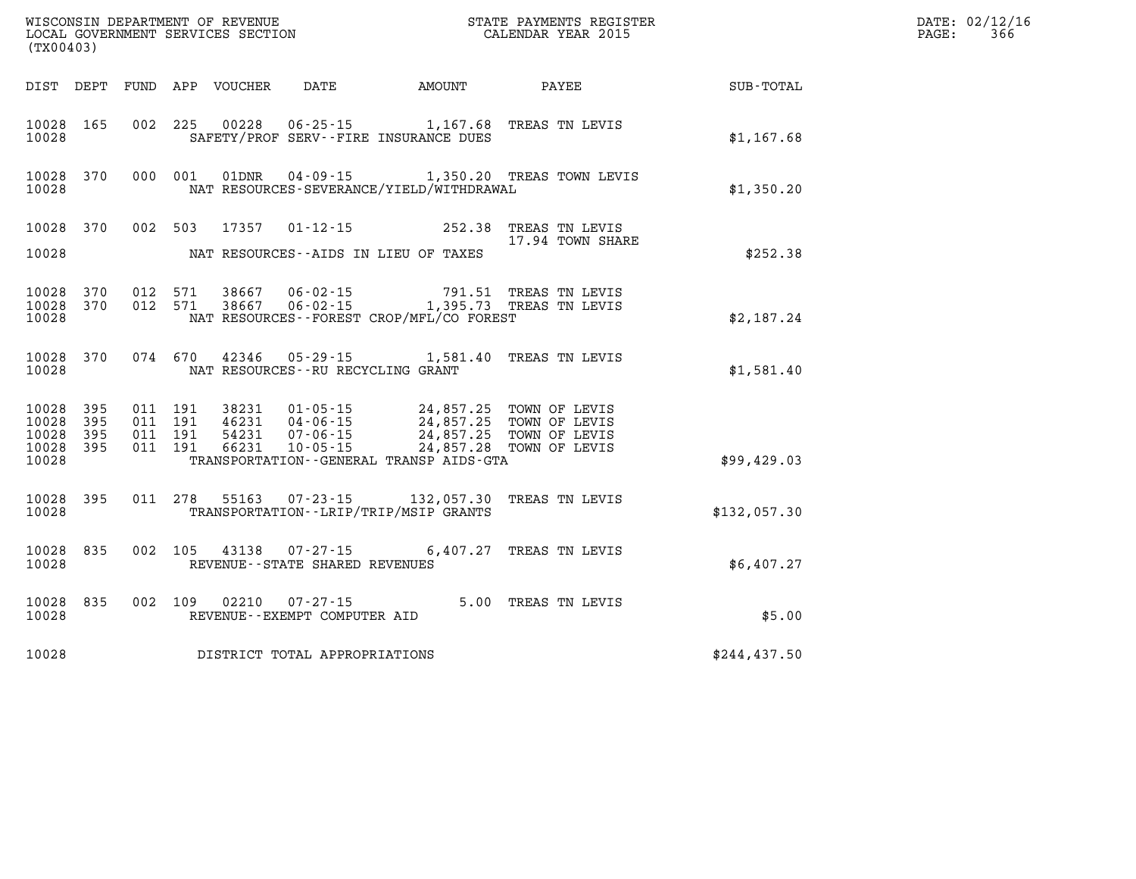| (TX00403)                                |            |                                          | WISCONSIN DEPARTMENT OF REVENUE<br>LOCAL GOVERNMENT SERVICES SECTION |                                                                |                                                                                                                                                              | STATE PAYMENTS REGISTER<br>DN CALENDAR YEAR 2015          |              | DATE: 02/12/16<br>366<br>PAGE: |
|------------------------------------------|------------|------------------------------------------|----------------------------------------------------------------------|----------------------------------------------------------------|--------------------------------------------------------------------------------------------------------------------------------------------------------------|-----------------------------------------------------------|--------------|--------------------------------|
|                                          |            |                                          | DIST DEPT FUND APP VOUCHER                                           | DATE                                                           | AMOUNT                                                                                                                                                       | PAYEE                                                     | SUB-TOTAL    |                                |
| 10028 165<br>10028                       |            | 002 225                                  |                                                                      |                                                                | SAFETY/PROF SERV--FIRE INSURANCE DUES                                                                                                                        | 00228  06-25-15  1,167.68  TREAS TN LEVIS                 | \$1,167.68   |                                |
| 10028 370<br>10028                       |            | 000 001                                  | 01DNR                                                                |                                                                | NAT RESOURCES-SEVERANCE/YIELD/WITHDRAWAL                                                                                                                     | 04-09-15 1,350.20 TREAS TOWN LEVIS                        | \$1,350.20   |                                |
| 10028 370                                |            | 002 503                                  | 17357                                                                |                                                                |                                                                                                                                                              | 01-12-15 252.38 TREAS TN LEVIS                            |              |                                |
| 10028                                    |            |                                          |                                                                      |                                                                | NAT RESOURCES--AIDS IN LIEU OF TAXES                                                                                                                         | 17.94 TOWN SHARE                                          | \$252.38     |                                |
| 10028 370<br>10028 370<br>10028          |            | 012 571<br>012 571                       | 38667<br>38667                                                       | 06-02-15                                                       | NAT RESOURCES--FOREST CROP/MFL/CO FOREST                                                                                                                     | 791.51 TREAS TN LEVIS<br>06-02-15 1,395.73 TREAS TN LEVIS | \$2,187.24   |                                |
| 10028 370<br>10028                       |            | 074 670                                  |                                                                      | NAT RESOURCES - - RU RECYCLING GRANT                           |                                                                                                                                                              | 42346  05-29-15  1,581.40  TREAS TN LEVIS                 | \$1,581.40   |                                |
| 10028 395<br>10028<br>10028<br>10028 395 | 395<br>395 | 011 191<br>011 191<br>011 191<br>011 191 | 38231<br>54231<br>66231                                              | 01-05-15<br>46231 04-06-15<br>$07 - 06 - 15$<br>$10 - 05 - 15$ | 24,857.25   TOWN OF LEVIS<br>24,857.25   TOWN OF LEVIS<br>24,857.25 TOWN OF LEVIS<br>24,857.28 TOWN OF LEVIS<br>TRANSPORTATION - - GENERAL TRANSP AIDS - GTA |                                                           |              |                                |
| 10028                                    |            |                                          |                                                                      |                                                                |                                                                                                                                                              |                                                           | \$99,429.03  |                                |
| 10028 395<br>10028                       |            | 011 278                                  | 55163                                                                |                                                                | TRANSPORTATION - - LRIP/TRIP/MSIP GRANTS                                                                                                                     | 07-23-15 132,057.30 TREAS TN LEVIS                        | \$132,057.30 |                                |
| 10028 835<br>10028                       |            | 002 105                                  | 43138                                                                | $07 - 27 - 15$<br>REVENUE - - STATE SHARED REVENUES            |                                                                                                                                                              | 6,407.27 TREAS TN LEVIS                                   | \$6,407.27   |                                |
| 10028 835<br>10028                       |            | 002 109                                  | 02210                                                                | 07-27-15<br>REVENUE--EXEMPT COMPUTER AID                       |                                                                                                                                                              | 5.00 TREAS TN LEVIS                                       | \$5.00       |                                |
| 10028                                    |            |                                          |                                                                      | DISTRICT TOTAL APPROPRIATIONS                                  |                                                                                                                                                              |                                                           | \$244,437.50 |                                |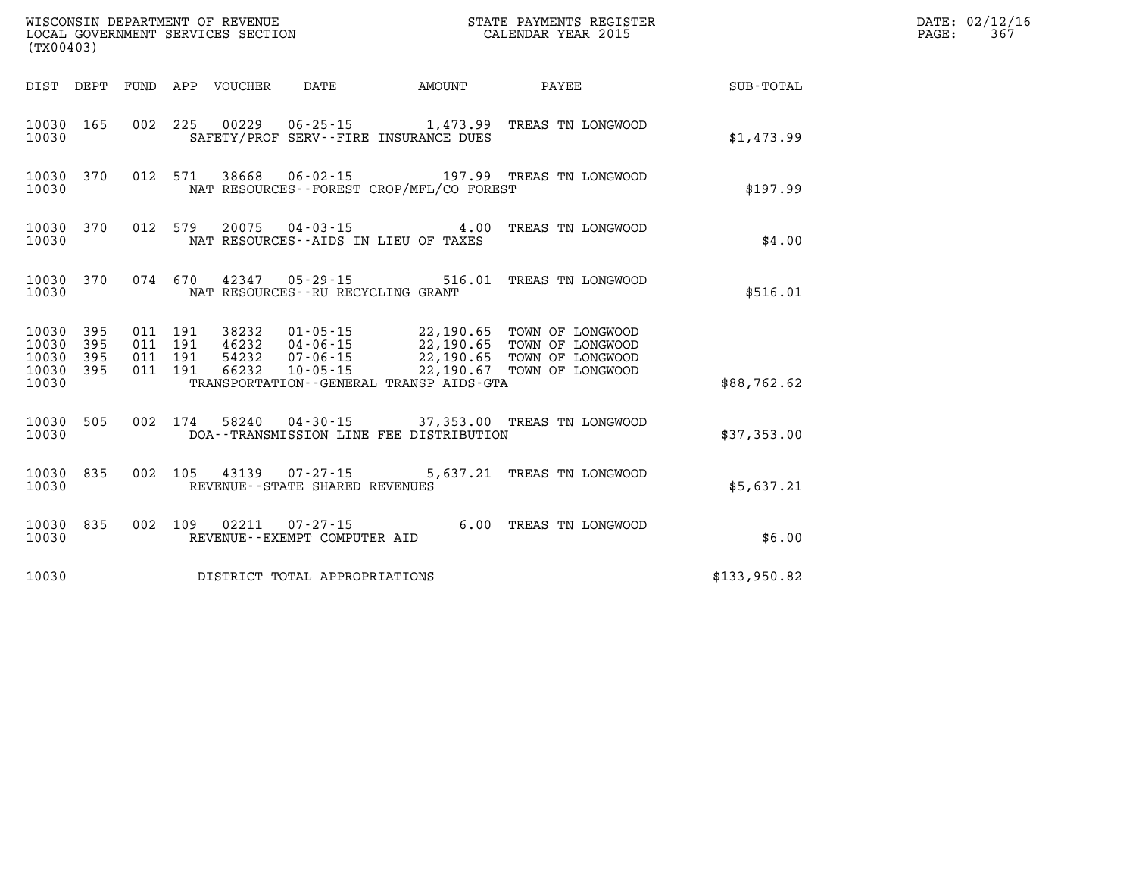| WISCONSIN DEPARTMENT OF REVENUE<br>LOCAL GOVERNMENT SERVICES SECTION<br>CALENDAR YEAR 2015<br>(TX00403) |           |                               |  |  |                                                          |                                          |                                                                                                                                                                                              |                 | DATE: 02/12/16<br>$\mathtt{PAGE:}$<br>367 |
|---------------------------------------------------------------------------------------------------------|-----------|-------------------------------|--|--|----------------------------------------------------------|------------------------------------------|----------------------------------------------------------------------------------------------------------------------------------------------------------------------------------------------|-----------------|-------------------------------------------|
|                                                                                                         |           |                               |  |  |                                                          | DIST DEPT FUND APP VOUCHER DATE AMOUNT   |                                                                                                                                                                                              | PAYEE SUB-TOTAL |                                           |
| 10030                                                                                                   | 10030 165 |                               |  |  |                                                          | SAFETY/PROF SERV--FIRE INSURANCE DUES    | 002 225 00229 06-25-15 1,473.99 TREAS TN LONGWOOD                                                                                                                                            | \$1,473.99      |                                           |
| 10030                                                                                                   |           |                               |  |  |                                                          | NAT RESOURCES--FOREST CROP/MFL/CO FOREST | 10030 370 012 571 38668 06-02-15 197.99 TREAS TN LONGWOOD                                                                                                                                    | \$197.99        |                                           |
| 10030                                                                                                   |           |                               |  |  |                                                          | NAT RESOURCES--AIDS IN LIEU OF TAXES     | 10030 370 012 579 20075 04-03-15 4.00 TREAS TN LONGWOOD                                                                                                                                      | \$4.00          |                                           |
| 10030                                                                                                   |           |                               |  |  | NAT RESOURCES -- RU RECYCLING GRANT                      |                                          | 10030 370 074 670 42347 05-29-15 516.01 TREAS TN LONGWOOD                                                                                                                                    | \$516.01        |                                           |
| 10030 395<br>10030 395<br>10030 395                                                                     |           | 011 191<br>011 191<br>011 191 |  |  |                                                          |                                          | 38232  01-05-15  22,190.65  TOWN OF LONGWOOD<br>46232  04-06-15  22,190.65  TOWN OF LONGWOOD<br>54232  07-06-15  22,190.65  TOWN OF LONGWOOD<br>66232  10-05-15  22,190.67  TOWN OF LONGWOOD |                 |                                           |
| 10030 395<br>10030                                                                                      |           | 011 191                       |  |  |                                                          | TRANSPORTATION--GENERAL TRANSP AIDS-GTA  |                                                                                                                                                                                              | \$88,762.62     |                                           |
| 10030                                                                                                   |           |                               |  |  |                                                          | DOA--TRANSMISSION LINE FEE DISTRIBUTION  | 10030 505 002 174 58240 04-30-15 37,353.00 TREAS TN LONGWOOD                                                                                                                                 | \$37,353.00     |                                           |
| 10030                                                                                                   | 10030 835 |                               |  |  | 002 105 43139 07-27-15<br>REVENUE--STATE SHARED REVENUES |                                          | 5,637.21 TREAS TN LONGWOOD                                                                                                                                                                   | \$5,637.21      |                                           |
| 10030                                                                                                   | 10030 835 |                               |  |  | REVENUE--EXEMPT COMPUTER AID                             |                                          | 002 109 02211 07-27-15 6.00 TREAS TN LONGWOOD                                                                                                                                                | \$6.00          |                                           |
| 10030                                                                                                   |           |                               |  |  | DISTRICT TOTAL APPROPRIATIONS                            |                                          |                                                                                                                                                                                              | \$133,950.82    |                                           |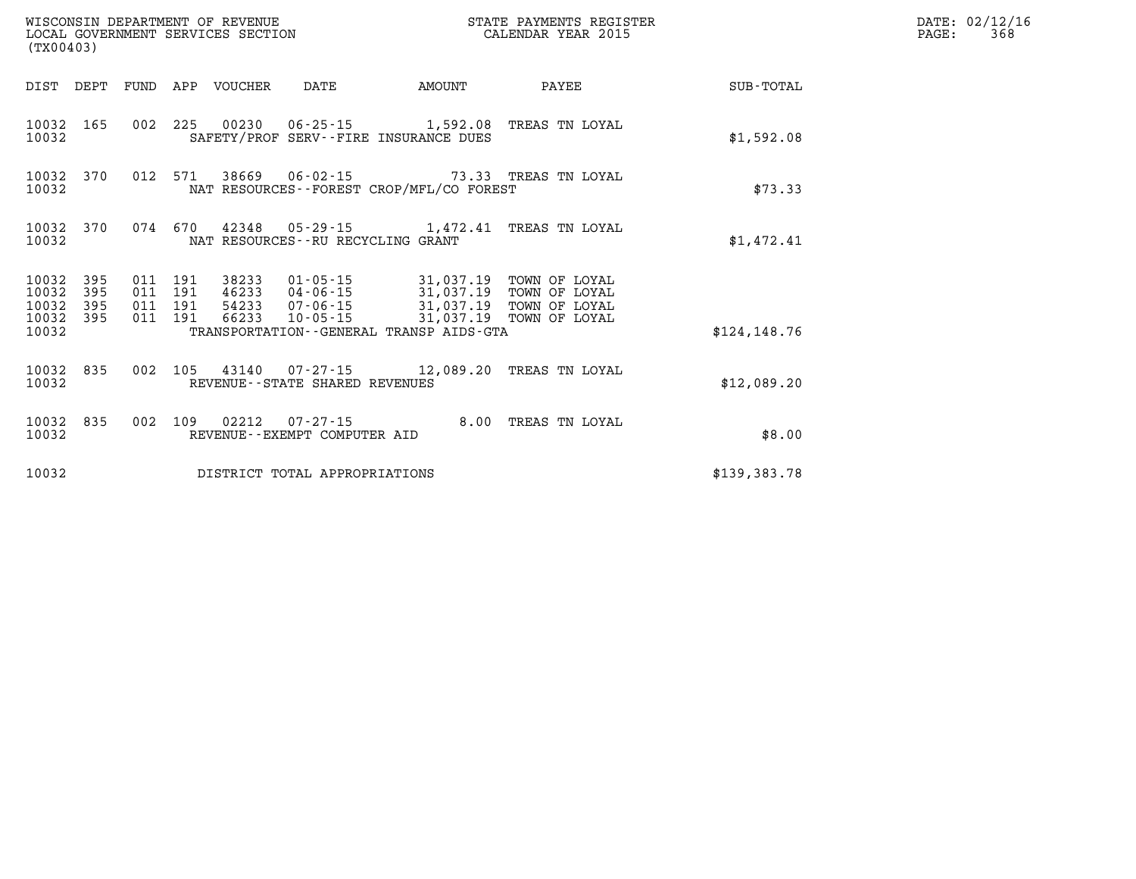| WISCONSIN DEPARTMENT OF REVENUE<br>LOCAL GOVERNMENT SERVICES SECTION<br>(TX00403) |              |  |                                          |                            |                                          |                                                                                                                                                                      | STATE PAYMENTS REGISTER<br>CALENDAR YEAR 2015   |              | DATE: 02/12/16<br>PAGE:<br>368 |
|-----------------------------------------------------------------------------------|--------------|--|------------------------------------------|----------------------------|------------------------------------------|----------------------------------------------------------------------------------------------------------------------------------------------------------------------|-------------------------------------------------|--------------|--------------------------------|
|                                                                                   |              |  |                                          | DIST DEPT FUND APP VOUCHER | DATE                                     | AMOUNT                                                                                                                                                               | PAYEE                                           | SUB-TOTAL    |                                |
| 10032                                                                             | 10032 165    |  |                                          |                            |                                          | 002 225 00230 06-25-15 1,592.08 TREAS TN LOYAL<br>SAFETY/PROF SERV--FIRE INSURANCE DUES                                                                              |                                                 | \$1,592.08   |                                |
| 10032                                                                             | 10032 370    |  |                                          |                            |                                          | 012 571 38669 06-02-15 73.33 TREAS TN LOYAL<br>NAT RESOURCES - - FOREST CROP/MFL/CO FOREST                                                                           |                                                 | \$73.33      |                                |
| 10032 370<br>10032                                                                |              |  | 074 670                                  |                            | NAT RESOURCES - - RU RECYCLING GRANT     | 42348 05-29-15 1,472.41 TREAS TN LOYAL                                                                                                                               |                                                 | \$1,472.41   |                                |
| 10032 395<br>10032<br>10032<br>10032 395                                          | - 395<br>395 |  | 011 191<br>011 191<br>011 191<br>011 191 | 66233                      |                                          | 38233  01-05-15  31,037.19  TOWN OF LOYAL<br>46233 04-06-15 31,037.19 TOWN OF LOYAL<br>54233  07-06-15  31,037.19  TOWN OF LOYAL<br>10-05-15 31,037.19 TOWN OF LOYAL |                                                 |              |                                |
| 10032                                                                             |              |  |                                          |                            |                                          | TRANSPORTATION - - GENERAL TRANSP AIDS - GTA                                                                                                                         |                                                 | \$124.148.76 |                                |
| 10032                                                                             | 10032 835    |  |                                          |                            | REVENUE--STATE SHARED REVENUES           |                                                                                                                                                                      | 002 105 43140 07-27-15 12,089.20 TREAS TN LOYAL | \$12,089.20  |                                |
| 10032                                                                             | 10032 835    |  |                                          | 002 109 02212              | 07-27-15<br>REVENUE--EXEMPT COMPUTER AID |                                                                                                                                                                      | 8.00 TREAS TN LOYAL                             | \$8.00       |                                |
| 10032                                                                             |              |  |                                          |                            | DISTRICT TOTAL APPROPRIATIONS            |                                                                                                                                                                      |                                                 | \$139,383.78 |                                |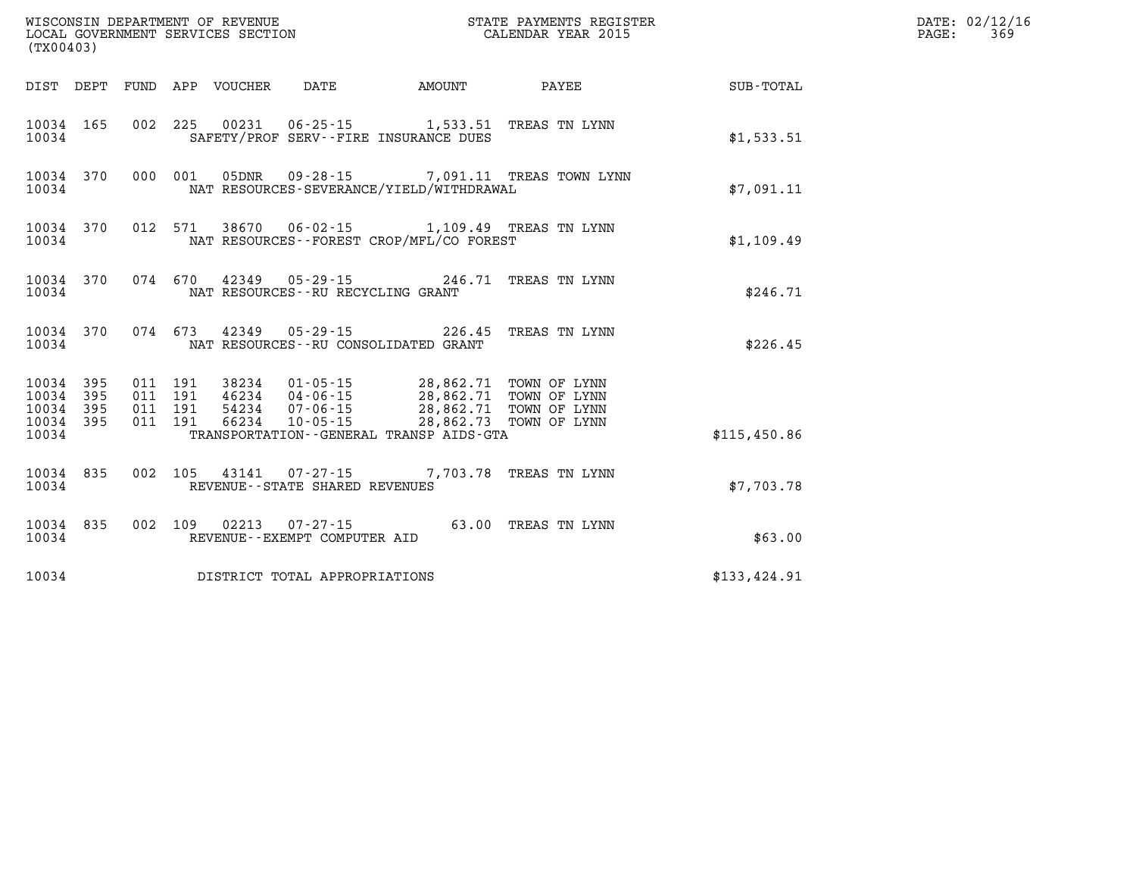|                                 | (TX00403) |                   |         |  |                                                                  |                                                                                                                                                                         |                                                           |              | DATE: 02/12/16<br>PAGE:<br>369 |
|---------------------------------|-----------|-------------------|---------|--|------------------------------------------------------------------|-------------------------------------------------------------------------------------------------------------------------------------------------------------------------|-----------------------------------------------------------|--------------|--------------------------------|
|                                 |           |                   |         |  |                                                                  |                                                                                                                                                                         | DIST DEPT FUND APP VOUCHER DATE AMOUNT PAYEE              | SUB-TOTAL    |                                |
| 10034                           | 10034 165 |                   |         |  |                                                                  | 002 225 00231 06-25-15 1,533.51 TREAS TN LYNN<br>SAFETY/PROF SERV--FIRE INSURANCE DUES                                                                                  |                                                           | \$1,533.51   |                                |
| 10034                           |           |                   |         |  |                                                                  | NAT RESOURCES-SEVERANCE/YIELD/WITHDRAWAL                                                                                                                                | 10034 370 000 001 05DNR 09-28-15 7,091.11 TREAS TOWN LYNN | \$7,091.11   |                                |
| 10034                           |           |                   |         |  |                                                                  | 10034 370 012 571 38670 06-02-15 1,109.49 TREAS TN LYNN<br>NAT RESOURCES - - FOREST CROP/MFL/CO FOREST                                                                  |                                                           | \$1,109.49   |                                |
| 10034                           | 10034 370 |                   |         |  |                                                                  | 074 670 42349 05-29-15 246.71 TREAS TN LYNN<br>NAT RESOURCES--RU RECYCLING GRANT                                                                                        |                                                           | \$246.71     |                                |
| 10034                           |           |                   |         |  |                                                                  | 10034 370 074 673 42349 05-29-15 226.45 TREAS TN LYNN<br>NAT RESOURCES--RU CONSOLIDATED GRANT                                                                           |                                                           | \$226.45     |                                |
| 10034 395<br>10034              | 395       | 011 191           |         |  |                                                                  | 011 191 38234 01-05-15 28,862.71 TOWN OF LYNN                                                                                                                           |                                                           |              |                                |
| 10034 395<br>10034 395<br>10034 |           | 011 191           | 011 191 |  |                                                                  | 46234 04-06-15 28,862.71 TOWN OF LYNN<br>54234 07-06-15 28,862.71 TOWN OF LYNN<br>66234 10-05-15 28,862.73 TOWN OF LYNN<br>TRANSPORTATION - - GENERAL TRANSP AIDS - GTA |                                                           | \$115,450.86 |                                |
| 10034                           |           | 10034 835 002 105 |         |  | REVENUE--STATE SHARED REVENUES                                   | 43141  07-27-15  7,703.78  TREAS TN LYNN                                                                                                                                |                                                           | \$7,703.78   |                                |
| 10034                           |           |                   |         |  | 10034 835 002 109 02213 07-27-15<br>REVENUE--EXEMPT COMPUTER AID |                                                                                                                                                                         | 63.00 TREAS TN LYNN                                       | \$63.00      |                                |
| 10034                           |           |                   |         |  | DISTRICT TOTAL APPROPRIATIONS                                    |                                                                                                                                                                         |                                                           | \$133,424.91 |                                |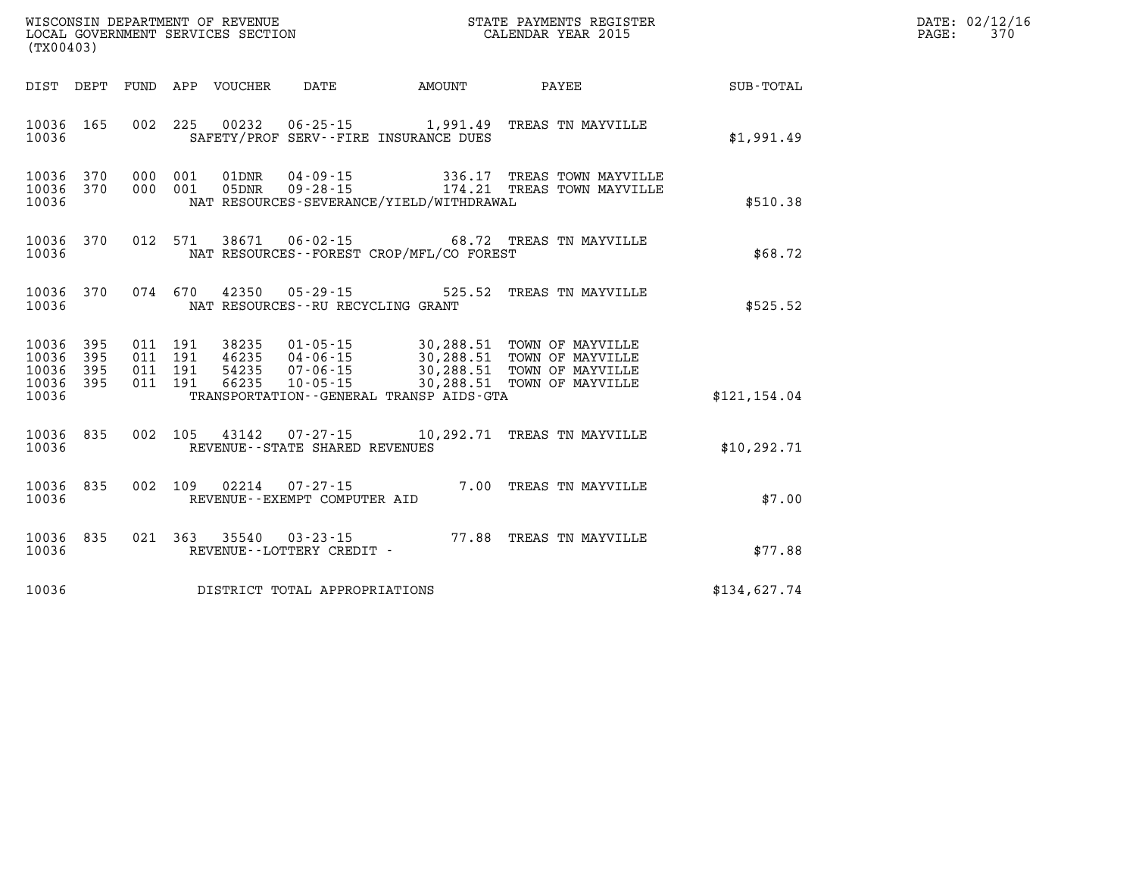| $\mathtt{DATE}$ : | 02/12/16 |
|-------------------|----------|
| PAGE:             | 370      |

| (TX00403)                                                                                         | WISCONSIN DEPARTMENT OF REVENUE<br>STATE PAYMENTS REGISTER<br>LOCAL GOVERNMENT SERVICES SECTION<br>CALENDAR YEAR 2015                                                                                                               |                                                                                              |  |  |  |  |  |
|---------------------------------------------------------------------------------------------------|-------------------------------------------------------------------------------------------------------------------------------------------------------------------------------------------------------------------------------------|----------------------------------------------------------------------------------------------|--|--|--|--|--|
| DEPT<br>FUND<br>DIST                                                                              | APP<br>VOUCHER<br><b>DATE</b><br>AMOUNT                                                                                                                                                                                             | PAYEE<br>SUB-TOTAL                                                                           |  |  |  |  |  |
| 10036<br>165<br>002<br>10036                                                                      | 225<br>00232<br>$06 - 25 - 15$<br>1,991.49<br>SAFETY/PROF SERV--FIRE INSURANCE DUES                                                                                                                                                 | TREAS TN MAYVILLE<br>\$1,991.49                                                              |  |  |  |  |  |
| 370<br>000<br>10036<br>000<br>10036<br>370<br>10036                                               | 001<br>$01$ DNR<br>$04 - 09 - 15$<br>001<br>$09 - 28 - 15$<br>05DNR<br>NAT RESOURCES-SEVERANCE/YIELD/WITHDRAWAL                                                                                                                     | 336.17<br>TREAS TOWN MAYVILLE<br>174.21<br>TREAS TOWN MAYVILLE<br>\$510.38                   |  |  |  |  |  |
| 012<br>10036<br>370<br>10036                                                                      | 571<br>38671<br>$06 - 02 - 15$<br>NAT RESOURCES - - FOREST CROP/MFL/CO FOREST                                                                                                                                                       | 68.72<br>TREAS TN MAYVILLE<br>\$68.72                                                        |  |  |  |  |  |
| 10036<br>370<br>074<br>10036                                                                      | 670<br>42350<br>$05 - 29 - 15$<br>NAT RESOURCES - - RU RECYCLING GRANT                                                                                                                                                              | 525.52<br>TREAS TN MAYVILLE<br>\$525.52                                                      |  |  |  |  |  |
| 10036<br>395<br>011<br>10036<br>395<br>011<br>10036<br>395<br>011<br>10036<br>395<br>011<br>10036 | 191<br>38235<br>$01 - 05 - 15$<br>30,288.51<br>191<br>46235<br>$04 - 06 - 15$<br>30,288.51<br>30,288.51<br>191<br>54235<br>$07 - 06 - 15$<br>66235<br>191<br>$10 - 05 - 15$<br>30,288.51<br>TRANSPORTATION--GENERAL TRANSP AIDS-GTA | TOWN OF MAYVILLE<br>TOWN OF MAYVILLE<br>TOWN OF MAYVILLE<br>TOWN OF MAYVILLE<br>\$121,154.04 |  |  |  |  |  |
| 002<br>10036<br>835<br>10036                                                                      | 105<br>43142<br>$07 - 27 - 15$<br>10,292.71<br>REVENUE - - STATE SHARED REVENUES                                                                                                                                                    | TREAS TN MAYVILLE<br>\$10, 292.71                                                            |  |  |  |  |  |
| 835<br>002<br>10036<br>10036                                                                      | 109<br>02214<br>$07 - 27 - 15$<br>REVENUE - - EXEMPT COMPUTER AID                                                                                                                                                                   | 7.00<br>TREAS TN MAYVILLE<br>\$7.00                                                          |  |  |  |  |  |
| 10036<br>835<br>021<br>10036                                                                      | 363<br>35540<br>$03 - 23 - 15$<br>REVENUE - - LOTTERY CREDIT -                                                                                                                                                                      | 77.88<br>TREAS TN MAYVILLE<br>\$77.88                                                        |  |  |  |  |  |
| 10036                                                                                             | DISTRICT TOTAL APPROPRIATIONS                                                                                                                                                                                                       | \$134,627.74                                                                                 |  |  |  |  |  |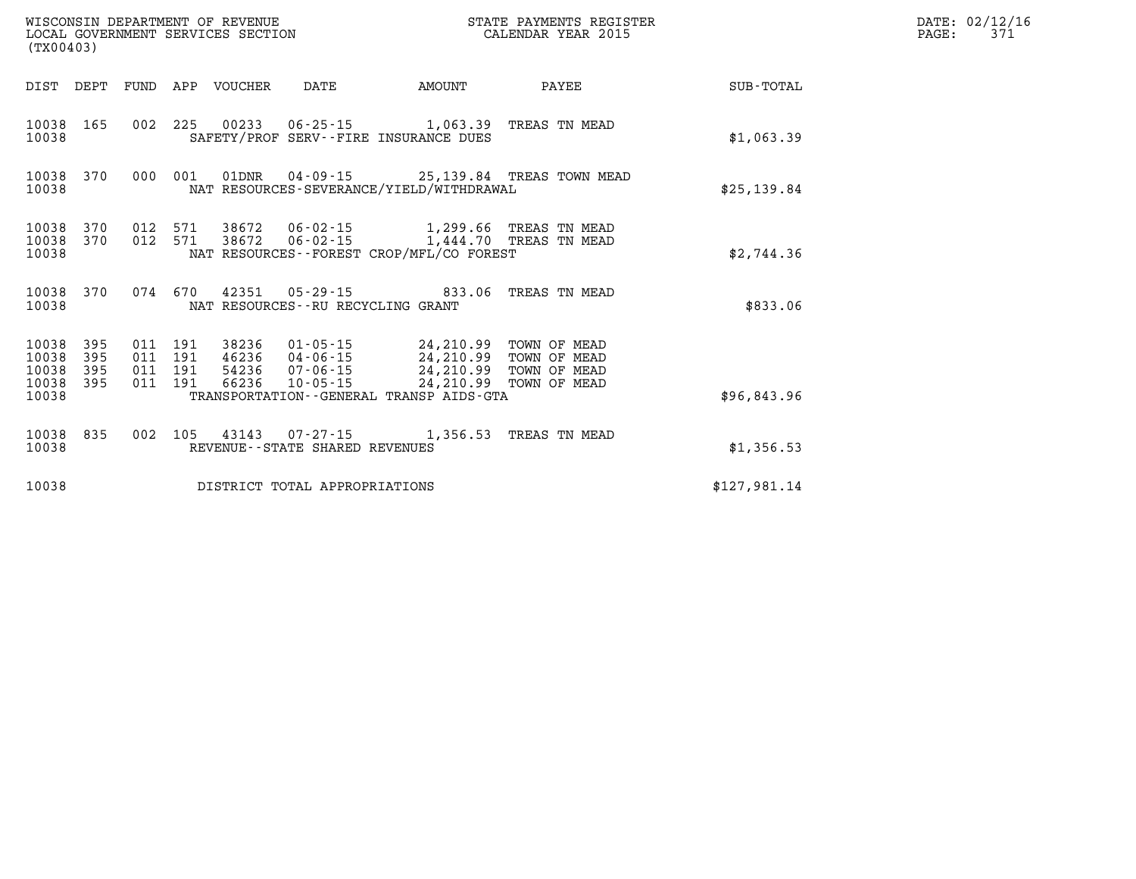| (TX00403)                                 |                          |                          |                          | WISCONSIN DEPARTMENT OF REVENUE<br>LOCAL GOVERNMENT SERVICES SECTION |                                                                                                     | STATE PAYMENTS REGISTER<br>CALENDAR YEAR 2015    |                                                              |              |  |
|-------------------------------------------|--------------------------|--------------------------|--------------------------|----------------------------------------------------------------------|-----------------------------------------------------------------------------------------------------|--------------------------------------------------|--------------------------------------------------------------|--------------|--|
| DIST                                      | DEPT                     | FUND                     | APP                      | <b>VOUCHER</b>                                                       | DATE                                                                                                | AMOUNT                                           | PAYEE                                                        | SUB-TOTAL    |  |
| 10038<br>10038                            | 165                      | 002                      | 225                      | 00233                                                                | 06-25-15<br>SAFETY/PROF SERV--FIRE INSURANCE DUES                                                   | 1,063.39                                         | TREAS TN MEAD                                                | \$1,063.39   |  |
| 10038<br>10038                            | 370                      | 000                      | 001                      | 01DNR                                                                | $04 - 09 - 15$<br>NAT RESOURCES-SEVERANCE/YIELD/WITHDRAWAL                                          |                                                  | 25,139.84 TREAS TOWN MEAD                                    | \$25, 139.84 |  |
| 10038<br>10038<br>10038                   | 370<br>370               | 012<br>012               | 571<br>571               | 38672<br>38672                                                       | 06-02-15<br>$06 - 02 - 15$<br>NAT RESOURCES - - FOREST CROP/MFL/CO FOREST                           |                                                  | 1,299.66 TREAS TN MEAD<br>1,444.70 TREAS TN MEAD             | \$2,744.36   |  |
| 10038<br>10038                            | 370                      | 074                      | 670                      | 42351                                                                | $05 - 29 - 15$<br>NAT RESOURCES - - RU RECYCLING GRANT                                              | 833.06                                           | TREAS TN MEAD                                                | \$833.06     |  |
| 10038<br>10038<br>10038<br>10038<br>10038 | 395<br>395<br>395<br>395 | 011<br>011<br>011<br>011 | 191<br>191<br>191<br>191 | 38236<br>46236<br>54236<br>66236                                     | $01 - 05 - 15$<br>04-06-15<br>07-06-15<br>$10 - 05 - 15$<br>TRANSPORTATION--GENERAL TRANSP AIDS-GTA | 24,210.99<br>24,210.99<br>24,210.99<br>24,210.99 | TOWN OF MEAD<br>TOWN OF MEAD<br>TOWN OF MEAD<br>TOWN OF MEAD | \$96,843.96  |  |
| 10038<br>10038                            | 835                      | 002                      | 105                      | 43143                                                                | $07 - 27 - 15$<br>REVENUE--STATE SHARED REVENUES                                                    | 1,356.53                                         | TREAS TN MEAD                                                | \$1,356.53   |  |
| 10038                                     |                          |                          |                          |                                                                      | DISTRICT TOTAL APPROPRIATIONS                                                                       |                                                  |                                                              | \$127,981.14 |  |

**DATE: 02/12/16<br>PAGE: 371**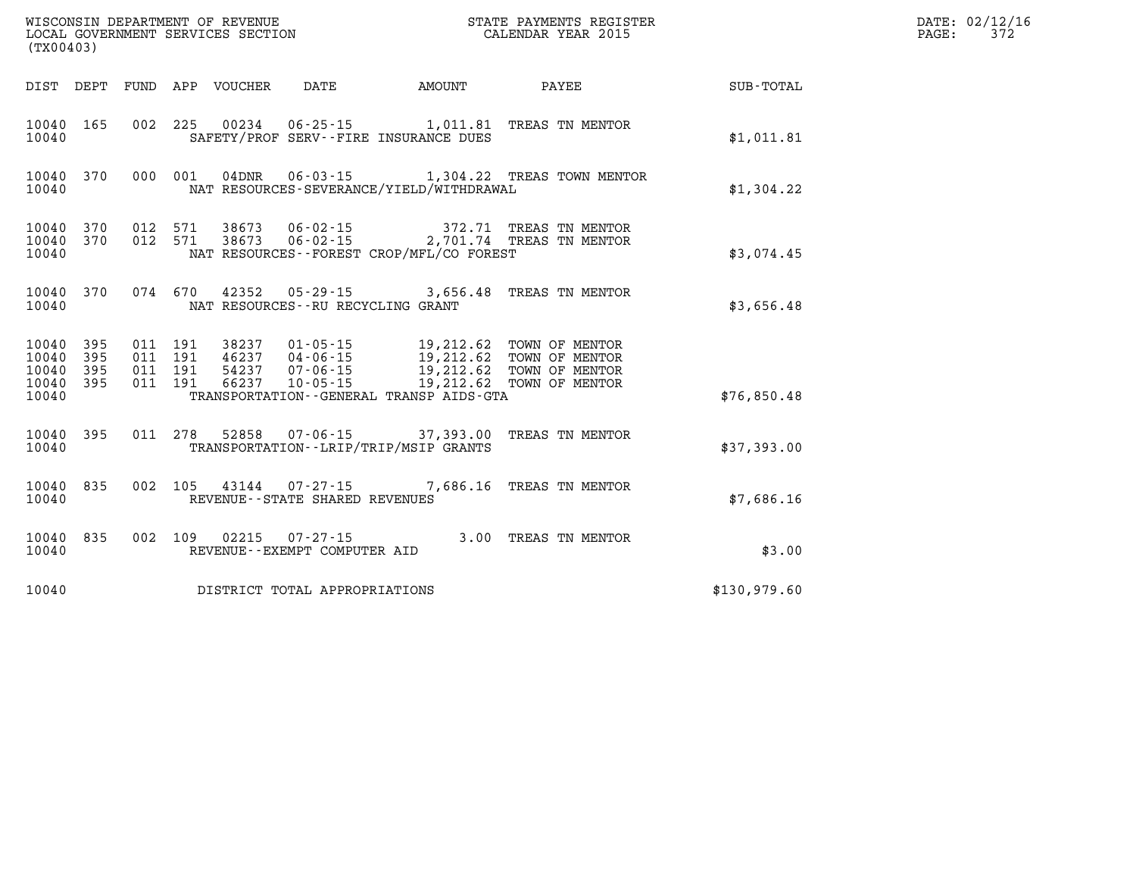| WISCONSIN DEPARTMENT OF REVENUE<br>LOCAL GOVERNMENT SERVICES SECTION<br>LOCAL GOVERNMENT SERVICES SECTION<br>CALENDAR YEAR 2015<br>(TX00403) |                        |  |  |  |                                   |                                          |                                                                                                  |                                                    | DATE: 02/12/16<br>PAGE:<br>372 |
|----------------------------------------------------------------------------------------------------------------------------------------------|------------------------|--|--|--|-----------------------------------|------------------------------------------|--------------------------------------------------------------------------------------------------|----------------------------------------------------|--------------------------------|
|                                                                                                                                              |                        |  |  |  |                                   |                                          |                                                                                                  | DIST DEPT FUND APP VOUCHER DATE AMOUNT PAYEE TOTAL |                                |
| 10040                                                                                                                                        | 10040 165              |  |  |  |                                   | SAFETY/PROF SERV--FIRE INSURANCE DUES    | 002 225 00234 06-25-15 1,011.81 TREAS TN MENTOR                                                  | \$1,011.81                                         |                                |
| 10040                                                                                                                                        |                        |  |  |  |                                   | NAT RESOURCES-SEVERANCE/YIELD/WITHDRAWAL | 10040 370 000 001 04DNR 06-03-15 1,304.22 TREAS TOWN MENTOR                                      | \$1,304.22                                         |                                |
| 10040                                                                                                                                        | 10040 370<br>10040 370 |  |  |  |                                   | NAT RESOURCES--FOREST CROP/MFL/CO FOREST | 012 571 38673 06-02-15 372.71 TREAS TN MENTOR<br>012 571 38673 06-02-15 2,701.74 TREAS TN MENTOR | \$3,074.45                                         |                                |
| 10040                                                                                                                                        | 10040 370              |  |  |  | NAT RESOURCES--RU RECYCLING GRANT |                                          | 074 670 42352 05-29-15 3,656.48 TREAS TN MENTOR                                                  | \$3,656.48                                         |                                |
| 10040 395<br>10040 395<br>10040 395<br>10040 395<br>10040                                                                                    |                        |  |  |  |                                   | TRANSPORTATION--GENERAL TRANSP AIDS-GTA  |                                                                                                  | \$76,850.48                                        |                                |
| 10040                                                                                                                                        | 10040 395              |  |  |  |                                   | TRANSPORTATION - - LRIP/TRIP/MSIP GRANTS | 011 278 52858 07-06-15 37,393.00 TREAS TN MENTOR                                                 | \$37,393.00                                        |                                |
| 10040                                                                                                                                        | 10040 835              |  |  |  | REVENUE--STATE SHARED REVENUES    |                                          | 002 105 43144 07-27-15 7,686.16 TREAS TN MENTOR                                                  | \$7.686.16                                         |                                |
| 10040                                                                                                                                        | 10040 835              |  |  |  | REVENUE--EXEMPT COMPUTER AID      |                                          | 002 109 02215 07-27-15 3.00 TREAS TN MENTOR                                                      | \$3.00                                             |                                |
| 10040                                                                                                                                        |                        |  |  |  | DISTRICT TOTAL APPROPRIATIONS     |                                          |                                                                                                  | \$130,979.60                                       |                                |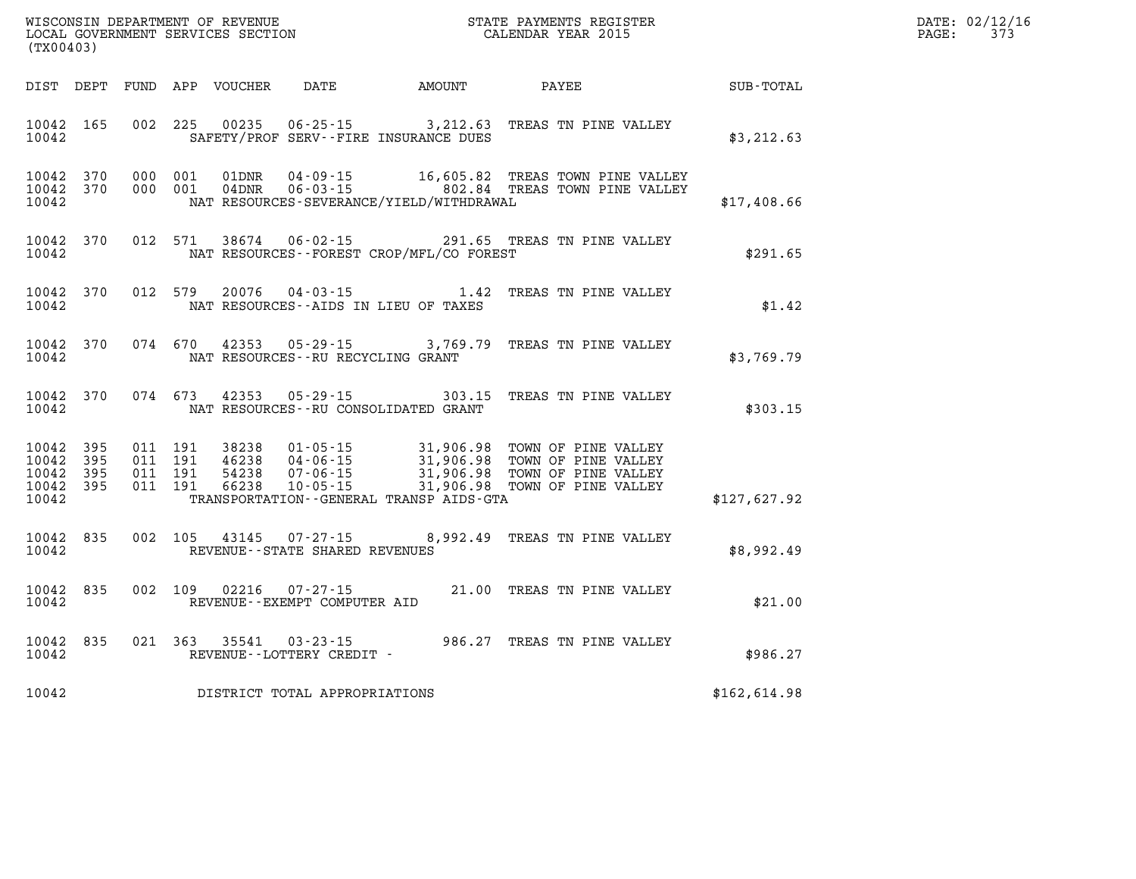| DATE: | 02/12/16 |
|-------|----------|
| PAGE: | 373      |

| WISCONSIN DEPARTMENT OF REVENUE<br>LOCAL GOVERNMENT SERVICES SECTION<br>CALENDAR YEAR 2015<br>(TX00403) |                                                       |       |  |         |  |                                |                                                                                                                                                                                                                                                                              | STATE PAYMENTS REGISTER |              | DATE: 02/12/1<br>PAGE:<br>373 |
|---------------------------------------------------------------------------------------------------------|-------------------------------------------------------|-------|--|---------|--|--------------------------------|------------------------------------------------------------------------------------------------------------------------------------------------------------------------------------------------------------------------------------------------------------------------------|-------------------------|--------------|-------------------------------|
|                                                                                                         |                                                       |       |  |         |  |                                |                                                                                                                                                                                                                                                                              |                         |              |                               |
|                                                                                                         | 10042 165<br>10042                                    |       |  |         |  |                                | 002 225 00235 06-25-15 3, 212.63 TREAS TN PINE VALLEY<br>SAFETY/PROF SERV--FIRE INSURANCE DUES                                                                                                                                                                               |                         | \$3, 212.63  |                               |
|                                                                                                         | 10042 370<br>10042 370<br>10042                       |       |  |         |  |                                | 000 001 01DNR 04-09-15 16,605.82 TREAS TOWN PINE VALLEY<br>000 001 04DNR 06-03-15 802.84 TREAS TOWN PINE VALLEY<br>NAT RESOURCES-SEVERANCE/YIELD/WITHDRAWAL                                                                                                                  |                         | \$17,408.66  |                               |
|                                                                                                         | 10042 370<br>10042                                    |       |  |         |  |                                | 012 571 38674 06-02-15 291.65 TREAS TN PINE VALLEY<br>NAT RESOURCES--FOREST CROP/MFL/CO FOREST                                                                                                                                                                               |                         | \$291.65     |                               |
|                                                                                                         | 10042 370<br>10042                                    |       |  | 012 579 |  |                                | 20076  04-03-15  1.42 TREAS TN PINE VALLEY<br>NAT RESOURCES--AIDS IN LIEU OF TAXES                                                                                                                                                                                           |                         | \$1.42       |                               |
|                                                                                                         | 10042 370<br>10042                                    |       |  |         |  |                                | 074 670 42353 05-29-15 3,769.79 TREAS TN PINE VALLEY<br>NAT RESOURCES--RU RECYCLING GRANT                                                                                                                                                                                    |                         | \$3,769.79   |                               |
|                                                                                                         | 10042 370<br>10042                                    |       |  |         |  |                                | 074 673 42353 05-29-15 303.15 TREAS TN PINE VALLEY<br>NAT RESOURCES--RU CONSOLIDATED GRANT                                                                                                                                                                                   |                         | \$303.15     |                               |
|                                                                                                         | 10042 395<br>10042 395<br>10042<br>10042 395<br>10042 | - 395 |  |         |  |                                | 011 191 38238 01-05-15 31,906.98 TOWN OF PINE VALLEY<br>011 191 46238 04-06-15 31,906.98 TOWN OF PINE VALLEY<br>011 191 54238 07-06-15 31,906.98 TOWN OF PINE VALLEY<br>011 191 66238 10-05-15 31,906.98 TOWN OF PINE VALLEY<br>TRANSPORTATION - - GENERAL TRANSP AIDS - GTA |                         | \$127,627.92 |                               |
|                                                                                                         | 10042 835<br>10042                                    |       |  |         |  | REVENUE--STATE SHARED REVENUES | 002 105 43145 07-27-15 8,992.49 TREAS TN PINE VALLEY                                                                                                                                                                                                                         |                         | \$8,992.49   |                               |
|                                                                                                         | 10042 835<br>10042                                    |       |  |         |  | REVENUE--EXEMPT COMPUTER AID   | 002 109 02216 07-27-15 21.00 TREAS TN PINE VALLEY                                                                                                                                                                                                                            |                         | \$21.00      |                               |
|                                                                                                         | 10042 835<br>10042                                    |       |  |         |  | REVENUE--LOTTERY CREDIT -      | 021 363 35541 03-23-15 986.27 TREAS TN PINE VALLEY                                                                                                                                                                                                                           |                         | \$986.27     |                               |
|                                                                                                         | 10042                                                 |       |  |         |  | DISTRICT TOTAL APPROPRIATIONS  |                                                                                                                                                                                                                                                                              |                         | \$162,614.98 |                               |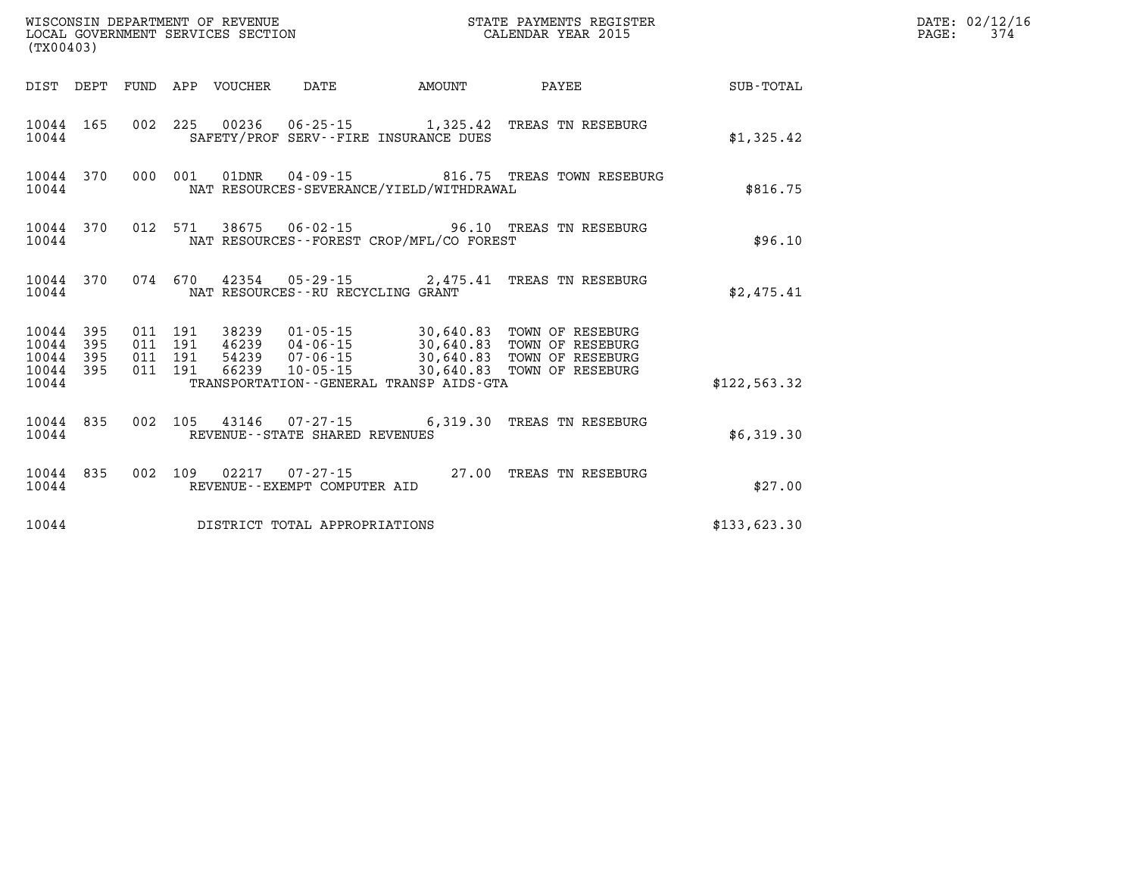| (TX00403) |                                                  |  |  |                                 |                                                        |                                             |                                                                                                                                                                                                                                                                                                     |               | DATE: 02/12/16<br>$\mathtt{PAGE:}$<br>374 |
|-----------|--------------------------------------------------|--|--|---------------------------------|--------------------------------------------------------|---------------------------------------------|-----------------------------------------------------------------------------------------------------------------------------------------------------------------------------------------------------------------------------------------------------------------------------------------------------|---------------|-------------------------------------------|
|           |                                                  |  |  | DIST DEPT FUND APP VOUCHER DATE |                                                        | <b>AMOUNT</b>                               | <b>PAYEE</b> PAYEE                                                                                                                                                                                                                                                                                  | SUB-TOTAL     |                                           |
| 10044     | 10044 165                                        |  |  |                                 |                                                        | SAFETY/PROF SERV--FIRE INSURANCE DUES       | 002 225 00236 06-25-15 1,325.42 TREAS TN RESEBURG                                                                                                                                                                                                                                                   | \$1,325.42    |                                           |
| 10044     |                                                  |  |  |                                 |                                                        | NAT RESOURCES-SEVERANCE/YIELD/WITHDRAWAL    | 10044 370 000 001 01DNR 04-09-15 816.75 TREAS TOWN RESEBURG                                                                                                                                                                                                                                         | \$816.75      |                                           |
| 10044     |                                                  |  |  |                                 |                                                        | NAT RESOURCES - - FOREST CROP/MFL/CO FOREST | 10044 370 012 571 38675 06-02-15 96.10 TREAS TN RESEBURG                                                                                                                                                                                                                                            | \$96.10       |                                           |
| 10044     |                                                  |  |  |                                 | NAT RESOURCES--RU RECYCLING GRANT                      |                                             | 10044 370 074 670 42354 05-29-15 2,475.41 TREAS TN RESEBURG                                                                                                                                                                                                                                         | \$2,475.41    |                                           |
| 10044     | 10044 395<br>10044 395<br>10044 395<br>10044 395 |  |  |                                 |                                                        | TRANSPORTATION--GENERAL TRANSP AIDS-GTA     | $\begin{tabular}{cccccc} 011 & 191 & 38239 & 01-05-15 & 30,640.83 & TOWN OF RESEBURG \\ 011 & 191 & 46239 & 04-06-15 & 30,640.83 & TOWN OF RESEBURG \\ 011 & 191 & 54239 & 07-06-15 & 30,640.83 & TOWN OF RESEBURG \\ 011 & 191 & 66239 & 10-05-15 & 30,640.83 & TOWN OF RESEBURG \\ \end{tabular}$ | \$122, 563.32 |                                           |
| 10044     |                                                  |  |  |                                 | REVENUE--STATE SHARED REVENUES                         |                                             | 10044 835 002 105 43146 07-27-15 6,319.30 TREAS TN RESEBURG                                                                                                                                                                                                                                         | \$6,319.30    |                                           |
| 10044     | 10044 835                                        |  |  |                                 | 002 109 02217 07-27-15<br>REVENUE--EXEMPT COMPUTER AID |                                             | 27.00 TREAS TN RESEBURG                                                                                                                                                                                                                                                                             | \$27.00       |                                           |
| 10044     |                                                  |  |  |                                 | DISTRICT TOTAL APPROPRIATIONS                          |                                             |                                                                                                                                                                                                                                                                                                     | \$133,623.30  |                                           |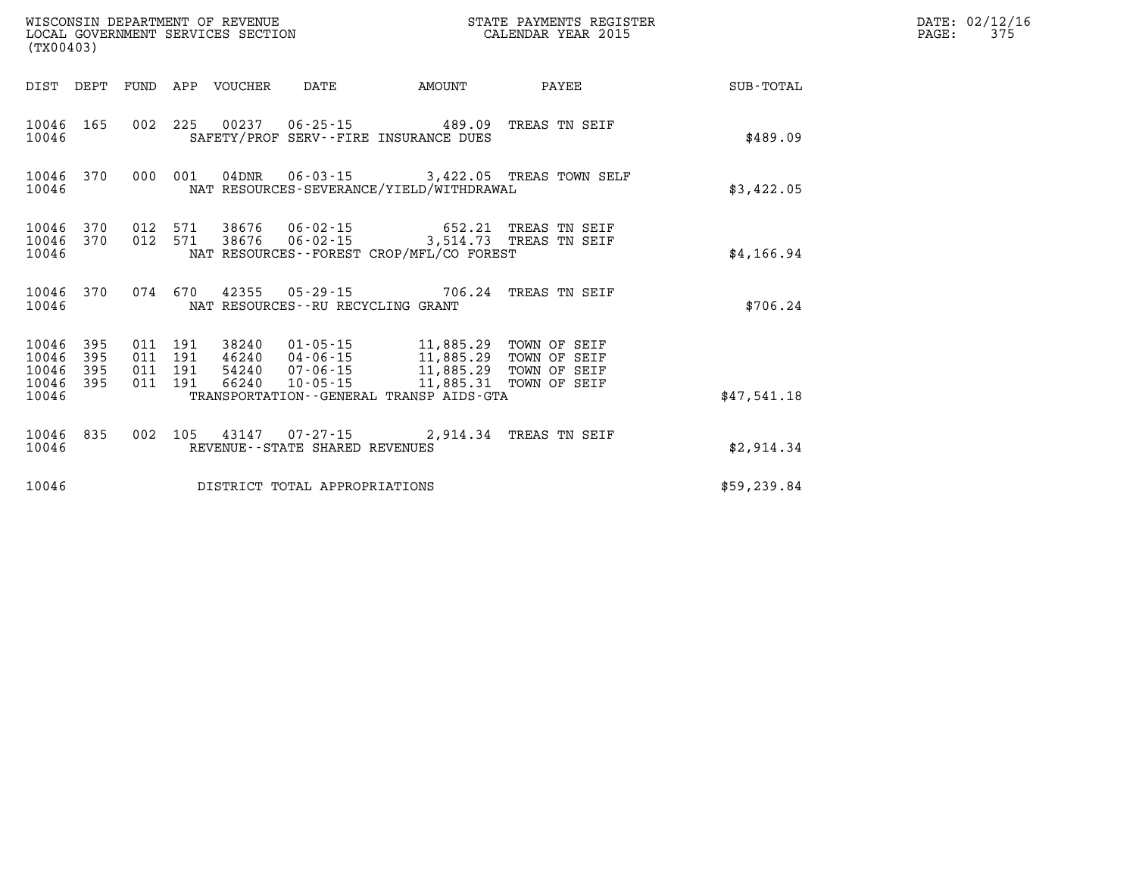| (TX00403) |  |  |  |                                      | STATE PAYMENTS REGISTER                                                                                                                                                                                                                                                                                                                          |                                                           |              | $\mathtt{PAGE:}$ | DATE: 02/12/16<br>375 |
|-----------|--|--|--|--------------------------------------|--------------------------------------------------------------------------------------------------------------------------------------------------------------------------------------------------------------------------------------------------------------------------------------------------------------------------------------------------|-----------------------------------------------------------|--------------|------------------|-----------------------|
|           |  |  |  |                                      | DIST DEPT FUND APP VOUCHER DATE AMOUNT                                                                                                                                                                                                                                                                                                           | <b>PAYEE</b>                                              | SUB-TOTAL    |                  |                       |
| 10046     |  |  |  |                                      | 10046 165 002 225 00237 06-25-15 489.09 TREAS TN SEIF<br>SAFETY/PROF SERV--FIRE INSURANCE DUES                                                                                                                                                                                                                                                   |                                                           | \$489.09     |                  |                       |
| 10046     |  |  |  |                                      | NAT RESOURCES-SEVERANCE/YIELD/WITHDRAWAL                                                                                                                                                                                                                                                                                                         | 10046 370 000 001 04DNR 06-03-15 3,422.05 TREAS TOWN SELF | \$3,422.05   |                  |                       |
| 10046     |  |  |  |                                      | $\begin{array}{cccccccc} 10046 & 370 & 012 & 571 & 38676 & 06-02-15 & & & & 652.21 & \text{TREAS TN SEIF} \\ 10046 & 370 & 012 & 571 & 38676 & 06-02-15 & & & 3,514.73 & \text{TREAS TN SEIF} \end{array}$<br>NAT RESOURCES--FOREST CROP/MFL/CO FOREST                                                                                           |                                                           | \$4,166.94   |                  |                       |
| 10046     |  |  |  | NAT RESOURCES - - RU RECYCLING GRANT | 10046 370 074 670 42355 05-29-15 706.24 TREAS TN SEIF                                                                                                                                                                                                                                                                                            |                                                           | \$706.24     |                  |                       |
| 10046     |  |  |  |                                      | $\begin{tabular}{cccccc} 10046 & 395 & 011 & 191 & 38240 & 01-05-15 & 11,885.29 & TOWN OF SEIF \\ 10046 & 395 & 011 & 191 & 46240 & 04-06-15 & 11,885.29 & TOWN OF SEIF \\ 10046 & 395 & 011 & 191 & 54240 & 07-06-15 & 11,885.29 & TOWN OF SEIF \\ 10046 & 395 & 011 & 191 & 66240 & 10-05-15 & 11,$<br>TRANSPORTATION--GENERAL TRANSP AIDS-GTA |                                                           | \$47,541.18  |                  |                       |
| 10046     |  |  |  | REVENUE--STATE SHARED REVENUES       | 10046 835 002 105 43147 07-27-15 2,914.34 TREAS TN SEIF                                                                                                                                                                                                                                                                                          |                                                           | \$2,914.34   |                  |                       |
| 10046     |  |  |  | DISTRICT TOTAL APPROPRIATIONS        |                                                                                                                                                                                                                                                                                                                                                  |                                                           | \$59, 239.84 |                  |                       |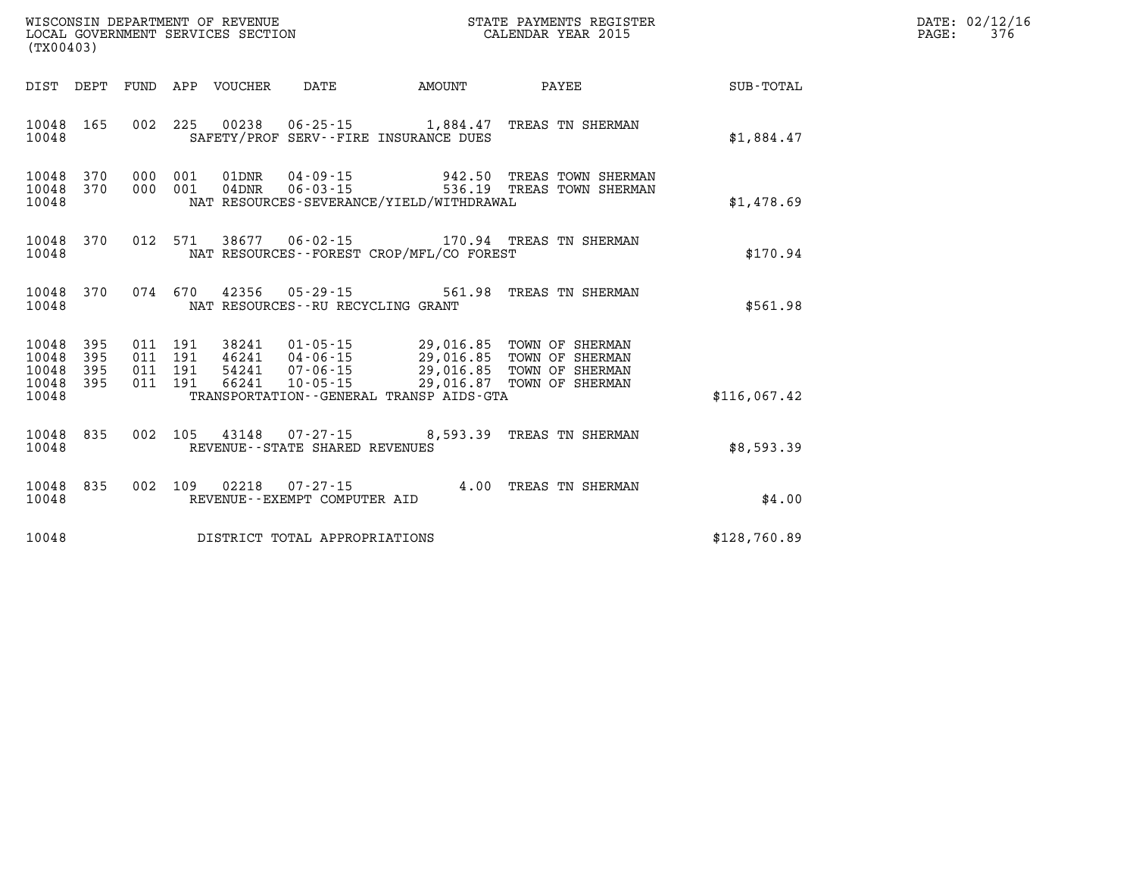| (TX00403)                                |            |                                          |         | WISCONSIN DEPARTMENT OF REVENUE<br>LOCAL GOVERNMENT SERVICES SECTION |                                |                                             | STATE PAYMENTS REGISTER<br>CALENDAR YEAR 2015                                                                                                                                   |              | DATE: 02/12/16<br>$\mathtt{PAGE}$ :<br>376 |
|------------------------------------------|------------|------------------------------------------|---------|----------------------------------------------------------------------|--------------------------------|---------------------------------------------|---------------------------------------------------------------------------------------------------------------------------------------------------------------------------------|--------------|--------------------------------------------|
|                                          |            |                                          |         | DIST DEPT FUND APP VOUCHER                                           | DATE                           | AMOUNT                                      | PAYEE                                                                                                                                                                           | SUB-TOTAL    |                                            |
| 10048 165<br>10048                       |            |                                          |         |                                                                      |                                | SAFETY/PROF SERV--FIRE INSURANCE DUES       | 002 225 00238 06-25-15 1,884.47 TREAS TN SHERMAN                                                                                                                                | \$1,884.47   |                                            |
| 10048<br>10048 370<br>10048              | 370        | 000 001                                  | 000 001 |                                                                      |                                | NAT RESOURCES-SEVERANCE/YIELD/WITHDRAWAL    |                                                                                                                                                                                 | \$1,478.69   |                                            |
| 10048 370<br>10048                       |            |                                          |         |                                                                      |                                | NAT RESOURCES - - FOREST CROP/MFL/CO FOREST | 012 571 38677 06-02-15 170.94 TREAS TN SHERMAN                                                                                                                                  | \$170.94     |                                            |
| 10048                                    |            |                                          |         |                                                                      |                                | NAT RESOURCES - - RU RECYCLING GRANT        | 10048 370 074 670 42356 05-29-15 561.98 TREAS TN SHERMAN                                                                                                                        | \$561.98     |                                            |
| 10048<br>10048<br>10048 395<br>10048 395 | 395<br>395 | 011 191<br>011 191<br>011 191<br>011 191 |         |                                                                      |                                |                                             | 38241  01-05-15  29,016.85  TOWN OF SHERMAN<br>46241 04-06-15 29,016.85 TOWN OF SHERMAN<br>54241 07-06-15 29,016.85 TOWN OF SHERMAN<br>66241 10-05-15 29,016.87 TOWN OF SHERMAN |              |                                            |
| 10048                                    |            |                                          |         |                                                                      |                                | TRANSPORTATION--GENERAL TRANSP AIDS-GTA     |                                                                                                                                                                                 | \$116,067.42 |                                            |
| 10048 835<br>10048                       |            |                                          |         |                                                                      | REVENUE--STATE SHARED REVENUES |                                             | 002 105 43148 07-27-15 8,593.39 TREAS TN SHERMAN                                                                                                                                | \$8,593.39   |                                            |
| 10048 835<br>10048                       |            |                                          |         |                                                                      | REVENUE--EXEMPT COMPUTER AID   |                                             | 002 109 02218 07-27-15 4.00 TREAS TN SHERMAN                                                                                                                                    | \$4.00       |                                            |
| 10048                                    |            |                                          |         |                                                                      | DISTRICT TOTAL APPROPRIATIONS  |                                             |                                                                                                                                                                                 | \$128,760.89 |                                            |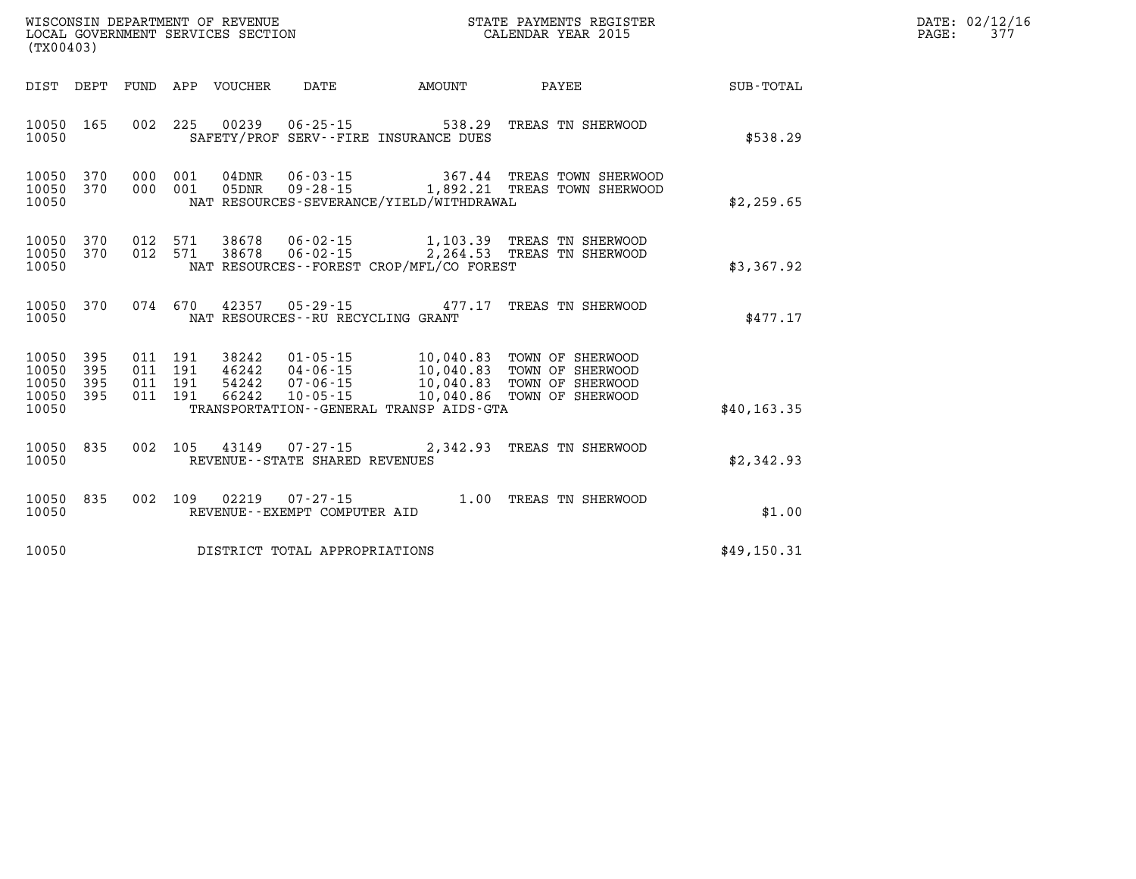| $\mathtt{DATE}$ : | 02/12/16 |
|-------------------|----------|
| PAGE:             | 377      |

| WISCONSIN DEPARTMENT OF REVENUE<br>STATE PAYMENTS REGISTER<br>CALENDAR YEAR 2015<br>LOCAL GOVERNMENT SERVICES SECTION<br>(TX00403) |                          |                                                              |                                                                      |                                                                                             |                                                                              |                  |
|------------------------------------------------------------------------------------------------------------------------------------|--------------------------|--------------------------------------------------------------|----------------------------------------------------------------------|---------------------------------------------------------------------------------------------|------------------------------------------------------------------------------|------------------|
| DIST<br>DEPT                                                                                                                       | FUND                     | APP<br>VOUCHER                                               | <b>DATE</b>                                                          | AMOUNT                                                                                      | PAYEE                                                                        | <b>SUB-TOTAL</b> |
| 10050<br>165<br>10050                                                                                                              | 002                      | 225<br>00239                                                 | $06 - 25 - 15$                                                       | 538.29<br>SAFETY/PROF SERV--FIRE INSURANCE DUES                                             | TREAS TN SHERWOOD                                                            | \$538.29         |
| 370<br>10050<br>10050<br>370<br>10050                                                                                              | 000<br>000               | 001<br>$04$ DNR<br>001<br>05DNR                              | $06 - 03 - 15$<br>$09 - 28 - 15$                                     | 367.44<br>1,892.21<br>NAT RESOURCES-SEVERANCE/YIELD/WITHDRAWAL                              | TREAS TOWN SHERWOOD<br>TREAS TOWN SHERWOOD                                   | \$2,259.65       |
| 10050<br>370<br>10050<br>370<br>10050                                                                                              | 012<br>012               | 571<br>38678<br>571<br>38678                                 | $06 - 02 - 15$<br>06-02-15                                           | 2,264.53<br>NAT RESOURCES -- FOREST CROP/MFL/CO FOREST                                      | 1,103.39 TREAS TN SHERWOOD<br>TREAS TN SHERWOOD                              | \$3,367.92       |
| 10050<br>370<br>10050                                                                                                              | 074                      | 670<br>42357                                                 | $05 - 29 - 15$<br>NAT RESOURCES - - RU RECYCLING GRANT               | 477.17                                                                                      | TREAS TN SHERWOOD                                                            | \$477.17         |
| 10050<br>395<br>10050<br>395<br>10050<br>395<br>10050<br>395<br>10050                                                              | 011<br>011<br>011<br>011 | 191<br>38242<br>191<br>46242<br>191<br>54242<br>66242<br>191 | $01 - 05 - 15$<br>$04 - 06 - 15$<br>$07 - 06 - 15$<br>$10 - 05 - 15$ | 10,040.83<br>10,040.83<br>10,040.83<br>10,040.86<br>TRANSPORTATION--GENERAL TRANSP AIDS-GTA | TOWN OF SHERWOOD<br>TOWN OF SHERWOOD<br>TOWN OF SHERWOOD<br>TOWN OF SHERWOOD | \$40, 163.35     |
| 835<br>10050<br>10050                                                                                                              | 002                      | 105                                                          | 43149 07-27-15<br>REVENUE - - STATE SHARED REVENUES                  | 2,342.93                                                                                    | TREAS TN SHERWOOD                                                            | \$2,342.93       |
| 835<br>10050<br>10050                                                                                                              | 002                      | 109<br>02219                                                 | $07 - 27 - 15$<br>REVENUE--EXEMPT COMPUTER AID                       | 1.00                                                                                        | TREAS TN SHERWOOD                                                            | \$1.00           |
| 10050                                                                                                                              |                          |                                                              | DISTRICT TOTAL APPROPRIATIONS                                        |                                                                                             |                                                                              | \$49,150.31      |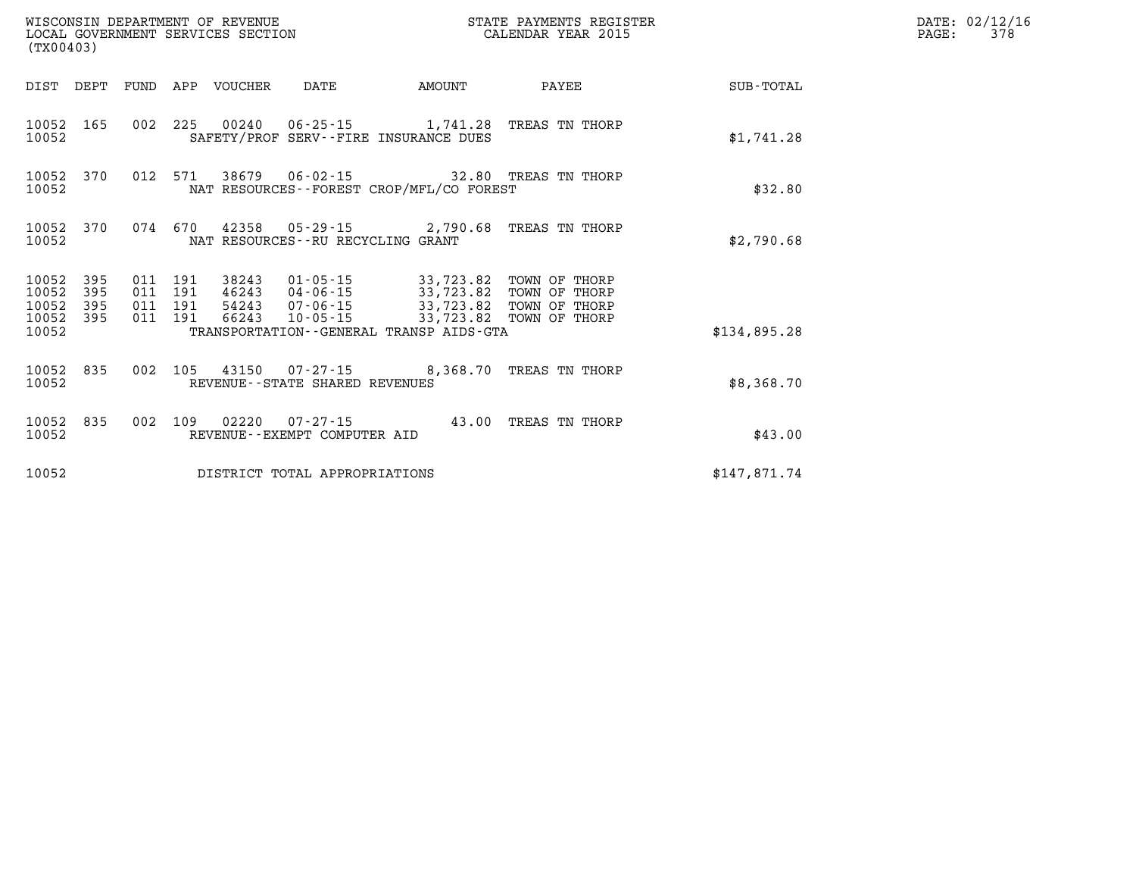| (TX00403)               |                   |                    |                    | WISCONSIN DEPARTMENT OF REVENUE | LOCAL GOVERNMENT SERVICES SECTION |                                                                                                                                                                      | STATE PAYMENTS REGISTER<br>CALENDAR YEAR 2015 |              | DATE: 02/12/16<br>PAGE:<br>378 |
|-------------------------|-------------------|--------------------|--------------------|---------------------------------|-----------------------------------|----------------------------------------------------------------------------------------------------------------------------------------------------------------------|-----------------------------------------------|--------------|--------------------------------|
|                         |                   |                    |                    | DIST DEPT FUND APP VOUCHER      | DATE                              | AMOUNT                                                                                                                                                               | PAYEE                                         | SUB-TOTAL    |                                |
| 10052                   | 10052 165         |                    |                    |                                 |                                   | 002 225 00240 06-25-15 1,741.28 TREAS TN THORP<br>SAFETY/PROF SERV--FIRE INSURANCE DUES                                                                              |                                               | \$1,741.28   |                                |
| 10052 370<br>10052      |                   |                    | 012 571            |                                 |                                   | NAT RESOURCES - - FOREST CROP/MFL/CO FOREST                                                                                                                          |                                               | \$32.80      |                                |
| 10052 370<br>10052      |                   |                    | 074 670            |                                 | NAT RESOURCES--RU RECYCLING GRANT | 42358 05-29-15 2,790.68 TREAS TN THORP                                                                                                                               |                                               | \$2,790.68   |                                |
| 10052<br>10052<br>10052 | 395<br>395<br>395 | 011 191<br>011 191 | 011 191<br>011 191 | 66243                           |                                   | 38243  01-05-15  33,723.82  TOWN OF THORP<br>46243 04-06-15 33,723.82 TOWN OF THORP<br>54243  07-06-15  33,723.82  TOWN OF THORP<br>10-05-15 33,723.82 TOWN OF THORP |                                               |              |                                |
| 10052 395<br>10052      |                   |                    |                    |                                 |                                   | TRANSPORTATION - - GENERAL TRANSP AIDS - GTA                                                                                                                         |                                               | \$134,895.28 |                                |
| 10052                   | 10052 835         |                    |                    |                                 | REVENUE--STATE SHARED REVENUES    | 002 105 43150 07-27-15 8,368.70 TREAS TN THORP                                                                                                                       |                                               | \$8,368.70   |                                |
| 10052                   | 10052 835         | 002 109            |                    |                                 | REVENUE--EXEMPT COMPUTER AID      |                                                                                                                                                                      | 43.00 TREAS TN THORP                          | \$43.00      |                                |
| 10052                   |                   |                    |                    |                                 | DISTRICT TOTAL APPROPRIATIONS     |                                                                                                                                                                      |                                               | \$147,871.74 |                                |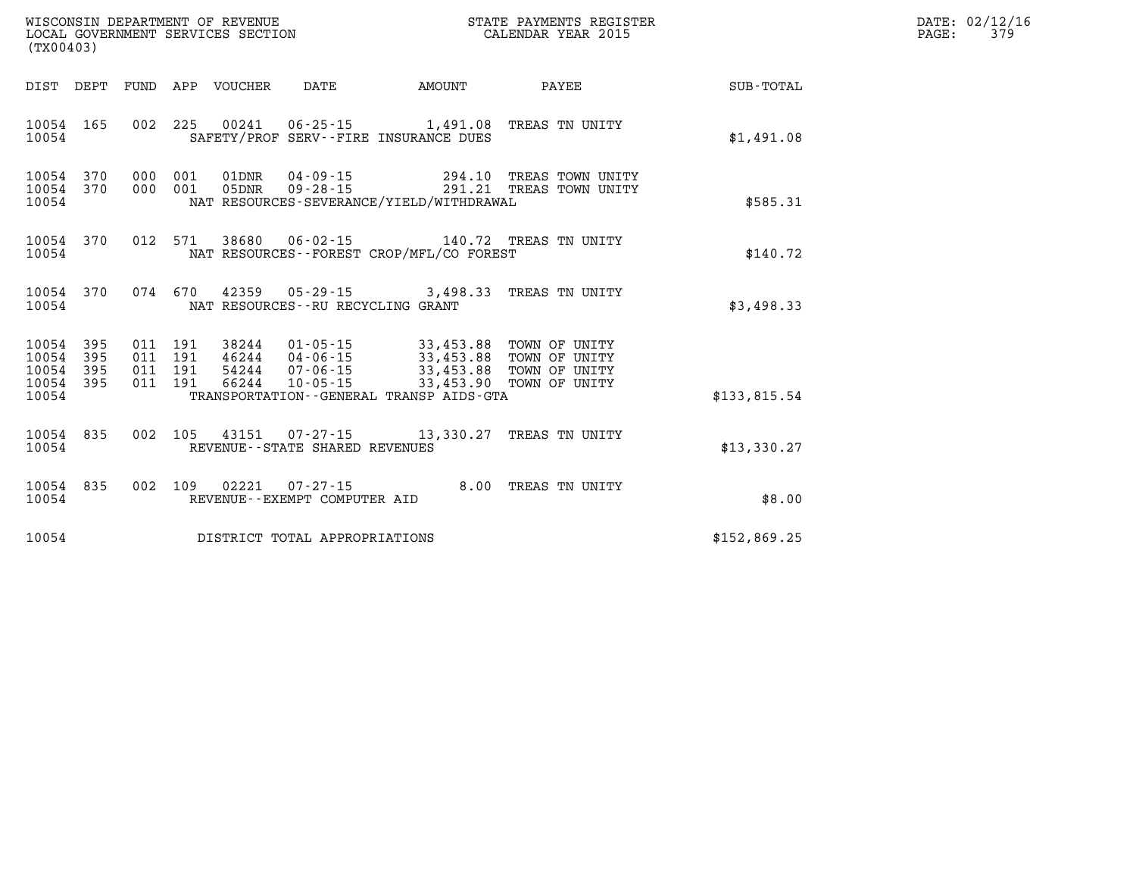| PAGE: | DATE: 02/12/16<br>379 |
|-------|-----------------------|
|       |                       |

| (TX00403)                                 |                                               | WISCONSIN DEPARTMENT OF REVENUE                            | STATE PAYMENTS REGISTER<br>LOCAL GOVERNMENT SERVICES SECTION<br>CALENDAR YEAR 2015                                       |                                     |                                                                            |                  |  |
|-------------------------------------------|-----------------------------------------------|------------------------------------------------------------|--------------------------------------------------------------------------------------------------------------------------|-------------------------------------|----------------------------------------------------------------------------|------------------|--|
| DIST                                      | DEPT<br>FUND                                  | APP<br>VOUCHER                                             | DATE                                                                                                                     | AMOUNT                              | PAYEE                                                                      | <b>SUB-TOTAL</b> |  |
| 10054<br>10054                            | 002<br>165                                    | 225<br>00241                                               | 06-25-15 1,491.08 TREAS TN UNITY<br>SAFETY/PROF SERV--FIRE INSURANCE DUES                                                |                                     |                                                                            | \$1,491.08       |  |
| 10054<br>10054<br>10054                   | 370<br>000<br>370<br>000                      | 001<br>01DNR<br>001<br>05DNR                               | 04-09-15<br>$09 - 28 - 15$<br>NAT RESOURCES-SEVERANCE/YIELD/WITHDRAWAL                                                   | 291.21                              | 294.10 TREAS TOWN UNITY<br>TREAS TOWN UNITY                                | \$585.31         |  |
| 10054<br>10054                            | 370                                           | 012<br>571<br>38680                                        | 06-02-15<br>NAT RESOURCES - - FOREST CROP/MFL/CO FOREST                                                                  |                                     | 140.72 TREAS TN UNITY                                                      | \$140.72         |  |
| 10054<br>10054                            | 370                                           | 670<br>074<br>42359                                        | $05 - 29 - 15$ 3,498.33<br>NAT RESOURCES - - RU RECYCLING GRANT                                                          |                                     | TREAS TN UNITY                                                             | \$3,498.33       |  |
| 10054<br>10054<br>10054<br>10054<br>10054 | 395<br>395<br>011<br>395<br>011<br>011<br>395 | 011<br>191<br>38244<br>191<br>191<br>54244<br>191<br>66244 | $01 - 05 - 15$<br>$46244$ $04-06-15$<br>$07 - 06 - 15$<br>$10 - 05 - 15$<br>TRANSPORTATION - - GENERAL TRANSP AIDS - GTA | 33,453.88<br>33,453.88<br>33,453.90 | 33,453.88 TOWN OF UNITY<br>TOWN OF UNITY<br>TOWN OF UNITY<br>TOWN OF UNITY | \$133,815.54     |  |
| 10054<br>10054                            | 835<br>002                                    | 105                                                        | 43151  07-27-15  13,330.27<br>REVENUE - - STATE SHARED REVENUES                                                          |                                     | TREAS TN UNITY                                                             | \$13,330.27      |  |
| 10054<br>10054                            | 835<br>002                                    | 109<br>02221                                               | $07 - 27 - 15$<br>REVENUE--EXEMPT COMPUTER AID                                                                           | 8.00                                | TREAS TN UNITY                                                             | \$8.00           |  |
| 10054                                     |                                               |                                                            | DISTRICT TOTAL APPROPRIATIONS                                                                                            |                                     |                                                                            | \$152,869.25     |  |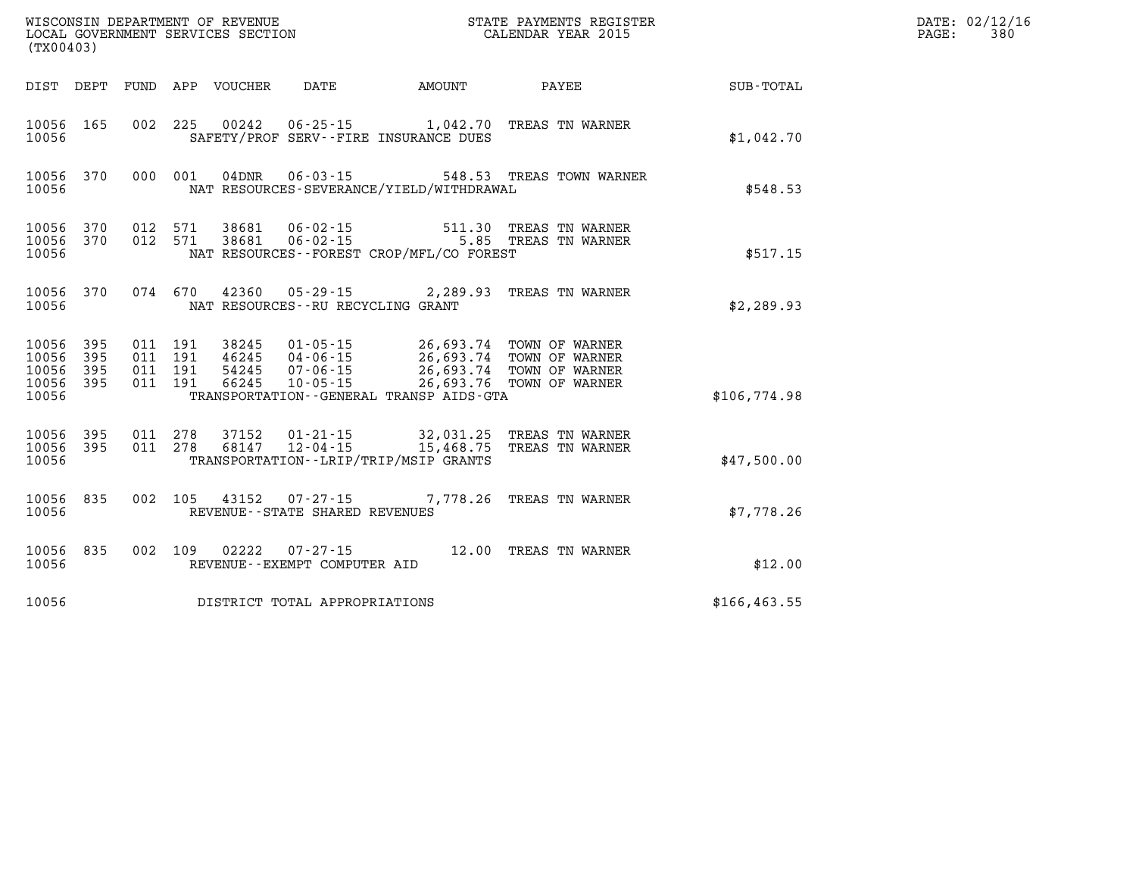|                                                       | WISCONSIN DEPARTMENT OF REVENUE<br>LOCAL GOVERNMENT SERVICES SECTION<br>CALENDAR YEAR 2015<br>(TX00403) |  |  |  |                                   |                                              |                                                                                                                                                                                                                                                                                                                                        |                 | DATE: 02/12/16<br>$\mathtt{PAGE:}$<br>380 |
|-------------------------------------------------------|---------------------------------------------------------------------------------------------------------|--|--|--|-----------------------------------|----------------------------------------------|----------------------------------------------------------------------------------------------------------------------------------------------------------------------------------------------------------------------------------------------------------------------------------------------------------------------------------------|-----------------|-------------------------------------------|
|                                                       |                                                                                                         |  |  |  |                                   | DIST DEPT FUND APP VOUCHER DATE AMOUNT       |                                                                                                                                                                                                                                                                                                                                        | PAYEE SUB-TOTAL |                                           |
| 10056 165<br>10056                                    |                                                                                                         |  |  |  |                                   | SAFETY/PROF SERV--FIRE INSURANCE DUES        | 002 225 00242 06-25-15 1,042.70 TREAS TN WARNER                                                                                                                                                                                                                                                                                        | \$1,042.70      |                                           |
| 10056 370<br>10056                                    |                                                                                                         |  |  |  |                                   | NAT RESOURCES-SEVERANCE/YIELD/WITHDRAWAL     | 000 001 04DNR 06-03-15 548.53 TREAS TOWN WARNER                                                                                                                                                                                                                                                                                        | \$548.53        |                                           |
| 10056 370<br>10056 370<br>10056                       |                                                                                                         |  |  |  |                                   | NAT RESOURCES--FOREST CROP/MFL/CO FOREST     | 012 571 38681 06-02-15 511.30 TREAS TN WARNER<br>012 571 38681 06-02-15 5.85 TREAS TN WARNER                                                                                                                                                                                                                                           | \$517.15        |                                           |
| 10056 370<br>10056                                    |                                                                                                         |  |  |  | NAT RESOURCES--RU RECYCLING GRANT |                                              | 074 670 42360 05-29-15 2,289.93 TREAS TN WARNER                                                                                                                                                                                                                                                                                        | \$2,289.93      |                                           |
| 10056 395<br>10056<br>10056 395<br>10056 395<br>10056 | 395                                                                                                     |  |  |  |                                   | TRANSPORTATION - - GENERAL TRANSP AIDS - GTA | $\begin{array}{cccc} 011 & 191 & 38245 & 01\cdot 05\cdot 15 & 26\,693\,.74 & \textrm{TOWN OF WARMER} \\ 011 & 191 & 46245 & 04\cdot 06\cdot 15 & 26\,693\,.74 & \textrm{TOWN OF WARMER} \\ 011 & 191 & 54245 & 07\cdot 06\cdot 15 & 26\,693\,.74 & \textrm{TOWN OF WARMER} \\ 011 & 191 & 66245 & 10\cdot 05\cdot 15 & 26\,693\,.76 &$ | \$106,774.98    |                                           |
| 10056 395<br>10056 395<br>10056                       |                                                                                                         |  |  |  |                                   | TRANSPORTATION - - LRIP/TRIP/MSIP GRANTS     | 011  278  37152  01-21-15  32,031.25  TREAS TN WARNER<br>011  278  68147  12-04-15  15,468.75  TREAS TN WARNER                                                                                                                                                                                                                         | \$47,500.00     |                                           |
| 10056 835<br>10056                                    |                                                                                                         |  |  |  | REVENUE - - STATE SHARED REVENUES |                                              | 002 105 43152 07-27-15 7,778.26 TREAS TN WARNER                                                                                                                                                                                                                                                                                        | \$7,778.26      |                                           |
| 10056 835<br>10056                                    |                                                                                                         |  |  |  | REVENUE--EXEMPT COMPUTER AID      |                                              | 002 109 02222 07-27-15 12.00 TREAS TN WARNER                                                                                                                                                                                                                                                                                           | \$12.00         |                                           |
| 10056                                                 |                                                                                                         |  |  |  | DISTRICT TOTAL APPROPRIATIONS     |                                              |                                                                                                                                                                                                                                                                                                                                        | \$166, 463.55   |                                           |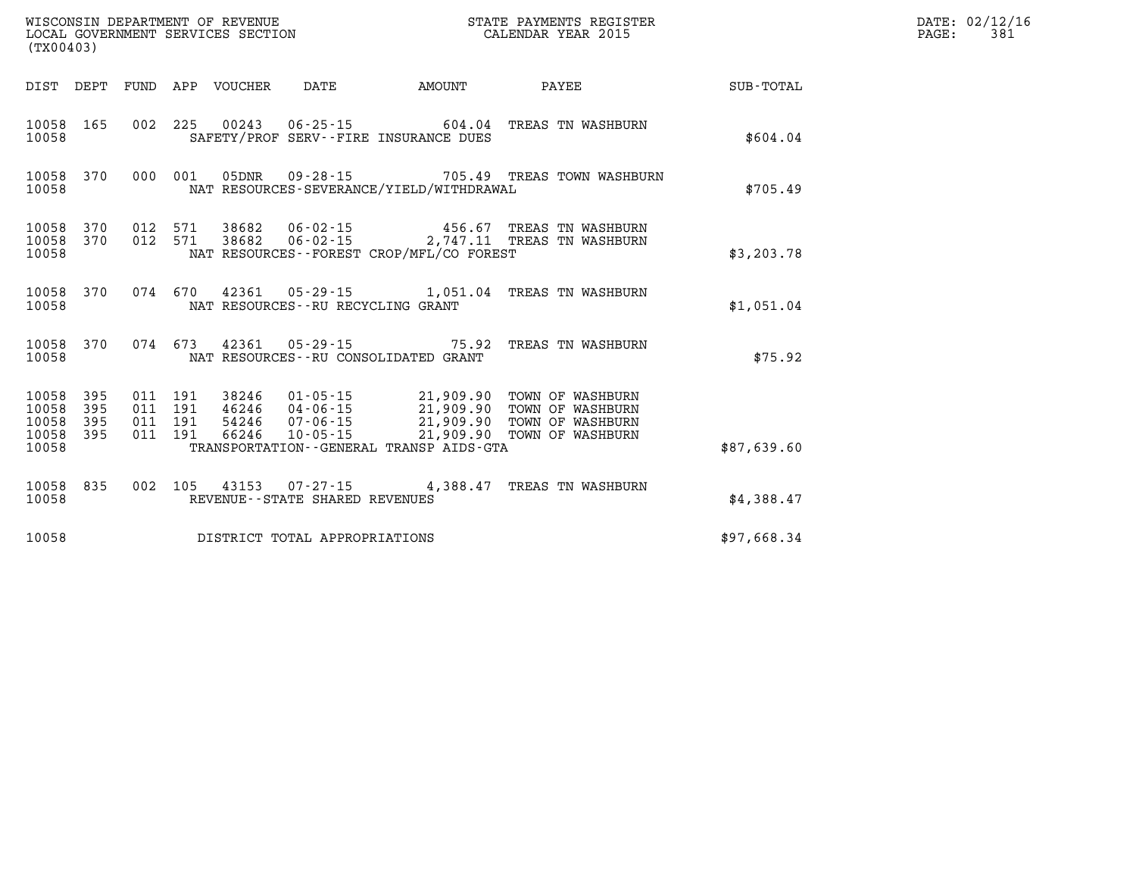| WISCONSIN DEPARTMENT OF REVENUE   | STATE PAYMENTS REGISTER | DATE: 02/12/16 |
|-----------------------------------|-------------------------|----------------|
| LOCAL GOVERNMENT SERVICES SECTION | CALENDAR YEAR 2015      | 381<br>PAGE:   |
| $1 - 2 - 0 - 1 - 0$               |                         |                |

| (TX00403)                                    |     |  | LOCAL GOVERNMENT SERVICES SECTION |                                |                                          | CALENDAR YEAR 2015                                                                                                                                                                                               |             | PAGE: | 381 |
|----------------------------------------------|-----|--|-----------------------------------|--------------------------------|------------------------------------------|------------------------------------------------------------------------------------------------------------------------------------------------------------------------------------------------------------------|-------------|-------|-----|
|                                              |     |  |                                   |                                |                                          |                                                                                                                                                                                                                  |             |       |     |
| 10058 165<br>10058                           |     |  |                                   |                                | SAFETY/PROF SERV--FIRE INSURANCE DUES    | 002 225 00243 06-25-15 604.04 TREAS TN WASHBURN                                                                                                                                                                  | \$604.04    |       |     |
| 10058 370<br>10058                           |     |  |                                   |                                | NAT RESOURCES-SEVERANCE/YIELD/WITHDRAWAL | 000 001 05DNR 09-28-15 705.49 TREAS TOWN WASHBURN                                                                                                                                                                | \$705.49    |       |     |
| 10058 370<br>10058 370<br>10058              |     |  |                                   |                                | NAT RESOURCES--FOREST CROP/MFL/CO FOREST | 012 571 38682 06-02-15 456.67 TREAS TN WASHBURN<br>012 571 38682 06-02-15 2,747.11 TREAS TN WASHBURN                                                                                                             | \$3,203.78  |       |     |
| 10058                                        |     |  |                                   |                                | NAT RESOURCES--RU RECYCLING GRANT        | 10058 370 074 670 42361 05-29-15 1,051.04 TREAS TN WASHBURN                                                                                                                                                      | \$1.051.04  |       |     |
| 10058 370<br>10058                           |     |  |                                   |                                | NAT RESOURCES--RU CONSOLIDATED GRANT     | 074 673 42361 05-29-15 75.92 TREAS TN WASHBURN                                                                                                                                                                   | \$75.92     |       |     |
| 10058 395<br>10058<br>10058 395<br>10058 395 | 395 |  |                                   |                                |                                          | 011 191 38246 01-05-15 21,909.90 TOWN OF WASHBURN<br>011 191 46246 04-06-15 21,909.90 TOWN OF WASHBURN<br>011 191 54246 07-06-15 21,909.90 TOWN OF WASHBURN<br>011 191 66246 10-05-15 21,909.90 TOWN OF WASHBURN |             |       |     |
| 10058                                        |     |  |                                   |                                | TRANSPORTATION--GENERAL TRANSP AIDS-GTA  |                                                                                                                                                                                                                  | \$87,639.60 |       |     |
| 10058                                        |     |  |                                   | REVENUE--STATE SHARED REVENUES |                                          | 10058 835 002 105 43153 07-27-15 4,388.47 TREAS TN WASHBURN                                                                                                                                                      | \$4,388.47  |       |     |
| 10058                                        |     |  |                                   | DISTRICT TOTAL APPROPRIATIONS  |                                          |                                                                                                                                                                                                                  | \$97,668.34 |       |     |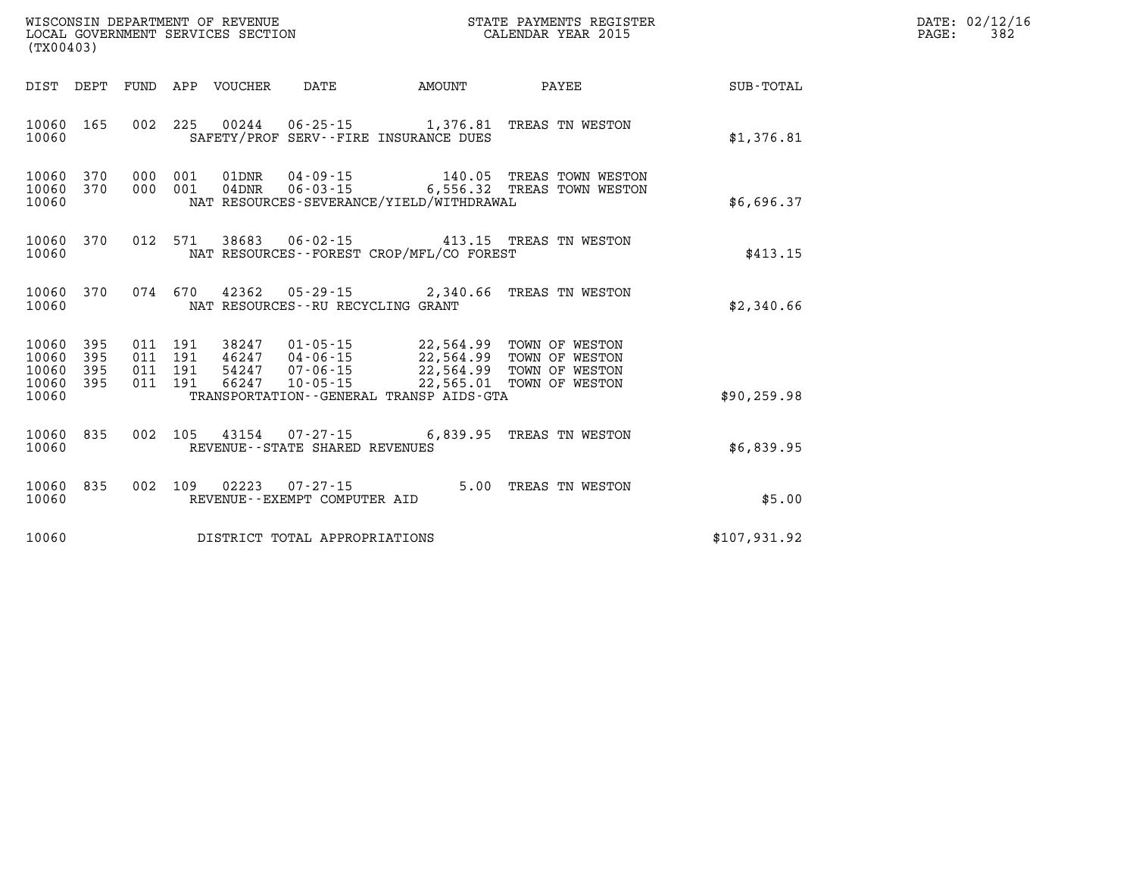| PAGE: | DATE: 02/12/16<br>382 |
|-------|-----------------------|
|       |                       |

| WISCONSIN DEPARTMENT OF REVENUE<br>LOCAL GOVERNMENT SERVICES SECTION<br>(TX00403)                 | STATE PAYMENTS REGISTER<br>CALENDAR YEAR 2015                                                                                                                                                                                       |                                                                                     |  |
|---------------------------------------------------------------------------------------------------|-------------------------------------------------------------------------------------------------------------------------------------------------------------------------------------------------------------------------------------|-------------------------------------------------------------------------------------|--|
| <b>FUND</b><br>DIST<br>DEPT                                                                       | APP<br><b>DATE</b><br><b>VOUCHER</b><br><b>AMOUNT</b>                                                                                                                                                                               | <b>SUB-TOTAL</b><br>PAYEE                                                           |  |
| 002<br>165<br>10060<br>10060                                                                      | 225<br>00244<br>$06 - 25 - 15$<br>1,376.81<br>SAFETY/PROF SERV--FIRE INSURANCE DUES                                                                                                                                                 | TREAS TN WESTON<br>\$1,376.81                                                       |  |
| 10060<br>370<br>000<br>000<br>10060<br>370<br>10060                                               | 001<br>01DNR<br>$04 - 09 - 15$<br>001<br>$06 - 03 - 15$<br>$04$ DNR<br>6,556.32<br>NAT RESOURCES-SEVERANCE/YIELD/WITHDRAWAL                                                                                                         | 140.05<br>TREAS TOWN WESTON<br>TREAS TOWN WESTON<br>\$6,696.37                      |  |
| 012<br>370<br>10060<br>10060                                                                      | 38683<br>571<br>$06 - 02 - 15$<br>NAT RESOURCES - - FOREST CROP/MFL/CO FOREST                                                                                                                                                       | 413.15<br>TREAS TN WESTON<br>\$413.15                                               |  |
| 370<br>074<br>10060<br>10060                                                                      | 670<br>42362<br>$05 - 29 - 15$<br>2,340.66<br>NAT RESOURCES - - RU RECYCLING GRANT                                                                                                                                                  | TREAS TN WESTON<br>\$2,340.66                                                       |  |
| 10060<br>395<br>011<br>10060<br>395<br>011<br>10060<br>395<br>011<br>10060<br>395<br>011<br>10060 | 38247<br>$01 - 05 - 15$<br>22,564.99<br>191<br>191<br>22,564.99<br>46247<br>$04 - 06 - 15$<br>191<br>22,564.99<br>54247<br>$07 - 06 - 15$<br>66247<br>22,565.01<br>191<br>$10 - 05 - 15$<br>TRANSPORTATION--GENERAL TRANSP AIDS-GTA | TOWN OF WESTON<br>TOWN OF WESTON<br>TOWN OF WESTON<br>TOWN OF WESTON<br>\$90,259.98 |  |
| 835<br>002<br>10060<br>10060                                                                      | 105<br>43154<br>6,839.95<br>07-27-15<br>REVENUE - - STATE SHARED REVENUES                                                                                                                                                           | TREAS TN WESTON<br>\$6,839.95                                                       |  |
| 002<br>10060<br>835<br>10060                                                                      | 109<br>02223<br>$07 - 27 - 15$<br>REVENUE--EXEMPT COMPUTER AID                                                                                                                                                                      | 5.00<br>TREAS TN WESTON<br>\$5.00                                                   |  |
| 10060                                                                                             | DISTRICT TOTAL APPROPRIATIONS                                                                                                                                                                                                       | \$107,931.92                                                                        |  |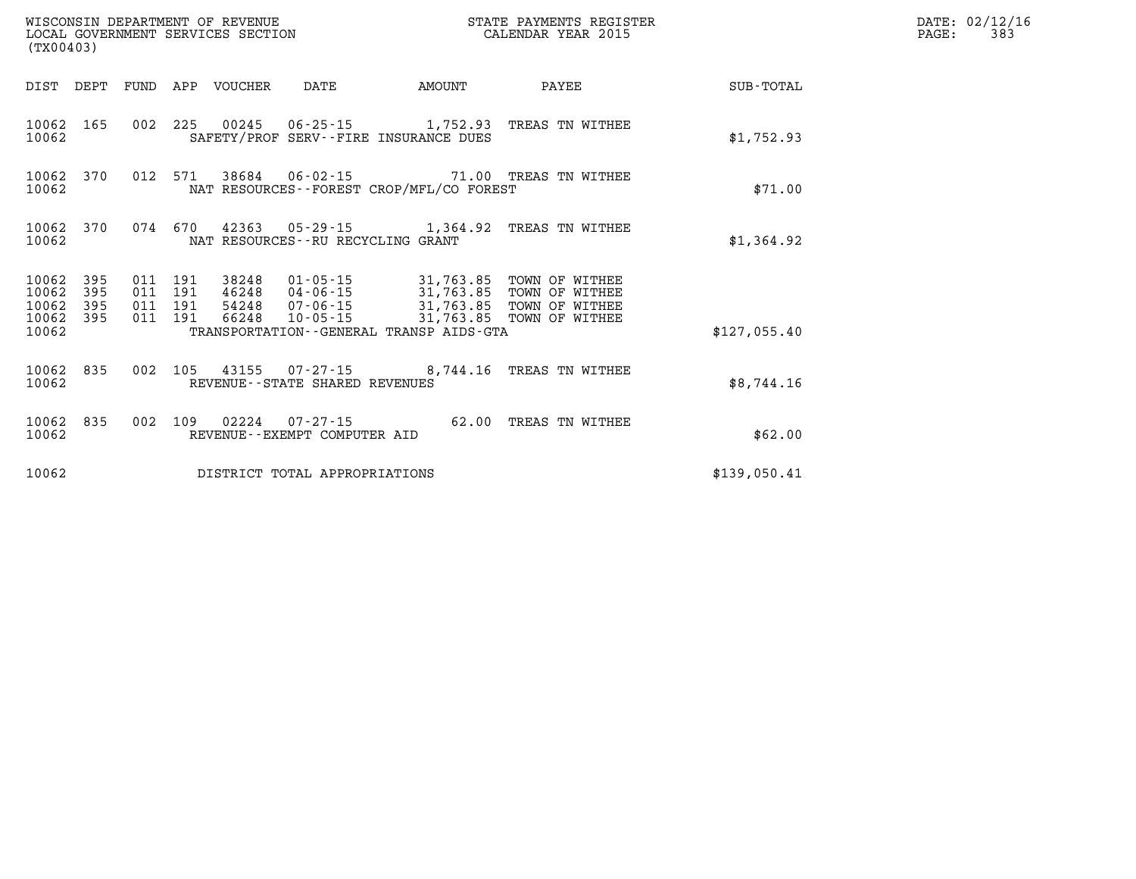| (TX00403)                   |            |                               | WISCONSIN DEPARTMENT OF REVENUE | LOCAL GOVERNMENT SERVICES SECTION           |        | STATE PAYMENTS REGISTER<br>CALENDAR YEAR 2015                                                                                       |              | DATE: 02/12/16<br>PAGE:<br>383 |
|-----------------------------|------------|-------------------------------|---------------------------------|---------------------------------------------|--------|-------------------------------------------------------------------------------------------------------------------------------------|--------------|--------------------------------|
|                             |            |                               | DIST DEPT FUND APP VOUCHER      | DATE                                        | AMOUNT | PAYEE                                                                                                                               | SUB-TOTAL    |                                |
| 10062                       | 10062 165  |                               |                                 | SAFETY/PROF SERV--FIRE INSURANCE DUES       |        | 002 225 00245 06-25-15 1,752.93 TREAS TN WITHEE                                                                                     | \$1,752.93   |                                |
| 10062                       | 10062 370  |                               |                                 | NAT RESOURCES - - FOREST CROP/MFL/CO FOREST |        | 012 571 38684 06-02-15 71.00 TREAS TN WITHEE                                                                                        | \$71.00      |                                |
| 10062 370<br>10062          |            | 074 670                       |                                 | NAT RESOURCES--RU RECYCLING GRANT           |        | 42363  05-29-15  1,364.92  TREAS TN WITHEE                                                                                          | \$1,364.92   |                                |
| 10062 395<br>10062<br>10062 | 395<br>395 | 011 191<br>011 191<br>011 191 |                                 |                                             |        | 38248  01-05-15  31,763.85  TOWN OF WITHEE<br>46248 04-06-15 31,763.85 TOWN OF WITHEE<br>54248  07-06-15  31,763.85  TOWN OF WITHEE |              |                                |
| 10062 395<br>10062          |            | 011 191                       |                                 | TRANSPORTATION--GENERAL TRANSP AIDS-GTA     |        | 66248  10-05-15  31,763.85  TOWN OF WITHEE                                                                                          | \$127.055.40 |                                |
| 10062                       | 10062 835  |                               |                                 | REVENUE - - STATE SHARED REVENUES           |        | 002 105 43155 07-27-15 8,744.16 TREAS TN WITHEE                                                                                     | \$8,744.16   |                                |
| 10062                       | 10062 835  | 002 109                       |                                 | REVENUE--EXEMPT COMPUTER AID                |        | 62.00 TREAS TN WITHEE                                                                                                               | \$62.00      |                                |
| 10062                       |            |                               |                                 | DISTRICT TOTAL APPROPRIATIONS               |        |                                                                                                                                     | \$139,050.41 |                                |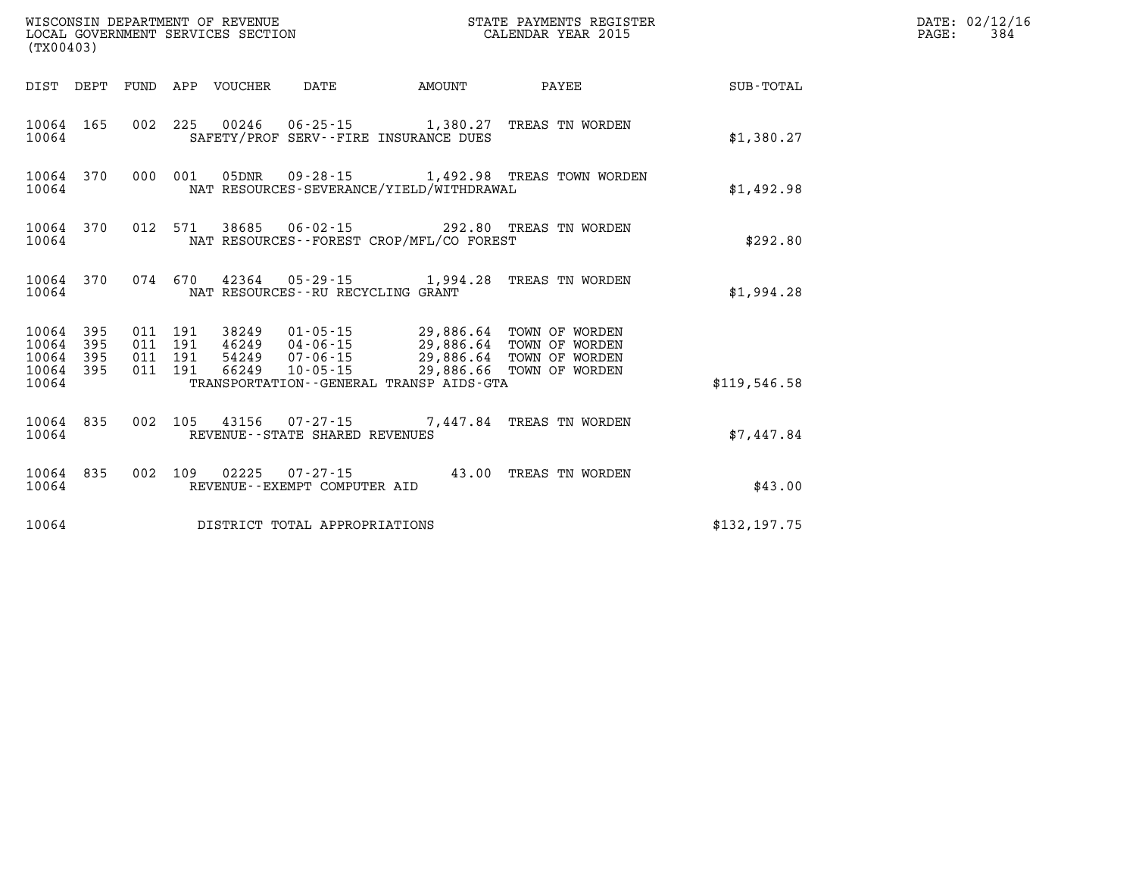| (TX00403)                                           |                                          | WISCONSIN DEPARTMENT OF REVENUE<br>LOCAL GOVERNMENT SERVICES SECTION |                                                        | STATE PAYMENTS REGISTER<br>CALENDAR YEAR 2015                                                                        |              | DATE: 02/12/16<br>$\mathtt{PAGE}$ :<br>384 |
|-----------------------------------------------------|------------------------------------------|----------------------------------------------------------------------|--------------------------------------------------------|----------------------------------------------------------------------------------------------------------------------|--------------|--------------------------------------------|
|                                                     |                                          | DIST DEPT FUND APP VOUCHER                                           | DATE<br>AMOUNT                                         | PAYEE                                                                                                                | SUB-TOTAL    |                                            |
| 10064 165<br>10064                                  |                                          |                                                                      | SAFETY/PROF SERV--FIRE INSURANCE DUES                  | 002 225 00246 06-25-15 1,380.27 TREAS TN WORDEN                                                                      | \$1,380.27   |                                            |
| 10064 370<br>10064                                  |                                          |                                                                      | NAT RESOURCES-SEVERANCE/YIELD/WITHDRAWAL               | 000 001 05DNR 09-28-15 1,492.98 TREAS TOWN WORDEN                                                                    | \$1,492.98   |                                            |
| 10064 370<br>10064                                  |                                          |                                                                      | NAT RESOURCES - - FOREST CROP/MFL/CO FOREST            | 012 571 38685 06-02-15 292.80 TREAS TN WORDEN                                                                        | \$292.80     |                                            |
| 10064 370<br>10064                                  |                                          |                                                                      | NAT RESOURCES--RU RECYCLING GRANT                      | 074 670 42364 05-29-15 1,994.28 TREAS TN WORDEN                                                                      | \$1,994.28   |                                            |
| 10064 395<br>10064 395<br>10064<br>395<br>10064 395 | 011 191<br>011 191<br>011 191<br>011 191 | 66249 10-05-15                                                       | 38249  01-05-15  29,886.64  TOWN OF WORDEN             | 46249  04-06-15  29,886.64  TOWN OF WORDEN<br>54249  07-06-15  29,886.64  TOWN OF WORDEN<br>29,886.66 TOWN OF WORDEN |              |                                            |
| 10064                                               |                                          |                                                                      | TRANSPORTATION--GENERAL TRANSP AIDS-GTA                |                                                                                                                      | \$119,546.58 |                                            |
| 10064 835<br>10064                                  |                                          |                                                                      | REVENUE - - STATE SHARED REVENUES                      | 002 105 43156 07-27-15 7,447.84 TREAS TN WORDEN                                                                      | \$7,447.84   |                                            |
| 10064 835<br>10064                                  |                                          |                                                                      | 002 109 02225 07-27-15<br>REVENUE--EXEMPT COMPUTER AID | 43.00 TREAS TN WORDEN                                                                                                | \$43.00      |                                            |
| 10064                                               |                                          |                                                                      | DISTRICT TOTAL APPROPRIATIONS                          |                                                                                                                      | \$132,197.75 |                                            |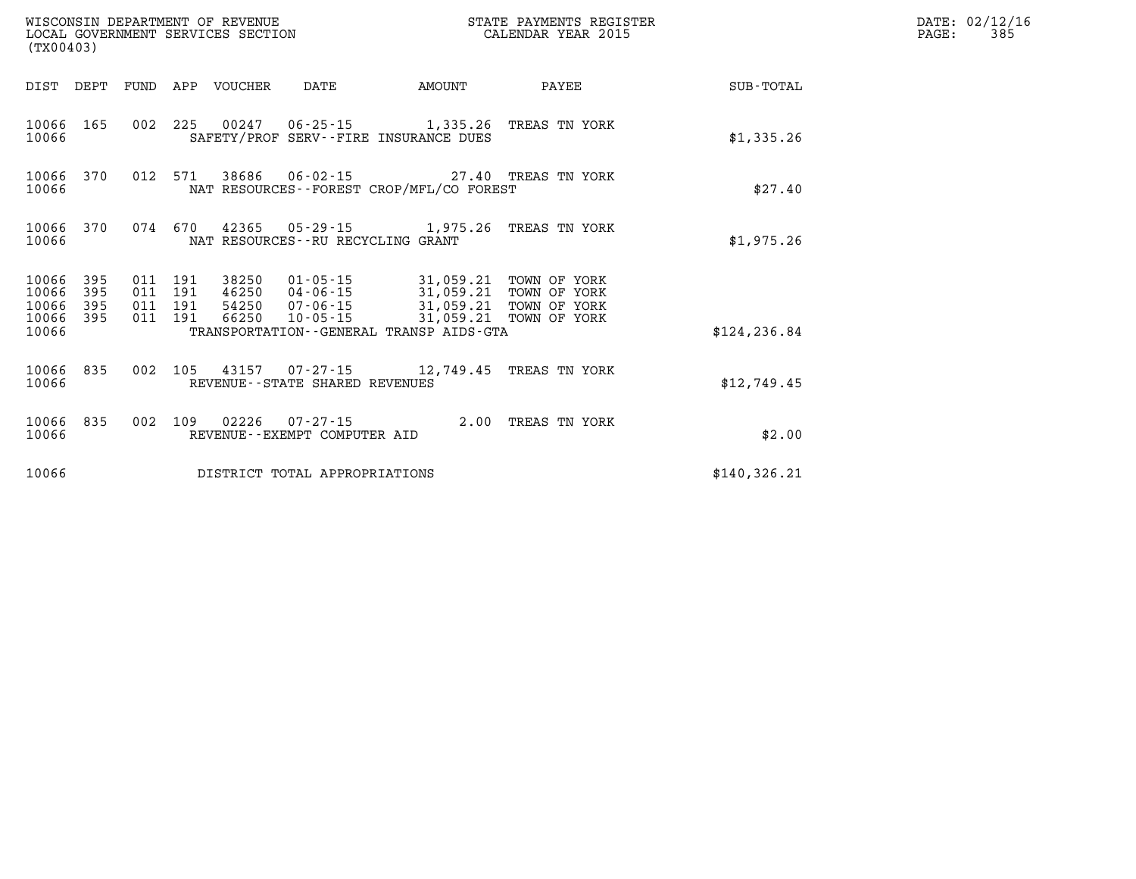| (TX00403)                                |              |                               |         | WISCONSIN DEPARTMENT OF REVENUE<br>LOCAL GOVERNMENT SERVICES SECTION |                                          |                                                                                           | STATE PAYMENTS REGISTER<br>CALENDAR YEAR 2015 |               | DATE: 02/12/16<br>PAGE:<br>385 |
|------------------------------------------|--------------|-------------------------------|---------|----------------------------------------------------------------------|------------------------------------------|-------------------------------------------------------------------------------------------|-----------------------------------------------|---------------|--------------------------------|
|                                          |              |                               |         | DIST DEPT FUND APP VOUCHER                                           | DATE                                     | AMOUNT                                                                                    | PAYEE                                         | SUB-TOTAL     |                                |
| 10066                                    | 10066 165    |                               |         |                                                                      |                                          | 002 225 00247 06-25-15 1,335.26 TREAS TN YORK<br>SAFETY/PROF SERV--FIRE INSURANCE DUES    |                                               | \$1,335.26    |                                |
| 10066 370<br>10066                       |              |                               |         |                                                                      |                                          | 012 571 38686 06-02-15 27.40 TREAS TN YORK<br>NAT RESOURCES - - FOREST CROP/MFL/CO FOREST |                                               | \$27.40       |                                |
| 10066 370<br>10066                       |              | 074 670                       |         |                                                                      | NAT RESOURCES--RU RECYCLING GRANT        | 42365 05-29-15 1,975.26 TREAS TN YORK                                                     |                                               | \$1,975.26    |                                |
| 10066 395<br>10066<br>10066<br>10066 395 | - 395<br>395 | 011 191<br>011 191<br>011 191 | 011 191 | 38250<br>66250                                                       | 10-05-15                                 | 46250 04-06-15 31,059.21<br>54250  07-06-15  31,059.21<br>31,059.21 TOWN OF YORK          | TOWN OF YORK<br>TOWN OF YORK                  |               |                                |
| 10066                                    |              |                               |         |                                                                      |                                          | TRANSPORTATION - - GENERAL TRANSP AIDS - GTA                                              |                                               | \$124, 236.84 |                                |
| 10066                                    | 10066 835    |                               | 002 105 |                                                                      | REVENUE--STATE SHARED REVENUES           | 43157  07-27-15  12,749.45  TREAS TN YORK                                                 |                                               | \$12,749.45   |                                |
| 10066                                    | 10066 835    |                               |         | 002 109 02226                                                        | 07-27-15<br>REVENUE--EXEMPT COMPUTER AID |                                                                                           | 2.00 TREAS TN YORK                            | \$2.00        |                                |
| 10066                                    |              |                               |         |                                                                      | DISTRICT TOTAL APPROPRIATIONS            |                                                                                           |                                               | \$140, 326.21 |                                |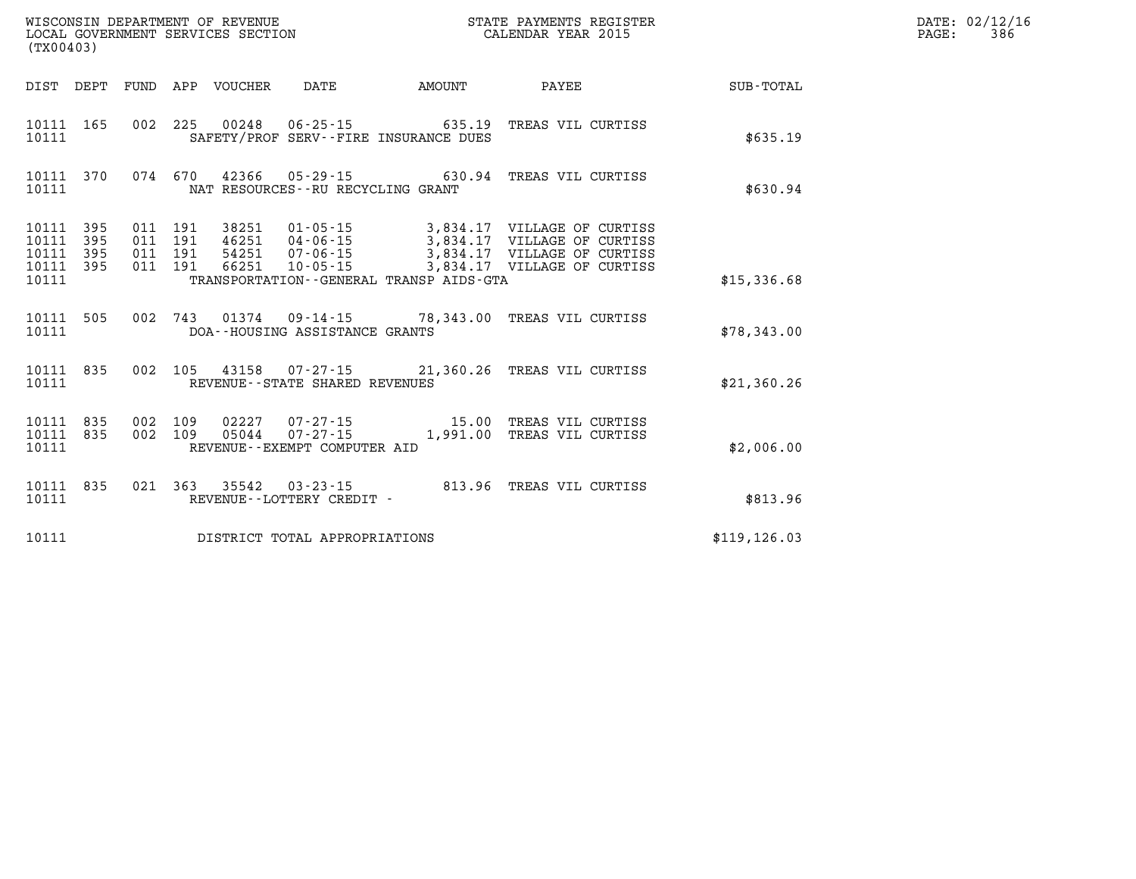|                                           | WISCONSIN DEPARTMENT OF REVENUE<br>STATE PAYMENTS REGISTER<br>CALENDAR YEAR 2015<br>LOCAL GOVERNMENT SERVICES SECTION<br>(TX00403) |                          |                          |                                  |                                                                  |                                                                |                                                                                                                          |               |  |
|-------------------------------------------|------------------------------------------------------------------------------------------------------------------------------------|--------------------------|--------------------------|----------------------------------|------------------------------------------------------------------|----------------------------------------------------------------|--------------------------------------------------------------------------------------------------------------------------|---------------|--|
| DIST                                      | DEPT                                                                                                                               | <b>FUND</b>              | APP                      | VOUCHER                          | DATE                                                             | AMOUNT                                                         | PAYEE                                                                                                                    | SUB-TOTAL     |  |
| 10111<br>10111                            | 165                                                                                                                                | 002                      | 225                      | 00248                            |                                                                  | $06 - 25 - 15$ 635.19<br>SAFETY/PROF SERV--FIRE INSURANCE DUES | TREAS VIL CURTISS                                                                                                        | \$635.19      |  |
| 10111<br>10111                            | 370                                                                                                                                | 074                      | 670                      | 42366                            | NAT RESOURCES - - RU RECYCLING GRANT                             |                                                                | 05-29-15 630.94 TREAS VIL CURTISS                                                                                        | \$630.94      |  |
| 10111<br>10111<br>10111<br>10111<br>10111 | 395<br>395<br>395<br>395                                                                                                           | 011<br>011<br>011<br>011 | 191<br>191<br>191<br>191 | 38251<br>46251<br>54251<br>66251 | $01 - 05 - 15$<br>$04 - 06 - 15$<br>07-06-15<br>$10 - 05 - 15$   | TRANSPORTATION--GENERAL TRANSP AIDS-GTA                        | 3,834.17 VILLAGE OF CURTISS<br>3,834.17 VILLAGE OF CURTISS<br>3,834.17 VILLAGE OF CURTISS<br>3,834.17 VILLAGE OF CURTISS | \$15,336.68   |  |
| 10111<br>10111                            | 505                                                                                                                                | 002                      | 743                      |                                  | DOA--HOUSING ASSISTANCE GRANTS                                   |                                                                | 01374  09-14-15  78,343.00  TREAS VIL CURTISS                                                                            | \$78,343.00   |  |
| 10111<br>10111                            | 835                                                                                                                                | 002                      | 105                      |                                  | REVENUE - - STATE SHARED REVENUES                                | 43158 07-27-15 21,360.26                                       | TREAS VIL CURTISS                                                                                                        | \$21,360.26   |  |
| 10111<br>10111<br>10111                   | 835<br>835                                                                                                                         | 002<br>002               | 109<br>109               | 02227<br>05044                   | $07 - 27 - 15$<br>$07 - 27 - 15$<br>REVENUE--EXEMPT COMPUTER AID | 15.00<br>1,991.00                                              | TREAS VIL CURTISS<br>TREAS VIL CURTISS                                                                                   | \$2,006.00    |  |
| 10111<br>10111                            | 835                                                                                                                                | 021                      | 363                      | 35542                            | $03 - 23 - 15$<br>REVENUE - - LOTTERY CREDIT -                   | 813.96                                                         | TREAS VIL CURTISS                                                                                                        | \$813.96      |  |
| 10111                                     |                                                                                                                                    |                          |                          |                                  | DISTRICT TOTAL APPROPRIATIONS                                    |                                                                |                                                                                                                          | \$119, 126.03 |  |

**DATE: 02/12/16<br>PAGE: 386**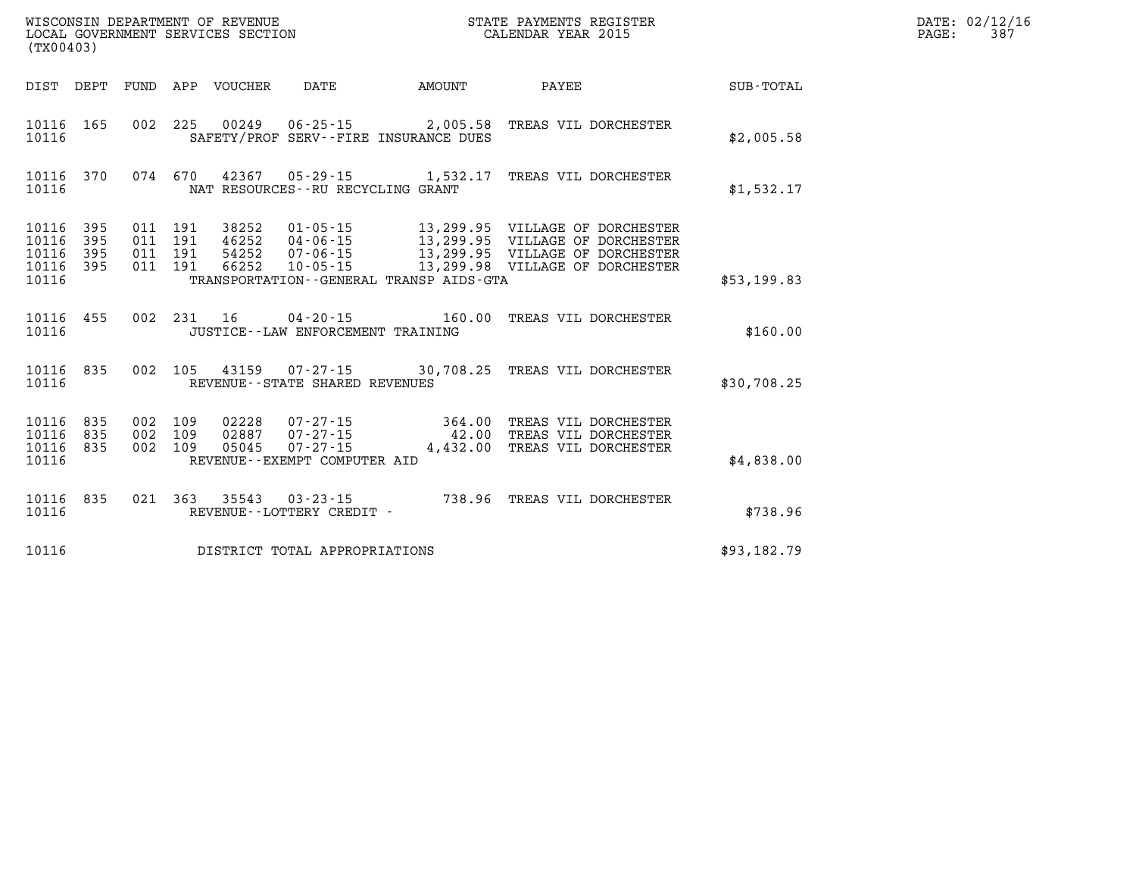| PAGE: | DATE: 02/12/16<br>387 |
|-------|-----------------------|
|-------|-----------------------|

| DIST<br>DEPT                                                          | FUND                     | APP<br><b>VOUCHER</b>                                        | DATE                                                                                                            | <b>AMOUNT</b>                                    | PAYEE                                                                                            | SUB-TOTAL   |
|-----------------------------------------------------------------------|--------------------------|--------------------------------------------------------------|-----------------------------------------------------------------------------------------------------------------|--------------------------------------------------|--------------------------------------------------------------------------------------------------|-------------|
| 10116<br>165<br>10116                                                 | 002                      | 225<br>00249                                                 | 06-25-15<br>SAFETY/PROF SERV--FIRE INSURANCE DUES                                                               | 2,005.58                                         | TREAS VIL DORCHESTER                                                                             | \$2,005.58  |
| 10116<br>370<br>10116                                                 | 074                      | 670<br>42367                                                 | $05 - 29 - 15$<br>NAT RESOURCES - - RU RECYCLING GRANT                                                          | 1,532.17                                         | TREAS VIL DORCHESTER                                                                             | \$1,532.17  |
| 395<br>10116<br>10116<br>395<br>395<br>10116<br>10116<br>395<br>10116 | 011<br>011<br>011<br>011 | 191<br>38252<br>191<br>46252<br>191<br>54252<br>191<br>66252 | $01 - 05 - 15$<br>$04 - 06 - 15$<br>$07 - 06 - 15$<br>$10 - 05 - 15$<br>TRANSPORTATION--GENERAL TRANSP AIDS-GTA | 13,299.95<br>13,299.95<br>13,299.95<br>13,299.98 | VILLAGE OF DORCHESTER<br>VILLAGE OF DORCHESTER<br>VILLAGE OF DORCHESTER<br>VILLAGE OF DORCHESTER | \$53,199.83 |
| 455<br>10116<br>10116                                                 | 002                      | 231<br>16                                                    | $04 - 20 - 15$<br>JUSTICE - - LAW ENFORCEMENT TRAINING                                                          | 160.00                                           | TREAS VIL DORCHESTER                                                                             | \$160.00    |
| 835<br>10116<br>10116                                                 | 002                      | 105                                                          | 43159 07-27-15 30,708.25<br>REVENUE - - STATE SHARED REVENUES                                                   |                                                  | TREAS VIL DORCHESTER                                                                             | \$30,708.25 |
| 10116<br>835<br>835<br>10116<br>10116<br>835<br>10116                 | 002<br>002<br>002        | 109<br>02228<br>109<br>02887<br>109<br>05045                 | $07 - 27 - 15$<br>$07 - 27 - 15$<br>$07 - 27 - 15$<br>REVENUE - - EXEMPT COMPUTER AID                           | 364.00<br>42.00<br>4,432.00                      | TREAS VIL DORCHESTER<br>TREAS VIL DORCHESTER<br>TREAS VIL DORCHESTER                             | \$4,838.00  |
| 10116<br>835<br>10116                                                 | 021                      | 363<br>35543                                                 | $03 - 23 - 15$<br>REVENUE--LOTTERY CREDIT -                                                                     | 738.96                                           | TREAS VIL DORCHESTER                                                                             | \$738.96    |
| 10116                                                                 |                          |                                                              | DISTRICT TOTAL APPROPRIATIONS                                                                                   |                                                  |                                                                                                  | \$93,182.79 |

WISCONSIN DEPARTMENT OF REVENUE **STATE PAYMENTS REGISTER**<br>LOCAL GOVERNMENT SERVICES SECTION

LOCAL GOVERNMENT SERVICES SECTION

**(TX00403)**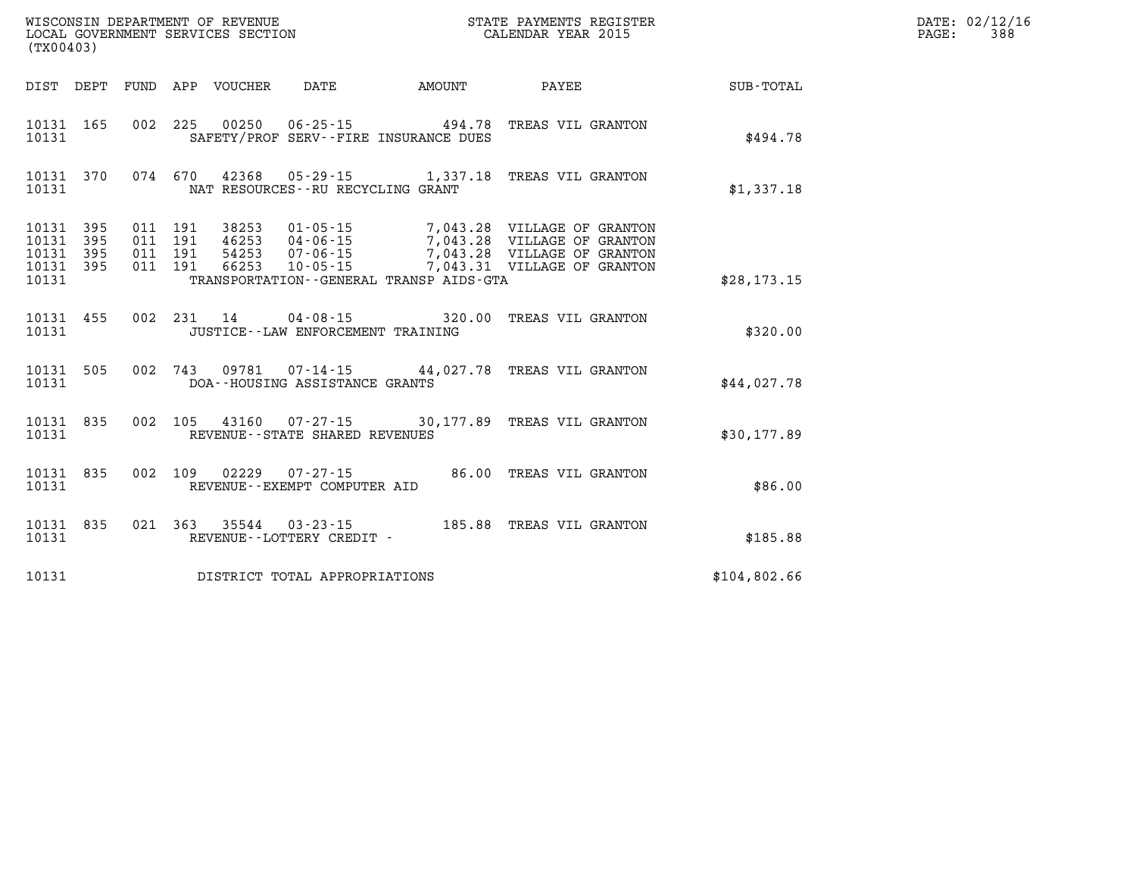| (TX00403)                        |                          |                          |                          | WISCONSIN DEPARTMENT OF REVENUE<br>LOCAL GOVERNMENT SERVICES SECTION |                                                                      |                                                                | STATE PAYMENTS REGISTER<br>CALENDAR YEAR 2015                                                                   |              |
|----------------------------------|--------------------------|--------------------------|--------------------------|----------------------------------------------------------------------|----------------------------------------------------------------------|----------------------------------------------------------------|-----------------------------------------------------------------------------------------------------------------|--------------|
| DIST                             | DEPT                     | FUND                     |                          |                                                                      | APP VOUCHER DATE AMOUNT                                              |                                                                | <b>PAYEE</b>                                                                                                    | SUB-TOTAL    |
| 10131<br>10131                   | 165                      | 002                      | 225                      | 00250                                                                |                                                                      | $06 - 25 - 15$ 494.78<br>SAFETY/PROF SERV--FIRE INSURANCE DUES | TREAS VIL GRANTON                                                                                               | \$494.78     |
| 10131<br>10131                   | 370                      | 074                      | 670                      |                                                                      | NAT RESOURCES - - RU RECYCLING GRANT                                 |                                                                | 42368  05-29-15  1,337.18  TREAS VIL GRANTON                                                                    | \$1,337.18   |
| 10131<br>10131<br>10131<br>10131 | 395<br>395<br>395<br>395 | 011<br>011<br>011<br>011 | 191<br>191<br>191<br>191 | 38253<br>46253<br>54253<br>66253                                     | $01 - 05 - 15$<br>$04 - 06 - 15$<br>$07 - 06 - 15$<br>$10 - 05 - 15$ | 7,043.28                                                       | 7,043.28 VILLAGE OF GRANTON<br>VILLAGE OF GRANTON<br>7,043.28 VILLAGE OF GRANTON<br>7,043.31 VILLAGE OF GRANTON |              |
| 10131                            |                          |                          |                          |                                                                      |                                                                      | TRANSPORTATION - - GENERAL TRANSP AIDS - GTA                   |                                                                                                                 | \$28,173.15  |
| 10131<br>10131                   | 455                      | 002                      | 231                      | 14                                                                   | $04 - 08 - 15$<br>JUSTICE - - LAW ENFORCEMENT TRAINING               | 320.00                                                         | TREAS VIL GRANTON                                                                                               | \$320.00     |
| 10131<br>10131                   | 505                      | 002                      | 743                      |                                                                      | DOA--HOUSING ASSISTANCE GRANTS                                       |                                                                | 09781  07-14-15  44,027.78  TREAS VIL GRANTON                                                                   | \$44,027.78  |
| 10131<br>10131                   | 835                      | 002                      | 105                      | 43160                                                                | REVENUE - - STATE SHARED REVENUES                                    |                                                                | 07-27-15 30,177.89 TREAS VIL GRANTON                                                                            | \$30,177.89  |
| 10131<br>10131                   | 835                      | 002                      | 109                      | 02229                                                                | $07 - 27 - 15$<br>REVENUE--EXEMPT COMPUTER AID                       |                                                                | 86.00 TREAS VIL GRANTON                                                                                         | \$86.00      |
| 10131<br>10131                   | 835                      | 021                      | 363                      | 35544                                                                | $03 - 23 - 15$<br>REVENUE--LOTTERY CREDIT -                          |                                                                | 185.88 TREAS VIL GRANTON                                                                                        | \$185.88     |
| 10131                            |                          |                          |                          |                                                                      | DISTRICT TOTAL APPROPRIATIONS                                        |                                                                |                                                                                                                 | \$104,802.66 |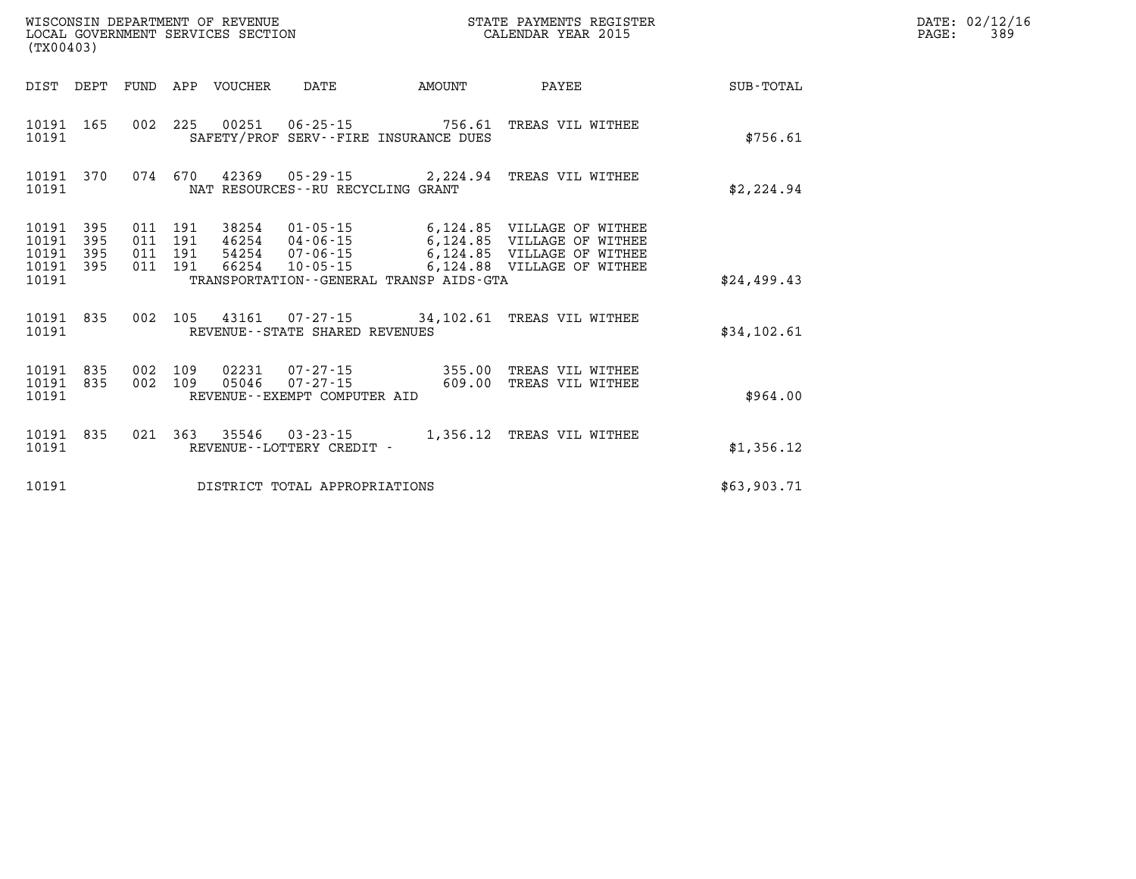| (TX00403)                                 |                          | WISCONSIN DEPARTMENT OF REVENUE<br>LOCAL GOVERNMENT SERVICES SECTION | STATE PAYMENTS REGISTER<br>CALENDAR YEAR 2015 |                    |                                                |                                                                  |                                                                                       |             |
|-------------------------------------------|--------------------------|----------------------------------------------------------------------|-----------------------------------------------|--------------------|------------------------------------------------|------------------------------------------------------------------|---------------------------------------------------------------------------------------|-------------|
| DIST                                      | DEPT                     | FUND                                                                 | APP                                           |                    |                                                | VOUCHER DATE AMOUNT                                              | <b>PAYEE</b>                                                                          | SUB-TOTAL   |
| 10191<br>10191                            | 165                      | 002                                                                  | 225                                           |                    |                                                | 00251  06-25-15  756.61<br>SAFETY/PROF SERV--FIRE INSURANCE DUES | TREAS VIL WITHEE                                                                      | \$756.61    |
| 10191<br>10191                            | 370                      | 074                                                                  | 670                                           |                    | NAT RESOURCES -- RU RECYCLING GRANT            |                                                                  | 42369 05-29-15 2,224.94 TREAS VIL WITHEE                                              | \$2,224.94  |
| 10191<br>10191<br>10191<br>10191<br>10191 | 395<br>395<br>395<br>395 | 011<br>011<br>011<br>011                                             | 191<br>191<br>191<br>191                      | 66254              |                                                | TRANSPORTATION--GENERAL TRANSP AIDS-GTA                          | 54254  07-06-15   6,124.85   VILLAGE OF WITHEE<br>10-05-15 6,124.88 VILLAGE OF WITHEE | \$24,499.43 |
| 10191<br>10191                            | 835                      | 002                                                                  |                                               |                    | REVENUE - - STATE SHARED REVENUES              |                                                                  | 105 43161 07-27-15 34, 102.61 TREAS VIL WITHEE                                        | \$34,102.61 |
| 10191<br>10191<br>10191                   | 835<br>835               | 002<br>002                                                           | 109<br>109                                    | 05046              | $07 - 27 - 15$<br>REVENUE--EXEMPT COMPUTER AID | 02231 07-27-15 355.00<br>609.00                                  | TREAS VIL WITHEE<br>TREAS VIL WITHEE                                                  | \$964.00    |
| 10191<br>10191                            | 835                      | 021                                                                  |                                               | 363 35546 03-23-15 | REVENUE - - LOTTERY CREDIT -                   |                                                                  | 1,356.12 TREAS VIL WITHEE                                                             | \$1,356.12  |
| 10191                                     |                          |                                                                      |                                               |                    | DISTRICT TOTAL APPROPRIATIONS                  |                                                                  |                                                                                       | \$63,903.71 |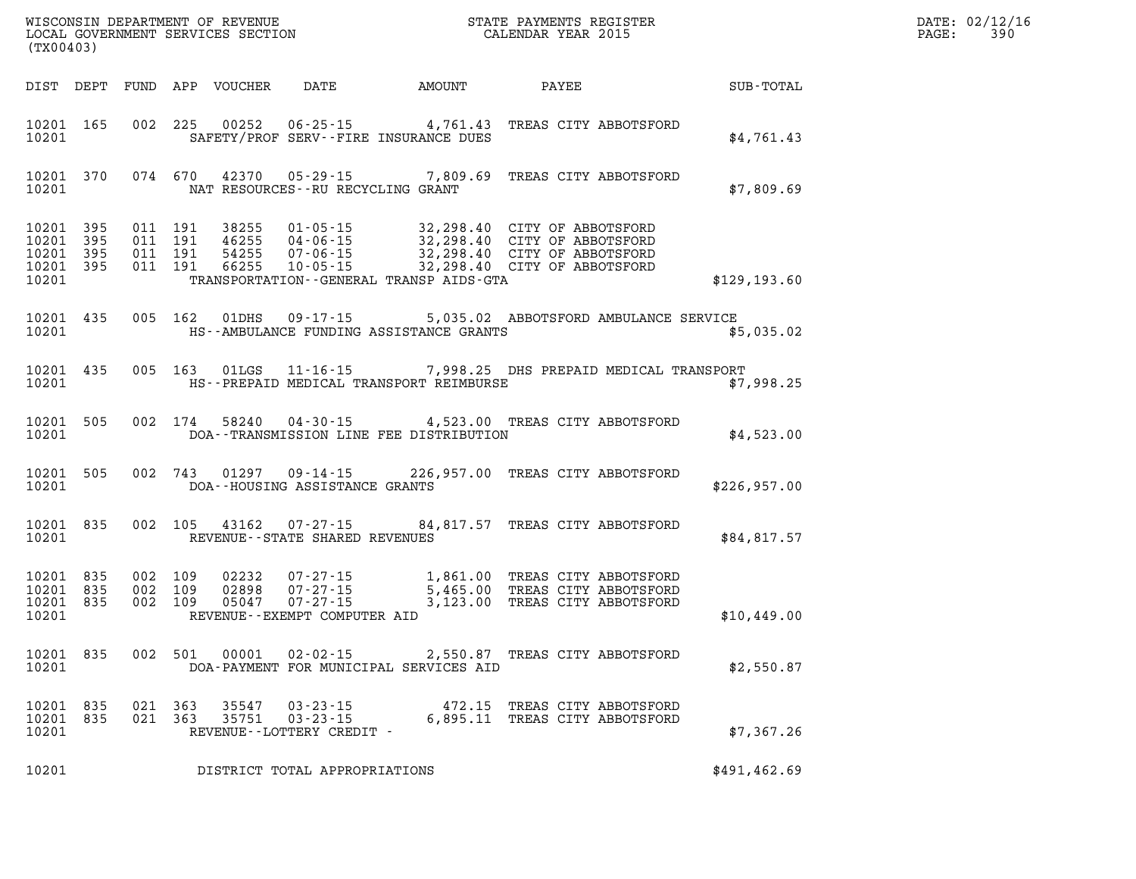| (TX00403)                                         |            |                               |         |                                  |                                                               |                                                                                                                                                                                                             |                                                |              | PAGE: | DATE: 02/12/16<br>390 |  |
|---------------------------------------------------|------------|-------------------------------|---------|----------------------------------|---------------------------------------------------------------|-------------------------------------------------------------------------------------------------------------------------------------------------------------------------------------------------------------|------------------------------------------------|--------------|-------|-----------------------|--|
|                                                   |            |                               |         | DIST DEPT FUND APP VOUCHER       | DATE                                                          | AMOUNT                                                                                                                                                                                                      | PAYEE                                          | SUB-TOTAL    |       |                       |  |
| 10201                                             | 10201 165  |                               |         | 002 225 00252                    |                                                               | $06 - 25 - 15$ 4, 761.43<br>SAFETY/PROF SERV--FIRE INSURANCE DUES                                                                                                                                           | TREAS CITY ABBOTSFORD                          | \$4,761.43   |       |                       |  |
| 10201                                             | 10201 370  |                               | 074 670 |                                  | NAT RESOURCES--RU RECYCLING GRANT                             | 42370  05-29-15  7,809.69  TREAS CITY ABBOTSFORD                                                                                                                                                            |                                                | \$7,809.69   |       |                       |  |
| 10201 395<br>10201<br>10201<br>10201 395<br>10201 | 395<br>395 | 011 191<br>011 191<br>011 191 | 011 191 | 38255<br>46255<br>54255<br>66255 |                                                               | 01-05-15 32,298.40 CITY OF ABBOTSFORD<br>04-06-15 32,298.40 CITY OF ABBOTSFORD<br>07-06-15 32,298.40 CITY OF ABBOTSFORD<br>10-05-15 32,298.40 CITY OF ABBOTSFORD<br>TRANSPORTATION--GENERAL TRANSP AIDS-GTA |                                                | \$129,193.60 |       |                       |  |
| 10201 435<br>10201                                |            |                               | 005 162 | 01DHS                            |                                                               | 09-17-15   5,035.02 ABBOTSFORD AMBULANCE SERVICE<br>HS--AMBULANCE FUNDING ASSISTANCE GRANTS                                                                                                                 |                                                | \$5,035.02   |       |                       |  |
| 10201 435<br>10201                                |            |                               | 005 163 | 01LGS                            |                                                               | 11-16-15 7,998.25 DHS PREPAID MEDICAL TRANSPORT<br>HS--PREPAID MEDICAL TRANSPORT REIMBURSE                                                                                                                  |                                                | \$7,998.25   |       |                       |  |
| 10201 505<br>10201                                |            |                               | 002 174 | 58240                            |                                                               | 04-30-15 4,523.00 TREAS CITY ABBOTSFORD<br>DOA--TRANSMISSION LINE FEE DISTRIBUTION                                                                                                                          |                                                | \$4,523.00   |       |                       |  |
| 10201 505<br>10201                                |            |                               | 002 743 |                                  | DOA--HOUSING ASSISTANCE GRANTS                                | 01297  09-14-15  226,957.00  TREAS CITY ABBOTSFORD                                                                                                                                                          |                                                | \$226,957.00 |       |                       |  |
| 10201 835<br>10201                                |            |                               | 002 105 |                                  | REVENUE--STATE SHARED REVENUES                                | 43162  07-27-15  84,817.57  TREAS CITY ABBOTSFORD                                                                                                                                                           |                                                | \$84,817.57  |       |                       |  |
| 10201 835<br>10201 835<br>10201 835<br>10201      |            | 002 109<br>002 109<br>002 109 |         | 02232<br>02898<br>05047          | $07 - 27 - 15$<br>REVENUE--EXEMPT COMPUTER AID                | 07-27-15 1,861.00 TREAS CITY ABBOTSFORD<br>07-27-15 5,465.00 TREAS CITY ABBOTSFORD<br>3,123.00                                                                                                              | TREAS CITY ABBOTSFORD                          | \$10,449.00  |       |                       |  |
| 10201 835<br>10201                                |            |                               | 002 501 | 00001                            | $02 - 02 - 15$                                                | DOA-PAYMENT FOR MUNICIPAL SERVICES AID                                                                                                                                                                      | 2,550.87 TREAS CITY ABBOTSFORD                 | \$2,550.87   |       |                       |  |
| 10201<br>10201<br>10201                           | 835<br>835 | 021 363<br>021                | 363     | 35547<br>35751                   | $03 - 23 - 15$<br>$03 - 23 - 15$<br>REVENUE--LOTTERY CREDIT - | 472.15<br>6,895.11                                                                                                                                                                                          | TREAS CITY ABBOTSFORD<br>TREAS CITY ABBOTSFORD | \$7,367.26   |       |                       |  |
| 10201                                             |            |                               |         |                                  | DISTRICT TOTAL APPROPRIATIONS                                 |                                                                                                                                                                                                             |                                                | \$491,462.69 |       |                       |  |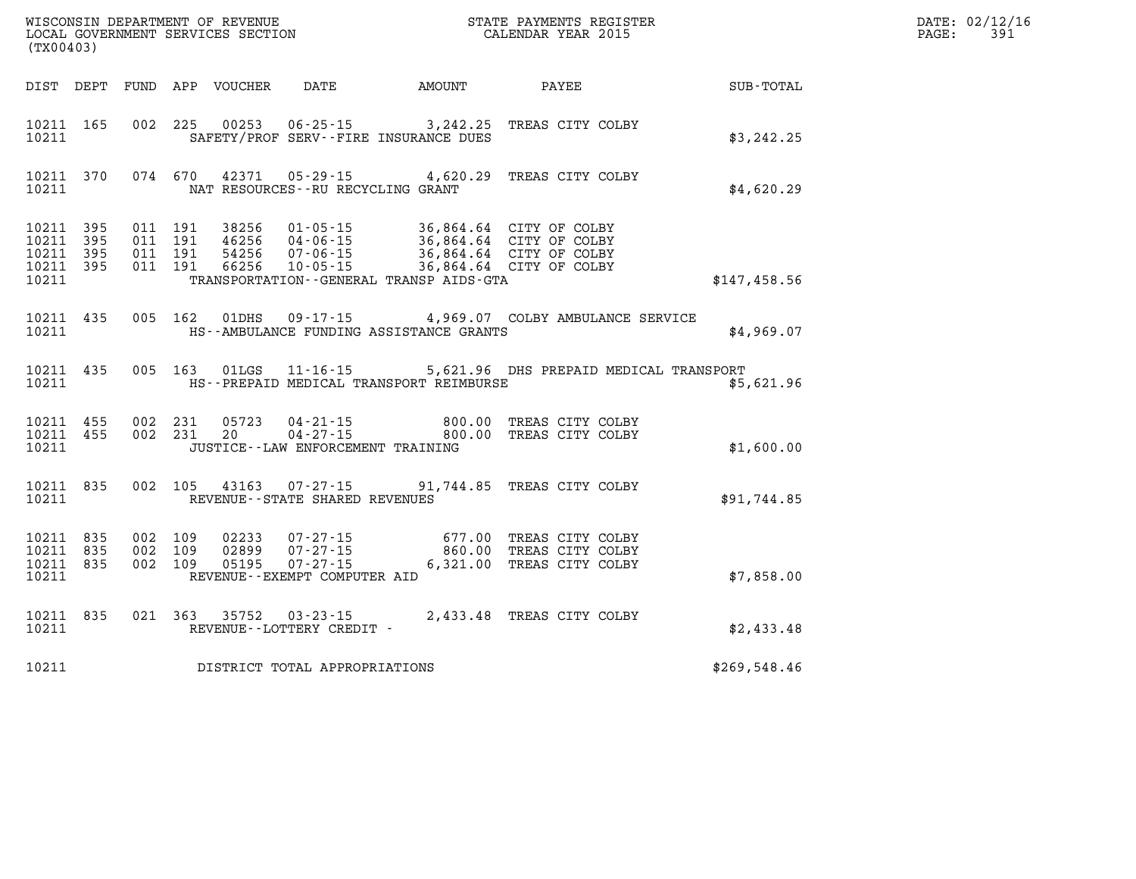| (TX00403)                                                                                                | WISCONSIN DEPARTMENT OF REVENUE<br>LOCAL GOVERNMENT SERVICES SECTION FOR THE STATE PAYMENTS REGISTER<br>LOCAL GOVERNMENT SERVICES SECTION                                                                                            |                                                      | DATE: 02/12/16<br>391<br>PAGE: |
|----------------------------------------------------------------------------------------------------------|--------------------------------------------------------------------------------------------------------------------------------------------------------------------------------------------------------------------------------------|------------------------------------------------------|--------------------------------|
|                                                                                                          | DIST DEPT FUND APP VOUCHER DATE AMOUNT PAYEE SUB-TOTAL                                                                                                                                                                               |                                                      |                                |
| 10211 165<br>10211                                                                                       | 002 225 00253 06-25-15 3,242.25 TREAS CITY COLBY<br>SAFETY/PROF SERV--FIRE INSURANCE DUES                                                                                                                                            | \$3,242.25                                           |                                |
| 10211 370<br>10211                                                                                       | 074 670 42371 05-29-15 4,620.29 TREAS CITY COLBY<br>NAT RESOURCES--RU RECYCLING GRANT                                                                                                                                                | \$4,620.29                                           |                                |
| 10211 395<br>011 191<br>10211<br>395<br>011 191<br>10211 395<br>011 191<br>10211 395<br>011 191<br>10211 | 38256  01-05-15  36,864.64  CITY OF COLBY<br>46256  04-06-15  36,864.64  CITY OF COLBY<br>54256  07-06-15  36,864.64  CITY OF COLBY<br>66256  10-05-15  36,864.64  CITY OF COLBY<br>54256<br>TRANSPORTATION--GENERAL TRANSP AIDS-GTA | \$147,458.56                                         |                                |
| 10211 435<br>10211                                                                                       | 09-17-15 4,969.07 COLBY AMBULANCE SERVICE<br>005 162 01DHS<br>HS--AMBULANCE FUNDING ASSISTANCE GRANTS                                                                                                                                | \$4,969.07                                           |                                |
| 10211 435<br>10211                                                                                       | 005 163 01LGS 11-16-15<br>HS--PREPAID MEDICAL TRANSPORT REIMBURSE                                                                                                                                                                    | 5,621.96 DHS PREPAID MEDICAL TRANSPORT<br>\$5,621.96 |                                |
| 10211 455<br>10211 455<br>002 231<br>10211                                                               | 002 231 05723<br>04-21-15 800.00 TREAS CITY COLBY<br>04-27-15 800.00 TREAS CITY COLBY<br>20<br>JUSTICE - - LAW ENFORCEMENT TRAINING                                                                                                  | \$1,600.00                                           |                                |
| 10211 835<br>10211                                                                                       | 002 105 43163 07-27-15 91,744.85 TREAS CITY COLBY<br>REVENUE--STATE SHARED REVENUES                                                                                                                                                  | \$91,744.85                                          |                                |
| 002 109<br>10211 835<br>10211 835<br>002 109<br>10211 835<br>10211                                       | 07-27-15 677.00 TREAS CITY COLBY<br>07-27-15 860.00 TREAS CITY COLBY<br>02233<br>02899<br>002 109<br>05195<br>07-27-15 6,321.00 TREAS CITY COLBY<br>REVENUE--EXEMPT COMPUTER AID                                                     | \$7,858.00                                           |                                |
| 10211 835<br>10211                                                                                       | 021 363 35752<br>$03 - 23 - 15$<br>REVENUE--LOTTERY CREDIT -                                                                                                                                                                         | 2,433.48 TREAS CITY COLBY<br>\$2,433.48              |                                |
| 10211                                                                                                    | DISTRICT TOTAL APPROPRIATIONS                                                                                                                                                                                                        | \$269,548.46                                         |                                |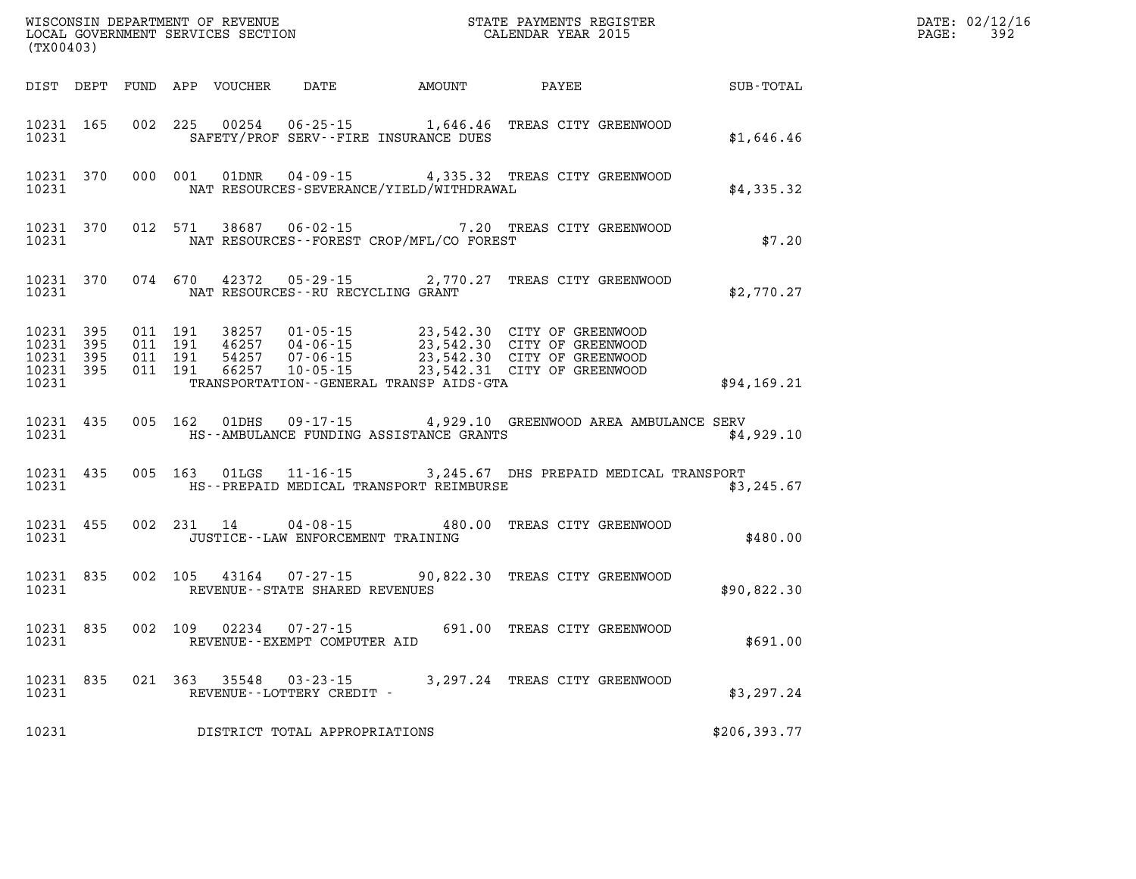| (TX00403)                                    |           |                    |                    |               |                                                     |                                                                  |                                                                                                                                                                                      |               | DATE: 02/12/16<br>$\mathtt{PAGE:}$<br>392 |
|----------------------------------------------|-----------|--------------------|--------------------|---------------|-----------------------------------------------------|------------------------------------------------------------------|--------------------------------------------------------------------------------------------------------------------------------------------------------------------------------------|---------------|-------------------------------------------|
|                                              |           |                    |                    |               |                                                     | DIST DEPT FUND APP VOUCHER DATE AMOUNT PAYEE                     |                                                                                                                                                                                      | SUB-TOTAL     |                                           |
| 10231 165<br>10231                           |           |                    | 002 225            |               |                                                     | 00254 06-25-15 1,646.46<br>SAFETY/PROF SERV--FIRE INSURANCE DUES | TREAS CITY GREENWOOD                                                                                                                                                                 | \$1,646.46    |                                           |
| 10231                                        | 10231 370 |                    |                    |               |                                                     | NAT RESOURCES-SEVERANCE/YIELD/WITHDRAWAL                         | 000 001 01DNR 04-09-15 4,335.32 TREAS CITY GREENWOOD                                                                                                                                 | \$4,335.32    |                                           |
| 10231                                        | 10231 370 |                    |                    |               |                                                     | NAT RESOURCES - - FOREST CROP/MFL/CO FOREST                      | 012 571 38687 06-02-15 7.20 TREAS CITY GREENWOOD                                                                                                                                     | \$7.20        |                                           |
| 10231                                        | 10231 370 |                    |                    |               | NAT RESOURCES--RU RECYCLING GRANT                   |                                                                  | 074 670 42372 05-29-15 2,770.27 TREAS CITY GREENWOOD                                                                                                                                 | \$2,770.27    |                                           |
| 10231 395<br>10231 395<br>10231 395<br>10231 | 10231 395 | 011 191<br>011 191 | 011 191<br>011 191 |               |                                                     | TRANSPORTATION--GENERAL TRANSP AIDS-GTA                          | 38257 01-05-15 23,542.30 CITY OF GREENWOOD<br>46257 04-06-15 23,542.30 CITY OF GREENWOOD<br>54257 07-06-15 23,542.30 CITY OF GREENWOOD<br>66257 10-05-15 23,542.31 CITY OF GREENWOOD | \$94,169.21   |                                           |
| 10231                                        | 10231 435 |                    |                    | 005 162 01DHS |                                                     | HS--AMBULANCE FUNDING ASSISTANCE GRANTS                          | 09-17-15 4,929.10 GREENWOOD AREA AMBULANCE SERV                                                                                                                                      | \$4,929.10    |                                           |
| 10231 435<br>10231                           |           |                    |                    |               |                                                     | HS--PREPAID MEDICAL TRANSPORT REIMBURSE                          | 005 163 01LGS 11-16-15 3,245.67 DHS PREPAID MEDICAL TRANSPORT                                                                                                                        | \$3,245.67    |                                           |
| 10231                                        | 10231 455 |                    |                    |               | JUSTICE - - LAW ENFORCEMENT TRAINING                |                                                                  | 002 231 14 04-08-15 480.00 TREAS CITY GREENWOOD                                                                                                                                      | \$480.00      |                                           |
| 10231                                        | 10231 835 |                    |                    |               | REVENUE - - STATE SHARED REVENUES                   |                                                                  | 002 105 43164 07-27-15 90,822.30 TREAS CITY GREENWOOD                                                                                                                                | \$90,822.30   |                                           |
| 10231 835<br>10231                           |           |                    |                    | 002 109 02234 | $07 - 27 - 15$<br>REVENUE--EXEMPT COMPUTER AID      |                                                                  | 691.00 TREAS CITY GREENWOOD                                                                                                                                                          | \$691.00      |                                           |
| 10231                                        | 10231 835 |                    |                    |               | 021 363 35548 03-23-15<br>REVENUE--LOTTERY CREDIT - |                                                                  | 3,297.24 TREAS CITY GREENWOOD                                                                                                                                                        | \$3,297.24    |                                           |
| 10231                                        |           |                    |                    |               | DISTRICT TOTAL APPROPRIATIONS                       |                                                                  |                                                                                                                                                                                      | \$206, 393.77 |                                           |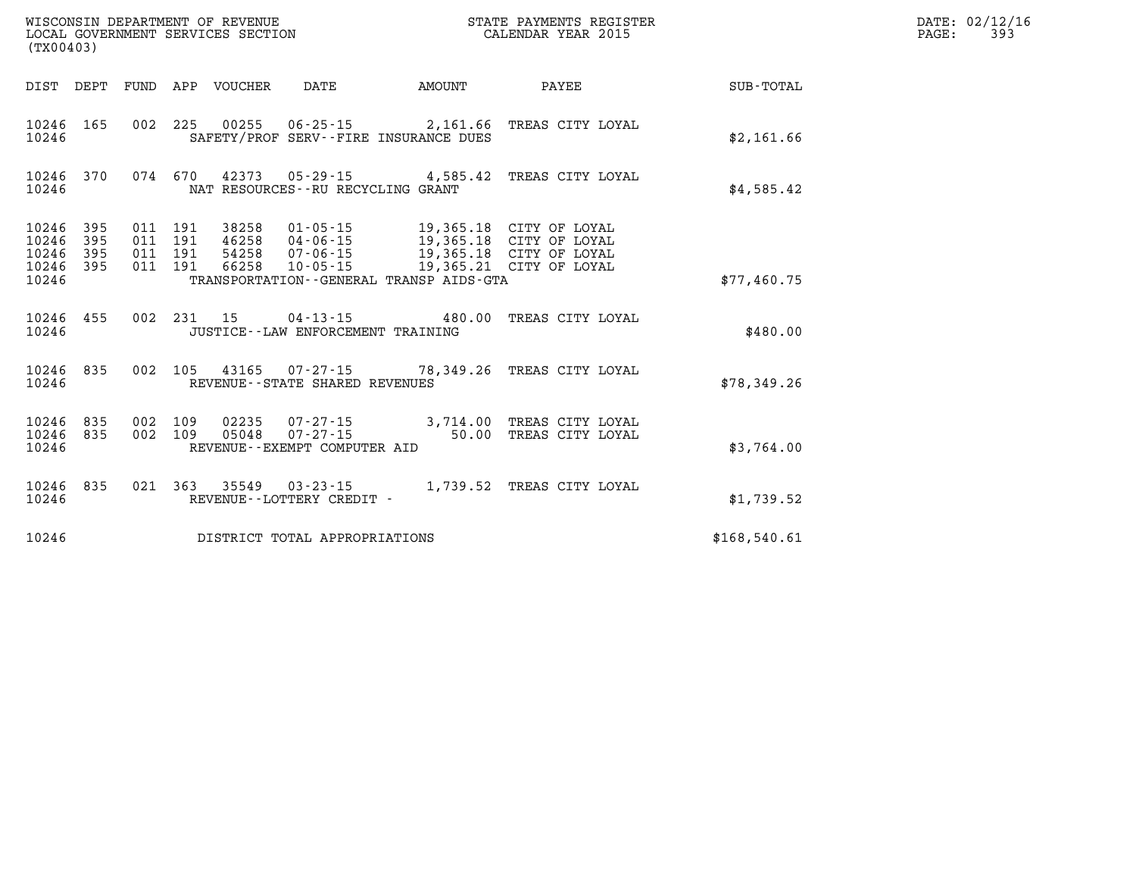|                                           | WISCONSIN DEPARTMENT OF REVENUE<br>STATE PAYMENTS REGISTER<br>LOCAL GOVERNMENT SERVICES SECTION<br>CALENDAR YEAR 2015<br>(TX00403) |                          |                          |                                  |                                                                                                                 |          |                                                                                                          |              |  |
|-------------------------------------------|------------------------------------------------------------------------------------------------------------------------------------|--------------------------|--------------------------|----------------------------------|-----------------------------------------------------------------------------------------------------------------|----------|----------------------------------------------------------------------------------------------------------|--------------|--|
| DIST                                      | DEPT                                                                                                                               | FUND                     | APP                      | VOUCHER                          | DATE                                                                                                            | AMOUNT   | PAYEE                                                                                                    | SUB-TOTAL    |  |
| 10246<br>10246                            | 165                                                                                                                                | 002                      | 225                      | 00255                            | $06 - 25 - 15$<br>SAFETY/PROF SERV--FIRE INSURANCE DUES                                                         | 2,161.66 | TREAS CITY LOYAL                                                                                         | \$2,161.66   |  |
| 10246<br>10246                            | 370                                                                                                                                | 074                      | 670                      |                                  | NAT RESOURCES - - RU RECYCLING GRANT                                                                            |          | 42373 05-29-15 4,585.42 TREAS CITY LOYAL                                                                 | \$4,585.42   |  |
| 10246<br>10246<br>10246<br>10246<br>10246 | 395<br>395<br>395<br>395                                                                                                           | 011<br>011<br>011<br>011 | 191<br>191<br>191<br>191 | 38258<br>46258<br>54258<br>66258 | $01 - 05 - 15$<br>$04 - 06 - 15$<br>$07 - 06 - 15$<br>$10 - 05 - 15$<br>TRANSPORTATION--GENERAL TRANSP AIDS-GTA |          | 19,365.18 CITY OF LOYAL<br>19,365.18 CITY OF LOYAL<br>19,365.18 CITY OF LOYAL<br>19,365.21 CITY OF LOYAL | \$77,460.75  |  |
| 10246<br>10246                            | 455                                                                                                                                | 002                      | 231                      | 15                               | $04 - 13 - 15$ 480.00<br>JUSTICE - - LAW ENFORCEMENT TRAINING                                                   |          | TREAS CITY LOYAL                                                                                         | \$480.00     |  |
| 10246<br>10246                            | 835                                                                                                                                | 002                      | 105                      |                                  | 43165 07-27-15 78,349.26<br>REVENUE - - STATE SHARED REVENUES                                                   |          | TREAS CITY LOYAL                                                                                         | \$78,349.26  |  |
| 10246<br>10246<br>10246                   | 835<br>835                                                                                                                         | 002<br>002               | 109<br>109               | 02235<br>05048                   | $07 - 27 - 15$ 3,714.00<br>$07 - 27 - 15$<br>REVENUE--EXEMPT COMPUTER AID                                       | 50.00    | TREAS CITY LOYAL<br>TREAS CITY LOYAL                                                                     | \$3,764.00   |  |
| 10246<br>10246                            | 835                                                                                                                                | 021                      | 363                      | 35549                            | $03 - 23 - 15$<br>REVENUE - - LOTTERY CREDIT -                                                                  | 1,739.52 | TREAS CITY LOYAL                                                                                         | \$1,739.52   |  |
| 10246                                     |                                                                                                                                    |                          |                          |                                  | DISTRICT TOTAL APPROPRIATIONS                                                                                   |          |                                                                                                          | \$168,540.61 |  |

**DATE: 02/12/16<br>PAGE: 393**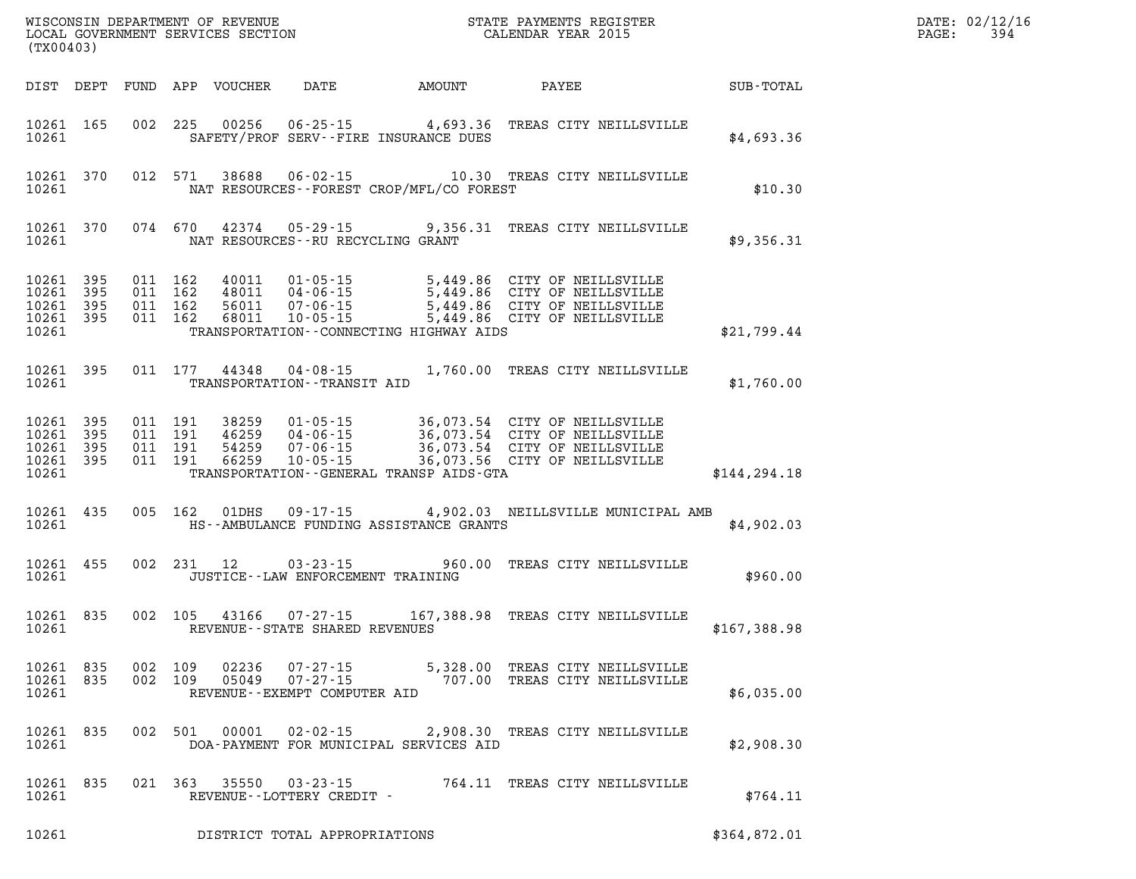| (TX00403)                       |                                     |         |         |                                            |                                                | WISCONSIN DEPARTMENT OF REVENUE<br>LOCAL GOVERNMENT SERVICES SECTION<br>(TWOO403) CALENDAR YEAR 2015                                                                                                                                                                                                                                                       | $\mathbf{F} \mathbf{E} \mathbf{R}$ | DATE: 02/12/16<br>$\mathtt{PAGE:}$<br>394 |
|---------------------------------|-------------------------------------|---------|---------|--------------------------------------------|------------------------------------------------|------------------------------------------------------------------------------------------------------------------------------------------------------------------------------------------------------------------------------------------------------------------------------------------------------------------------------------------------------------|------------------------------------|-------------------------------------------|
|                                 |                                     |         |         |                                            |                                                | DIST DEPT FUND APP VOUCHER DATE AMOUNT PAYEE PATE SUB-TOTAL                                                                                                                                                                                                                                                                                                |                                    |                                           |
|                                 | 10261 165                           |         |         |                                            | 10261 SAFETY/PROF SERV--FIRE INSURANCE DUES    | 002 225 00256 06-25-15 4,693.36 TREAS CITY NEILLSVILLE                                                                                                                                                                                                                                                                                                     | \$4,693.36                         |                                           |
|                                 |                                     |         |         |                                            | 10261 MAT RESOURCES--FOREST CROP/MFL/CO FOREST | 10261 370 012 571 38688 06-02-15 10.30 TREAS CITY NEILLSVILLE                                                                                                                                                                                                                                                                                              | \$10.30                            |                                           |
| 10261                           |                                     |         |         | NAT RESOURCES--RU RECYCLING GRANT          |                                                | 10261 370 074 670 42374 05-29-15 9,356.31 TREAS CITY NEILLSVILLE                                                                                                                                                                                                                                                                                           | \$9,356.31                         |                                           |
| 10261 395<br>10261              | 10261 395<br>10261 395<br>10261 395 |         |         |                                            | TRANSPORTATION - CONNECTING HIGHWAY AIDS       | 011 162 40011 01-05-15 5,449.86 CITY OF NEILLSVILLE<br>011 162 48011 04-06-15 5,449.86 CITY OF NEILLSVILLE<br>011 162 68011 07-06-15 5,449.86 CITY OF NEILLSVILLE<br>011 162 68011 10-05-15 5,449.86 CITY OF NEILLSVILLE                                                                                                                                   | \$21,799.44                        |                                           |
|                                 |                                     |         |         | 10261 TRANSPORTATION--TRANSIT AID          |                                                | 10261 395 011 177 44348 04-08-15 1,760.00 TREAS CITY NEILLSVILLE                                                                                                                                                                                                                                                                                           | \$1,760.00                         |                                           |
|                                 | 10261                               |         |         |                                            |                                                | $\begin{tabular}{cccc} 10261 & 395 & 011 & 191 & 38259 & 01-05-15 & 36,073.54 & CITY OF NEILLSVILLE \\ 10261 & 395 & 011 & 191 & 46259 & 04-06-15 & 36,073.54 & CITY OF NEILLSVILLE \\ 10261 & 395 & 011 & 191 & 54259 & 07-06-15 & 36,073.54 & CITY OF NEILLSVILLE \\ 10261 & 395 & 011 & 191 & 66259 & 10-05$<br>TRANSPORTATION--GENERAL TRANSP AIDS-GTA | \$144, 294.18                      |                                           |
|                                 | 10261 435                           |         |         |                                            | 10261 HS--AMBULANCE FUNDING ASSISTANCE GRANTS  | 005 162 01DHS 09-17-15 4,902.03 NEILLSVILLE MUNICIPAL AMB                                                                                                                                                                                                                                                                                                  | \$4,902.03                         |                                           |
|                                 | 10261 455                           |         |         | 10261    JUSTICE--LAW ENFORCEMENT TRAINING |                                                | 002 231 12 03-23-15 960.00 TREAS CITY NEILLSVILLE                                                                                                                                                                                                                                                                                                          | \$960.00                           |                                           |
|                                 | 10261 835                           |         |         | 10261 REVENUE - STATE SHARED REVENUES      |                                                | 002 105 43166 07-27-15 167,388.98 TREAS CITY NEILLSVILLE                                                                                                                                                                                                                                                                                                   | \$167,388.98                       |                                           |
| 10261 835<br>10261 835<br>10261 |                                     | 002 109 | 002 109 | REVENUE - - EXEMPT COMPUTER AID            |                                                |                                                                                                                                                                                                                                                                                                                                                            | \$6,035.00                         |                                           |
| 10261 835<br>10261              |                                     |         |         |                                            | DOA-PAYMENT FOR MUNICIPAL SERVICES AID         | 002 501 00001 02-02-15 2,908.30 TREAS CITY NEILLSVILLE                                                                                                                                                                                                                                                                                                     | \$2,908.30                         |                                           |
| 10261                           | 10261 835                           |         |         | REVENUE--LOTTERY CREDIT -                  |                                                | 021  363  35550  03-23-15  764.11  TREAS CITY NEILLSVILLE                                                                                                                                                                                                                                                                                                  | \$764.11                           |                                           |
| 10261                           |                                     |         |         | DISTRICT TOTAL APPROPRIATIONS              |                                                |                                                                                                                                                                                                                                                                                                                                                            | \$364,872.01                       |                                           |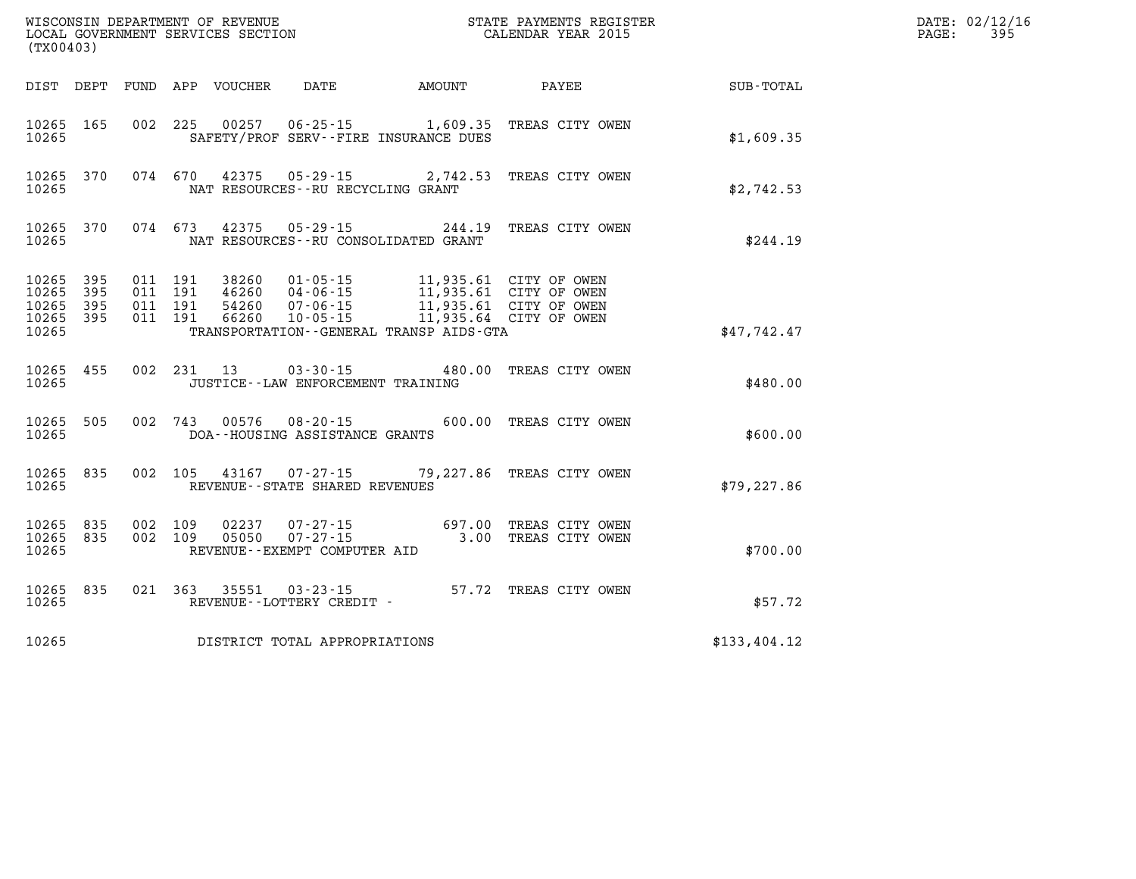| (TX00403)                                 |                            |                                          |            |                            | WISCONSIN DEPARTMENT OF REVENUE<br>LOCAL GOVERNMENT SERVICES SECTION |                                              | STATE PAYMENTS REGISTER<br>CALENDAR YEAR 2015                                                        |              | DATE: 02/12/16<br>PAGE:<br>395 |
|-------------------------------------------|----------------------------|------------------------------------------|------------|----------------------------|----------------------------------------------------------------------|----------------------------------------------|------------------------------------------------------------------------------------------------------|--------------|--------------------------------|
|                                           |                            |                                          |            | DIST DEPT FUND APP VOUCHER | DATE                                                                 | AMOUNT                                       | PAYEE                                                                                                | SUB-TOTAL    |                                |
| 10265 165<br>10265                        |                            | 002 225                                  |            |                            |                                                                      | SAFETY/PROF SERV--FIRE INSURANCE DUES        | 00257  06-25-15  1,609.35  TREAS CITY OWEN                                                           | \$1,609.35   |                                |
| 10265 370<br>10265                        |                            | 074 670                                  |            | 42375                      | NAT RESOURCES--RU RECYCLING GRANT                                    |                                              | 05-29-15 2,742.53 TREAS CITY OWEN                                                                    | \$2,742.53   |                                |
| 10265 370<br>10265                        |                            | 074 673                                  |            | 42375                      | 05 - 29 - 15                                                         | NAT RESOURCES--RU CONSOLIDATED GRANT         | 244.19 TREAS CITY OWEN                                                                               | \$244.19     |                                |
| 10265<br>10265<br>10265<br>10265<br>10265 | 395<br>395<br>395<br>- 395 | 011 191<br>011 191<br>011 191<br>011 191 |            | 38260<br>54260<br>66260    | 01-05-15<br>46260 04-06-15<br>$07 - 06 - 15$<br>$10 - 05 - 15$       | TRANSPORTATION - - GENERAL TRANSP AIDS - GTA | 11,935.61 CITY OF OWEN<br>11,935.61 CITY OF OWEN<br>11,935.61 CITY OF OWEN<br>11,935.64 CITY OF OWEN | \$47,742.47  |                                |
| 10265 455<br>10265                        |                            |                                          | 002 231 13 |                            | 03-30-15<br>JUSTICE--LAW ENFORCEMENT TRAINING                        |                                              | 480.00 TREAS CITY OWEN                                                                               | \$480.00     |                                |
| 10265 505<br>10265                        |                            | 002 743                                  |            | 00576                      | $08 - 20 - 15$<br>DOA--HOUSING ASSISTANCE GRANTS                     |                                              | 600.00 TREAS CITY OWEN                                                                               | \$600.00     |                                |
| 10265 835<br>10265                        |                            | 002 105                                  |            |                            | 43167 07-27-15<br>REVENUE--STATE SHARED REVENUES                     |                                              | 79,227.86 TREAS CITY OWEN                                                                            | \$79, 227.86 |                                |
| 10265 835<br>10265<br>10265               | 835                        | 002 109<br>002 109                       |            | 02237<br>05050             | 07-27-15<br>$07 - 27 - 15$<br>REVENUE--EXEMPT COMPUTER AID           |                                              | 697.00 TREAS CITY OWEN<br>3.00 TREAS CITY OWEN                                                       | \$700.00     |                                |
| 10265 835<br>10265                        |                            | 021 363                                  |            | 35551                      | 03-23-15<br>REVENUE--LOTTERY CREDIT -                                |                                              | 57.72 TREAS CITY OWEN                                                                                | \$57.72      |                                |
| 10265                                     |                            |                                          |            |                            | DISTRICT TOTAL APPROPRIATIONS                                        |                                              |                                                                                                      | \$133,404.12 |                                |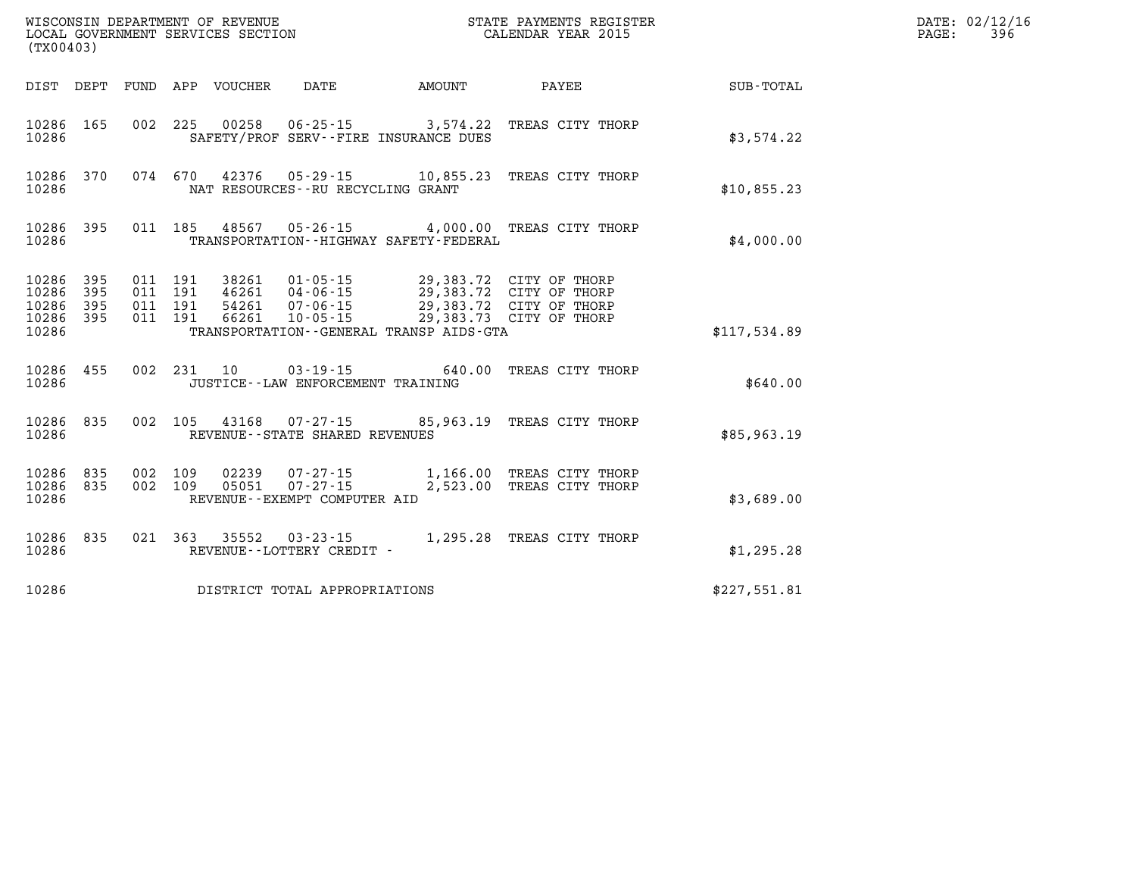| (TX00403)                                     |                   |                               |         | WISCONSIN DEPARTMENT OF REVENUE<br>LOCAL GOVERNMENT SERVICES SECTION |                                                     |                                                                                                                                                           | STATE PAYMENTS REGISTER<br>CALENDAR YEAR 2015          | DATE: 02/12/16<br>396<br>PAGE: |  |
|-----------------------------------------------|-------------------|-------------------------------|---------|----------------------------------------------------------------------|-----------------------------------------------------|-----------------------------------------------------------------------------------------------------------------------------------------------------------|--------------------------------------------------------|--------------------------------|--|
|                                               |                   |                               |         | DIST DEPT FUND APP VOUCHER                                           | DATE                                                | <b>EXAMPLE THE AMOUNT</b>                                                                                                                                 | PAYEE                                                  | SUB-TOTAL                      |  |
| 10286 165<br>10286                            |                   |                               |         |                                                                      |                                                     | SAFETY/PROF SERV--FIRE INSURANCE DUES                                                                                                                     | 002 225 00258 06-25-15 3,574.22 TREAS CITY THORP       | \$3,574.22                     |  |
| 10286                                         | 10286 370         |                               |         |                                                                      | NAT RESOURCES - - RU RECYCLING GRANT                |                                                                                                                                                           | 074 670 42376 05-29-15 10,855.23 TREAS CITY THORP      | \$10,855.23                    |  |
| 10286 395<br>10286                            |                   |                               | 011 185 |                                                                      |                                                     | TRANSPORTATION - - HIGHWAY SAFETY - FEDERAL                                                                                                               | 48567  05-26-15  4,000.00  TREAS CITY THORP            | \$4,000.00                     |  |
| 10286 395<br>10286<br>10286<br>10286<br>10286 | 395<br>395<br>395 | 011 191<br>011 191<br>011 191 | 011 191 | 38261<br>54261<br>66261                                              | 01-05-15                                            | 46261 04-06-15 29,383.72 CITY OF THORP<br>07-06-15 29,383.72 CITY OF THORP<br>10-05-15 29,383.73 CITY OF THORP<br>TRANSPORTATION--GENERAL TRANSP AIDS-GTA | 29,383.72 CITY OF THORP                                | \$117,534.89                   |  |
| 10286 455<br>10286                            |                   |                               | 002 231 | 10                                                                   | JUSTICE - - LAW ENFORCEMENT TRAINING                | $03 - 19 - 15$ 640.00                                                                                                                                     | TREAS CITY THORP                                       | \$640.00                       |  |
| 10286 835<br>10286                            |                   |                               |         |                                                                      | REVENUE - - STATE SHARED REVENUES                   |                                                                                                                                                           | 002 105 43168 07-27-15 85,963.19 TREAS CITY THORP      | \$85,963.19                    |  |
| 10286<br>10286<br>10286                       | 835<br>835        | 002 109<br>002 109            |         | 02239<br>05051                                                       | $07 - 27 - 15$<br>REVENUE--EXEMPT COMPUTER AID      | 2,523.00                                                                                                                                                  | 07-27-15 1,166.00 TREAS CITY THORP<br>TREAS CITY THORP | \$3,689.00                     |  |
| 10286 835<br>10286                            |                   |                               |         |                                                                      | 021 363 35552 03-23-15<br>REVENUE--LOTTERY CREDIT - |                                                                                                                                                           | 1,295.28 TREAS CITY THORP                              | \$1,295.28                     |  |
| 10286                                         |                   |                               |         |                                                                      | DISTRICT TOTAL APPROPRIATIONS                       |                                                                                                                                                           |                                                        | \$227,551.81                   |  |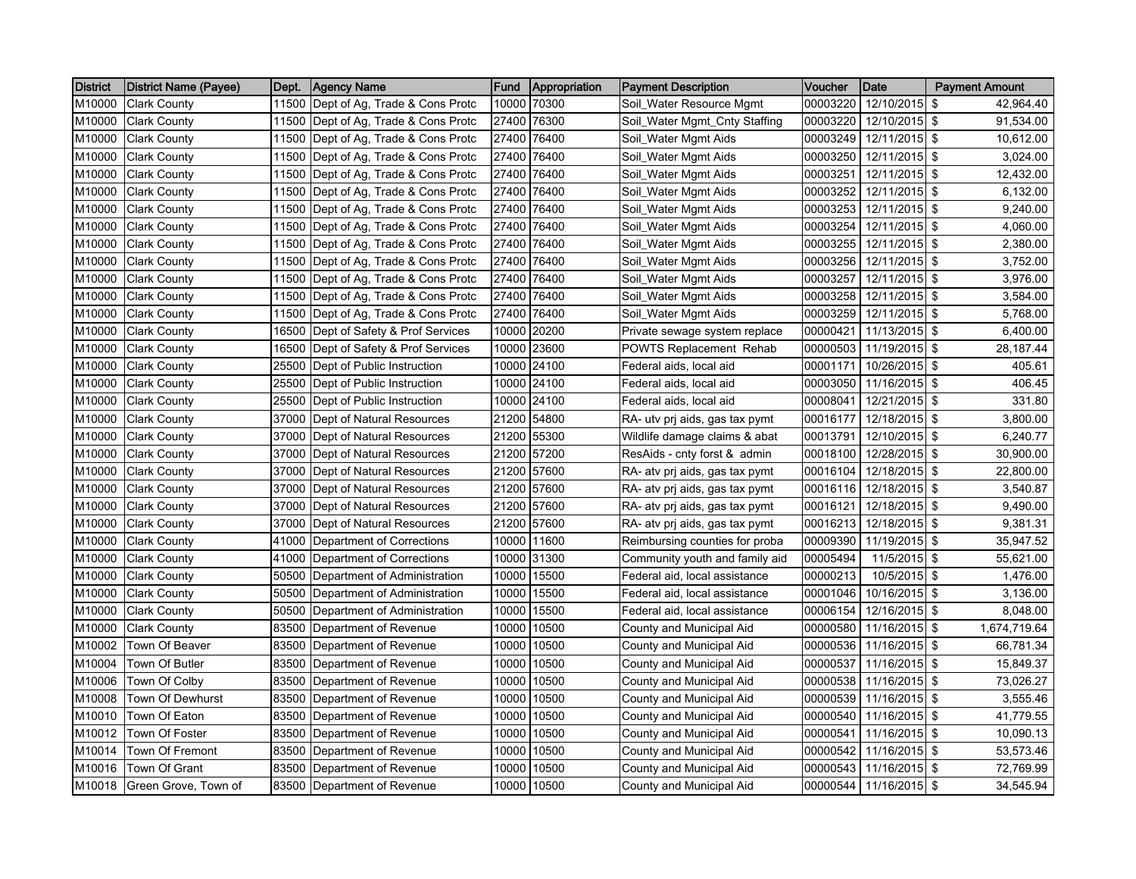| <b>District</b> | District Name (Payee) | Dept. | Agency Name                          | <b>Fund</b> | Appropriation | <b>Payment Description</b>     | Voucher  | Date            | <b>Payment Amount</b> |
|-----------------|-----------------------|-------|--------------------------------------|-------------|---------------|--------------------------------|----------|-----------------|-----------------------|
| M10000          | <b>Clark County</b>   |       | 11500 Dept of Ag, Trade & Cons Protc | 10000       | 70300         | Soil Water Resource Mgmt       | 00003220 | 12/10/2015 \$   | 42,964.40             |
| M10000          | <b>Clark County</b>   | 11500 | Dept of Ag, Trade & Cons Protc       | 27400       | 76300         | Soil_Water Mgmt_Cnty Staffing  | 00003220 | 12/10/2015 \$   | 91,534.00             |
| M10000          | <b>Clark County</b>   | 11500 | Dept of Ag, Trade & Cons Protc       | 27400       | 76400         | Soil_Water Mgmt Aids           | 00003249 | 12/11/2015 \$   | 10,612.00             |
| M10000          | <b>Clark County</b>   | 11500 | Dept of Ag, Trade & Cons Protc       | 27400       | 76400         | Soil_Water Mgmt Aids           | 00003250 | 12/11/2015 \$   | 3,024.00              |
| M10000          | <b>Clark County</b>   |       | 11500 Dept of Ag, Trade & Cons Protc | 27400       | 76400         | Soil_Water Mgmt Aids           | 00003251 | 12/11/2015 \$   | 12,432.00             |
| M10000          | <b>Clark County</b>   |       | 11500 Dept of Ag, Trade & Cons Protc | 27400       | 76400         | Soil_Water Mgmt Aids           | 00003252 | 12/11/2015 \$   | 6,132.00              |
| M10000          | <b>Clark County</b>   | 11500 | Dept of Ag, Trade & Cons Protc       | 27400       | 76400         | Soil_Water Mgmt Aids           | 00003253 | 12/11/2015 \$   | 9,240.00              |
| M10000          | <b>Clark County</b>   | 11500 | Dept of Ag, Trade & Cons Protc       | 27400       | 76400         | Soil_Water Mgmt Aids           | 00003254 | 12/11/2015 \$   | 4,060.00              |
| M10000          | <b>Clark County</b>   | 11500 | Dept of Ag, Trade & Cons Protc       | 27400       | 76400         | Soil_Water Mgmt Aids           | 00003255 | 12/11/2015 \$   | 2,380.00              |
| M10000          | <b>Clark County</b>   | 11500 | Dept of Ag, Trade & Cons Protc       | 27400       | 76400         | Soil_Water Mgmt Aids           | 00003256 | 12/11/2015 \$   | 3,752.00              |
| M10000          | <b>Clark County</b>   |       | 11500 Dept of Ag, Trade & Cons Protc | 27400       | 76400         | Soil_Water Mgmt Aids           | 00003257 | 12/11/2015 \$   | 3,976.00              |
| M10000          | <b>Clark County</b>   |       | 11500 Dept of Ag, Trade & Cons Protc | 27400       | 76400         | Soil_Water Mgmt Aids           | 00003258 | 12/11/2015 \$   | 3,584.00              |
| M10000          | <b>Clark County</b>   | 11500 | Dept of Ag, Trade & Cons Protc       | 27400       | 76400         | Soil_Water Mgmt Aids           | 00003259 | 12/11/2015 \$   | 5,768.00              |
| M10000          | <b>Clark County</b>   | 16500 | Dept of Safety & Prof Services       | 10000       | 20200         | Private sewage system replace  | 00000421 | 11/13/2015 \$   | 6,400.00              |
| M10000          | <b>Clark County</b>   | 16500 | Dept of Safety & Prof Services       | 10000       | 23600         | <b>POWTS Replacement Rehab</b> | 00000503 | 11/19/2015 \$   | 28,187.44             |
| M10000          | <b>Clark County</b>   | 25500 | Dept of Public Instruction           | 10000       | 24100         | Federal aids, local aid        | 00001171 | 10/26/2015 \$   | 405.61                |
| M10000          | <b>Clark County</b>   |       | 25500 Dept of Public Instruction     |             | 10000 24100   | Federal aids, local aid        | 00003050 | 11/16/2015 \$   | 406.45                |
| M10000          | <b>Clark County</b>   | 25500 | Dept of Public Instruction           |             | 10000 24100   | Federal aids, local aid        | 00008041 | 12/21/2015 \$   | 331.80                |
| M10000          | <b>Clark County</b>   | 37000 | Dept of Natural Resources            |             | 21200 54800   | RA- utv prj aids, gas tax pymt | 00016177 | 12/18/2015 \$   | 3,800.00              |
| M10000          | <b>Clark County</b>   | 37000 | Dept of Natural Resources            | 21200       | 55300         | Wildlife damage claims & abat  | 00013791 | 12/10/2015 \$   | 6,240.77              |
| M10000          | <b>Clark County</b>   | 37000 | Dept of Natural Resources            |             | 21200 57200   | ResAids - cnty forst & admin   | 00018100 | 12/28/2015 \$   | 30,900.00             |
| M10000          | <b>Clark County</b>   | 37000 | Dept of Natural Resources            |             | 21200 57600   | RA- atv prj aids, gas tax pymt | 00016104 | 12/18/2015 \$   | 22,800.00             |
| M10000          | <b>Clark County</b>   |       | 37000 Dept of Natural Resources      |             | 21200 57600   | RA- atv pri aids, gas tax pymt | 00016116 | 12/18/2015 \$   | 3,540.87              |
| M10000          | <b>Clark County</b>   | 37000 | Dept of Natural Resources            |             | 21200 57600   | RA- atv prj aids, gas tax pymt | 00016121 | 12/18/2015 \$   | 9,490.00              |
| M10000          | <b>Clark County</b>   | 37000 | Dept of Natural Resources            | 21200       | 57600         | RA- atv prj aids, gas tax pymt | 00016213 | 12/18/2015 \$   | 9,381.31              |
| M10000          | <b>Clark County</b>   | 41000 | Department of Corrections            | 10000       | 11600         | Reimbursing counties for proba | 00009390 | 11/19/2015 \$   | 35,947.52             |
| M10000          | <b>Clark County</b>   | 41000 | Department of Corrections            | 10000       | 31300         | Community youth and family aid | 00005494 | 11/5/2015 \$    | 55,621.00             |
| M10000          | <b>Clark County</b>   |       | 50500 Department of Administration   | 10000       | 15500         | Federal aid, local assistance  | 00000213 | 10/5/2015 \$    | 1,476.00              |
| M10000          | <b>Clark County</b>   | 50500 | Department of Administration         | 10000       | 15500         | Federal aid, local assistance  | 00001046 | 10/16/2015 \$   | 3,136.00              |
| M10000          | <b>Clark County</b>   | 50500 | Department of Administration         | 10000       | 15500         | Federal aid, local assistance  | 00006154 | 12/16/2015 \$   | 8,048.00              |
| M10000          | <b>Clark County</b>   | 83500 | Department of Revenue                | 10000       | 10500         | County and Municipal Aid       | 00000580 | 11/16/2015 \$   | 1,674,719.64          |
| M10002          | Town Of Beaver        | 83500 | Department of Revenue                | 10000       | 10500         | County and Municipal Aid       | 00000536 | 11/16/2015 \$   | 66,781.34             |
| M10004          | Town Of Butler        | 83500 | Department of Revenue                | 10000       | 10500         | County and Municipal Aid       | 00000537 | 11/16/2015 \$   | 15,849.37             |
| M10006          | Town Of Colby         |       | 83500 Department of Revenue          | 10000       | 10500         | County and Municipal Aid       | 00000538 | 11/16/2015 \$   | 73,026.27             |
| M10008          | Town Of Dewhurst      | 83500 | Department of Revenue                | 10000       | 10500         | County and Municipal Aid       | 00000539 | 11/16/2015 \$   | 3,555.46              |
| M10010          | Town Of Eaton         | 83500 | Department of Revenue                | 10000       | 10500         | County and Municipal Aid       | 00000540 | 11/16/2015 \$   | 41,779.55             |
| M10012          | Town Of Foster        | 83500 | Department of Revenue                | 10000       | 10500         | County and Municipal Aid       | 00000541 | 11/16/2015 \$   | 10,090.13             |
| M10014          | Town Of Fremont       | 83500 | Department of Revenue                | 10000       | 10500         | County and Municipal Aid       | 00000542 | 11/16/2015 \$   | 53,573.46             |
| M10016          | Town Of Grant         | 83500 | Department of Revenue                | 10000       | 10500         | County and Municipal Aid       | 00000543 | 11/16/2015 \$   | 72,769.99             |
| M10018          | Green Grove, Town of  |       | 83500 Department of Revenue          |             | 10000 10500   | County and Municipal Aid       | 00000544 | $11/16/2015$ \$ | 34,545.94             |